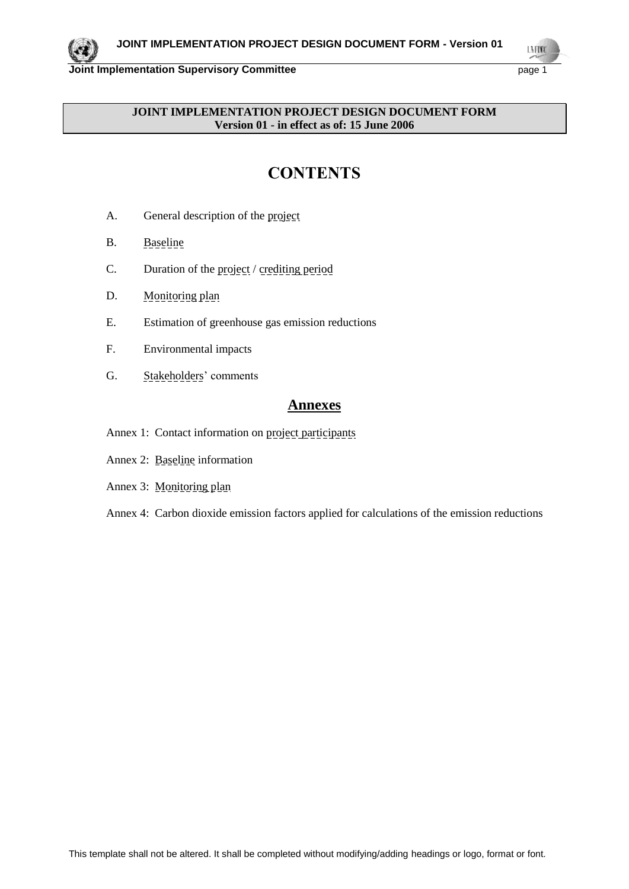LMON

## **JOINT IMPLEMENTATION PROJECT DESIGN DOCUMENT FORM Version 01 - in effect as of: 15 June 2006**

# **CONTENTS**

- A. General description of the project
- B. Baseline
- C. Duration of the project / crediting period
- D. Monitoring plan
- E. Estimation of greenhouse gas emission reductions
- F. Environmental impacts
- G. Stakeholders' comments

## **Annexes**

- Annex 1: Contact information on project participants
- Annex 2: Baseline information
- Annex 3: Monitoring plan
- Annex 4: Carbon dioxide emission factors applied for calculations of the emission reductions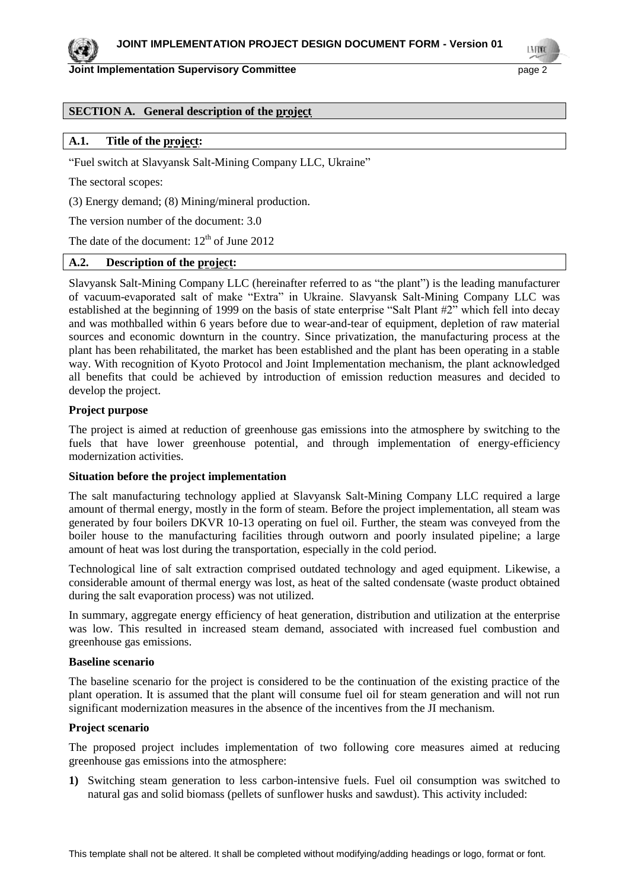**Joint Implementation Supervisory Committee Access 2 Access 2 Access 2 Access 2 Access 2 Access 2 Access 2 Access** 

## **SECTION A. General description of the project**

#### **A.1. Title of the project:**

"Fuel switch at Slavyansk Salt-Mining Company LLC, Ukraine"

The sectoral scopes:

(3) Energy demand; (8) Mining/mineral production.

The version number of the document: 3.0

The date of the document:  $12<sup>th</sup>$  of June 2012

## **A.2. Description of the project:**

Slavyansk Salt-Mining Company LLC (hereinafter referred to as "the plant") is the leading manufacturer of vacuum-evaporated salt of make "Extra" in Ukraine. Slavyansk Salt-Mining Company LLC was established at the beginning of 1999 on the basis of state enterprise "Salt Plant #2" which fell into decay and was mothballed within 6 years before due to wear-and-tear of equipment, depletion of raw material sources and economic downturn in the country. Since privatization, the manufacturing process at the plant has been rehabilitated, the market has been established and the plant has been operating in a stable way. With recognition of Kyoto Protocol and Joint Implementation mechanism, the plant acknowledged all benefits that could be achieved by introduction of emission reduction measures and decided to develop the project.

#### **Project purpose**

The project is aimed at reduction of greenhouse gas emissions into the atmosphere by switching to the fuels that have lower greenhouse potential, and through implementation of energy-efficiency modernization activities.

#### **Situation before the project implementation**

The salt manufacturing technology applied at Slavyansk Salt-Mining Company LLC required a large amount of thermal energy, mostly in the form of steam. Before the project implementation, all steam was generated by four boilers DKVR 10-13 operating on fuel oil. Further, the steam was conveyed from the boiler house to the manufacturing facilities through outworn and poorly insulated pipeline; a large amount of heat was lost during the transportation, especially in the cold period.

Technological line of salt extraction comprised outdated technology and aged equipment. Likewise, a considerable amount of thermal energy was lost, as heat of the salted condensate (waste product obtained during the salt evaporation process) was not utilized.

In summary, aggregate energy efficiency of heat generation, distribution and utilization at the enterprise was low. This resulted in increased steam demand, associated with increased fuel combustion and greenhouse gas emissions.

#### **Baseline scenario**

The baseline scenario for the project is considered to be the continuation of the existing practice of the plant operation. It is assumed that the plant will consume fuel oil for steam generation and will not run significant modernization measures in the absence of the incentives from the JI mechanism.

#### **Project scenario**

The proposed project includes implementation of two following core measures aimed at reducing greenhouse gas emissions into the atmosphere:

**1)** Switching steam generation to less carbon-intensive fuels. Fuel oil consumption was switched to natural gas and solid biomass (pellets of sunflower husks and sawdust). This activity included: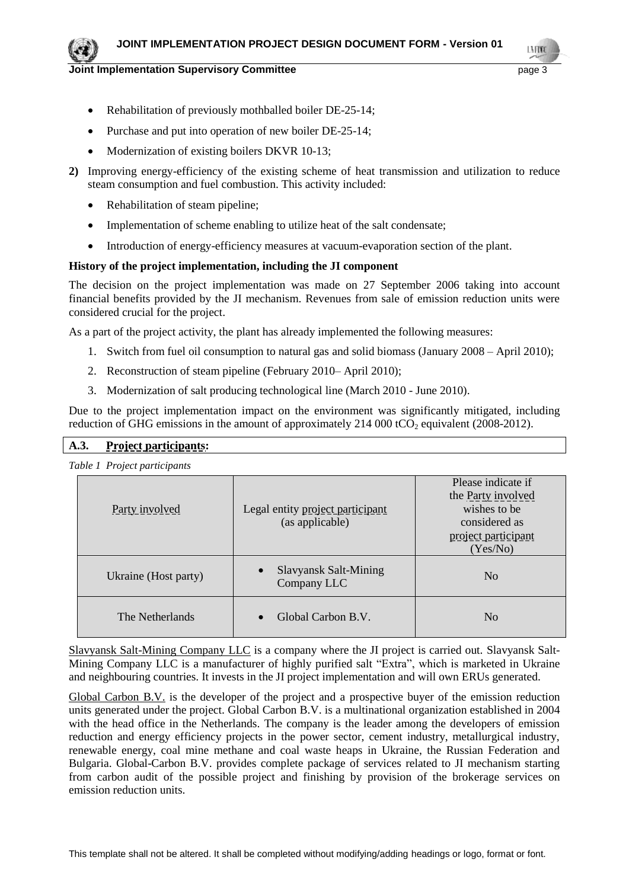#### **Joint Implementation Supervisory Committee Access 2018 12:31 20:43 Page 3**

LN FON

- Rehabilitation of previously mothballed boiler DE-25-14;
- Purchase and put into operation of new boiler DE-25-14;
- Modernization of existing boilers DKVR 10-13;
- **2)** Improving energy-efficiency of the existing scheme of heat transmission and utilization to reduce steam consumption and fuel combustion. This activity included:
	- Rehabilitation of steam pipeline;
	- Implementation of scheme enabling to utilize heat of the salt condensate;
	- Introduction of energy-efficiency measures at vacuum-evaporation section of the plant.

#### **History of the project implementation, including the JI component**

The decision on the project implementation was made on 27 September 2006 taking into account financial benefits provided by the JI mechanism. Revenues from sale of emission reduction units were considered crucial for the project.

As a part of the project activity, the plant has already implemented the following measures:

- 1. Switch from fuel oil consumption to natural gas and solid biomass (January 2008 April 2010);
- 2. Reconstruction of steam pipeline (February 2010– April 2010);
- 3. Modernization of salt producing technological line (March 2010 June 2010).

Due to the project implementation impact on the environment was significantly mitigated, including reduction of GHG emissions in the amount of approximately  $214\,000\,tCO$ , equivalent (2008-2012).

## **A.3. Project participants:**

*Table 1 Project participants*

| Party involved       | Legal entity project participant<br>(as applicable)      | Please indicate if<br>the Party involved<br>wishes to be<br>considered as<br>project participant<br>(Yes/No) |
|----------------------|----------------------------------------------------------|--------------------------------------------------------------------------------------------------------------|
| Ukraine (Host party) | <b>Slavyansk Salt-Mining</b><br>$\bullet$<br>Company LLC | N <sub>0</sub>                                                                                               |
| The Netherlands      | Global Carbon B.V.<br>$\bullet$                          | N <sub>0</sub>                                                                                               |

Slavyansk Salt-Mining Company LLC is a company where the JI project is carried out. Slavyansk Salt-Mining Company LLC is a manufacturer of highly purified salt "Extra", which is marketed in Ukraine and neighbouring countries. It invests in the JI project implementation and will own ERUs generated.

Global Carbon B.V. is the developer of the project and a prospective buyer of the emission reduction units generated under the project. Global Carbon B.V. is a multinational organization established in 2004 with the head office in the Netherlands. The company is the leader among the developers of emission reduction and energy efficiency projects in the power sector, cement industry, metallurgical industry, renewable energy, coal mine methane and coal waste heaps in Ukraine, the Russian Federation and Bulgaria. Global-Carbon B.V. provides complete package of services related to JI mechanism starting from carbon audit of the possible project and finishing by provision of the brokerage services on emission reduction units.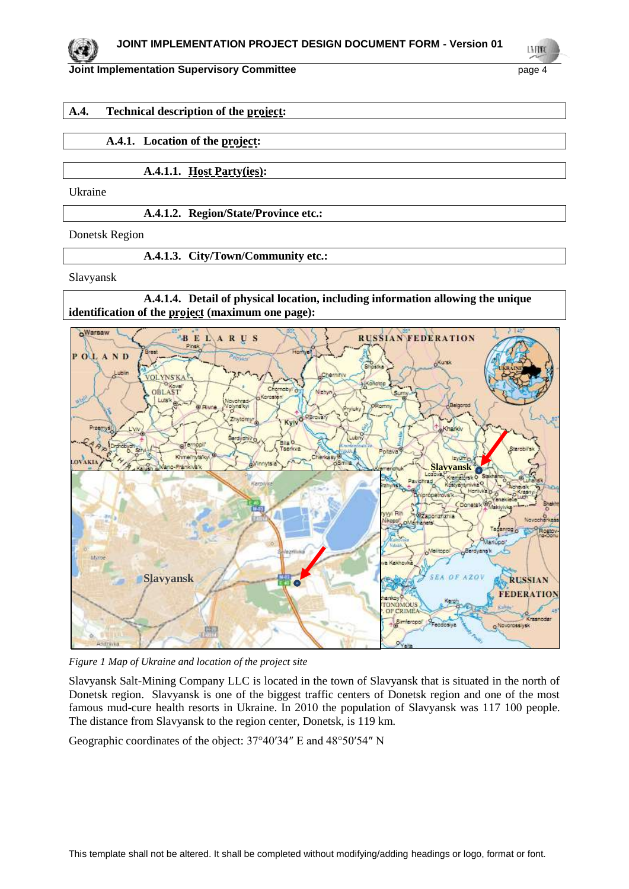#### **Joint Implementation Supervisory Committee According to the Committee of the Committee According to the Committee According to the Committee According to the Committee According to the Committee According to the Committee**

L.N FOND

#### **A.4. Technical description of the project:**

## **A.4.1. Location of the project:**

**A.4.1.1. Host Party(ies):**

Ukraine

**A.4.1.2. Region/State/Province etc.:**

Donetsk Region

**A.4.1.3. City/Town/Community etc.:**

Slavyansk

**A.4.1.4. Detail of physical location, including information allowing the unique identification of the project (maximum one page):**



*Figure 1 Map of Ukraine and location of the project site*

Slavyansk Salt-Mining Company LLC is located in the town of Slavyansk that is situated in the north of Donetsk region. Slavyansk is one of the biggest traffic centers of Donetsk region and one of the most famous mud-cure health resorts in Ukraine. In 2010 the population of Slavyansk was 117 100 people. The distance from Slavyansk to the region center, Donetsk, is 119 km.

Geographic coordinates of the object: 37°40′34″ E and 48°50′54″ N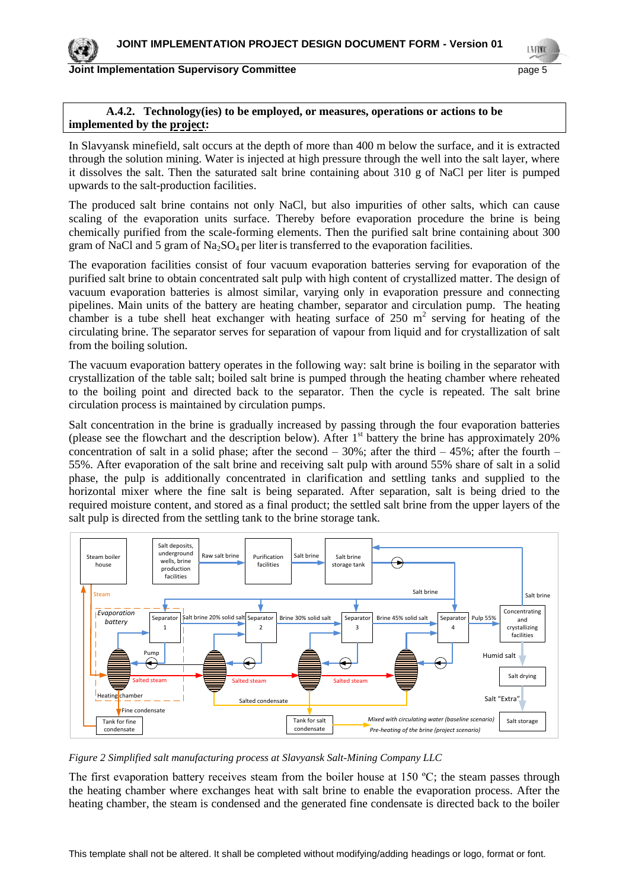LMON

#### **A.4.2. Technology(ies) to be employed, or measures, operations or actions to be implemented by the project:**

In Slavyansk minefield, salt occurs at the depth of more than 400 m below the surface, and it is extracted through the solution mining. Water is injected at high pressure through the well into the salt layer, where it dissolves the salt. Then the saturated salt brine containing about 310 g of NaCl per liter is pumped upwards to the salt-production facilities.

The produced salt brine contains not only NaCl, but also impurities of other salts, which can cause scaling of the evaporation units surface. Thereby before evaporation procedure the brine is being chemically purified from the scale-forming elements. Then the purified salt brine containing about 300 gram of NaCl and 5 gram of Na<sub>2</sub>SO<sub>4</sub> per liter is transferred to the evaporation facilities.

The evaporation facilities consist of four vacuum evaporation batteries serving for evaporation of the purified salt brine to obtain concentrated salt pulp with high content of crystallized matter. The design of vacuum evaporation batteries is almost similar, varying only in evaporation pressure and connecting pipelines. Main units of the battery are heating chamber, separator and circulation pump. The heating chamber is a tube shell heat exchanger with heating surface of  $250 \text{ m}^2$  serving for heating of the circulating brine. The separator serves for separation of vapour from liquid and for crystallization of salt from the boiling solution.

The vacuum evaporation battery operates in the following way: salt brine is boiling in the separator with crystallization of the table salt; boiled salt brine is pumped through the heating chamber where reheated to the boiling point and directed back to the separator. Then the cycle is repeated. The salt brine circulation process is maintained by circulation pumps.

Salt concentration in the brine is gradually increased by passing through the four evaporation batteries (please see the flowchart and the description below). After  $1<sup>st</sup>$  battery the brine has approximately 20% concentration of salt in a solid phase; after the second  $-30\%$ ; after the third  $-45\%$ ; after the fourth  $-$ 55%. After evaporation of the salt brine and receiving salt pulp with around 55% share of salt in a solid phase, the pulp is additionally concentrated in clarification and settling tanks and supplied to the horizontal mixer where the fine salt is being separated. After separation, salt is being dried to the required moisture content, and stored as a final product; the settled salt brine from the upper layers of the salt pulp is directed from the settling tank to the brine storage tank.



*Figure 2 Simplified salt manufacturing process at Slavyansk Salt-Mining Company LLC*

The first evaporation battery receives steam from the boiler house at 150  $^{\circ}$ C; the steam passes through the heating chamber where exchanges heat with salt brine to enable the evaporation process. After the heating chamber, the steam is condensed and the generated fine condensate is directed back to the boiler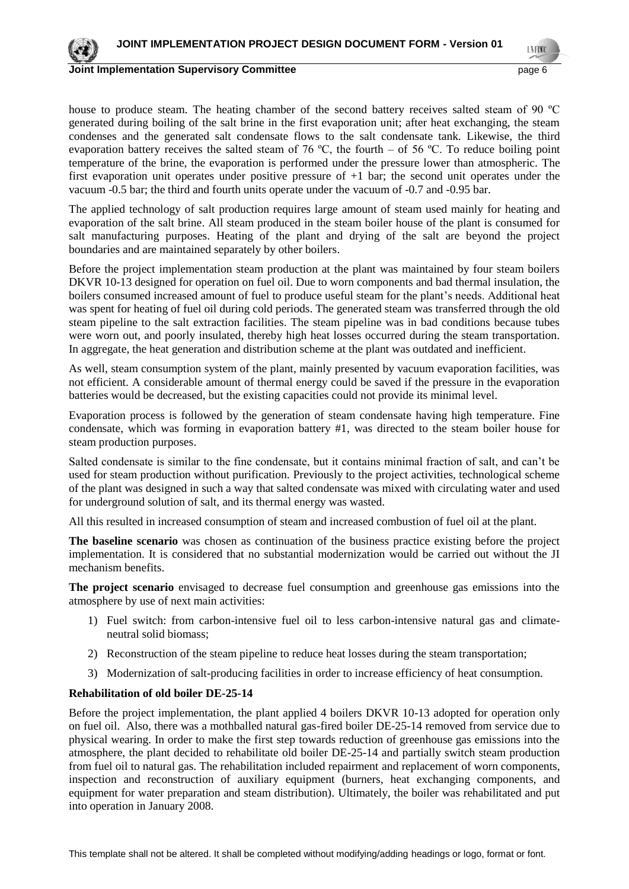

#### **Joint Implementation Supervisory Committee According to the Control of the Control of the Control of the Control of the Control of the Control of the Control of the Control of the Control of the Control of the Control of**

house to produce steam. The heating chamber of the second battery receives salted steam of 90 ºC generated during boiling of the salt brine in the first evaporation unit; after heat exchanging, the steam condenses and the generated salt condensate flows to the salt condensate tank. Likewise, the third evaporation battery receives the salted steam of 76 °C, the fourth – of 56 °C. To reduce boiling point temperature of the brine, the evaporation is performed under the pressure lower than atmospheric. The first evaporation unit operates under positive pressure of +1 bar; the second unit operates under the vacuum -0.5 bar; the third and fourth units operate under the vacuum of -0.7 and -0.95 bar.

The applied technology of salt production requires large amount of steam used mainly for heating and evaporation of the salt brine. All steam produced in the steam boiler house of the plant is consumed for salt manufacturing purposes. Heating of the plant and drying of the salt are beyond the project boundaries and are maintained separately by other boilers.

Before the project implementation steam production at the plant was maintained by four steam boilers DKVR 10-13 designed for operation on fuel oil. Due to worn components and bad thermal insulation, the boilers consumed increased amount of fuel to produce useful steam for the plant's needs. Additional heat was spent for heating of fuel oil during cold periods. The generated steam was transferred through the old steam pipeline to the salt extraction facilities. The steam pipeline was in bad conditions because tubes were worn out, and poorly insulated, thereby high heat losses occurred during the steam transportation. In aggregate, the heat generation and distribution scheme at the plant was outdated and inefficient.

As well, steam consumption system of the plant, mainly presented by vacuum evaporation facilities, was not efficient. A considerable amount of thermal energy could be saved if the pressure in the evaporation batteries would be decreased, but the existing capacities could not provide its minimal level.

Evaporation process is followed by the generation of steam condensate having high temperature. Fine condensate, which was forming in evaporation battery #1, was directed to the steam boiler house for steam production purposes.

Salted condensate is similar to the fine condensate, but it contains minimal fraction of salt, and can't be used for steam production without purification. Previously to the project activities, technological scheme of the plant was designed in such a way that salted condensate was mixed with circulating water and used for underground solution of salt, and its thermal energy was wasted.

All this resulted in increased consumption of steam and increased combustion of fuel oil at the plant.

**The baseline scenario** was chosen as continuation of the business practice existing before the project implementation. It is considered that no substantial modernization would be carried out without the JI mechanism benefits.

**The project scenario** envisaged to decrease fuel consumption and greenhouse gas emissions into the atmosphere by use of next main activities:

- 1) Fuel switch: from carbon-intensive fuel oil to less carbon-intensive natural gas and climateneutral solid biomass;
- 2) Reconstruction of the steam pipeline to reduce heat losses during the steam transportation;
- 3) Modernization of salt-producing facilities in order to increase efficiency of heat consumption.

#### **Rehabilitation of old boiler DE-25-14**

Before the project implementation, the plant applied 4 boilers DKVR 10-13 adopted for operation only on fuel oil. Also, there was a mothballed natural gas-fired boiler DE-25-14 removed from service due to physical wearing. In order to make the first step towards reduction of greenhouse gas emissions into the atmosphere, the plant decided to rehabilitate old boiler DE-25-14 and partially switch steam production from fuel oil to natural gas. The rehabilitation included repairment and replacement of worn components, inspection and reconstruction of auxiliary equipment (burners, heat exchanging components, and equipment for water preparation and steam distribution). Ultimately, the boiler was rehabilitated and put into operation in January 2008.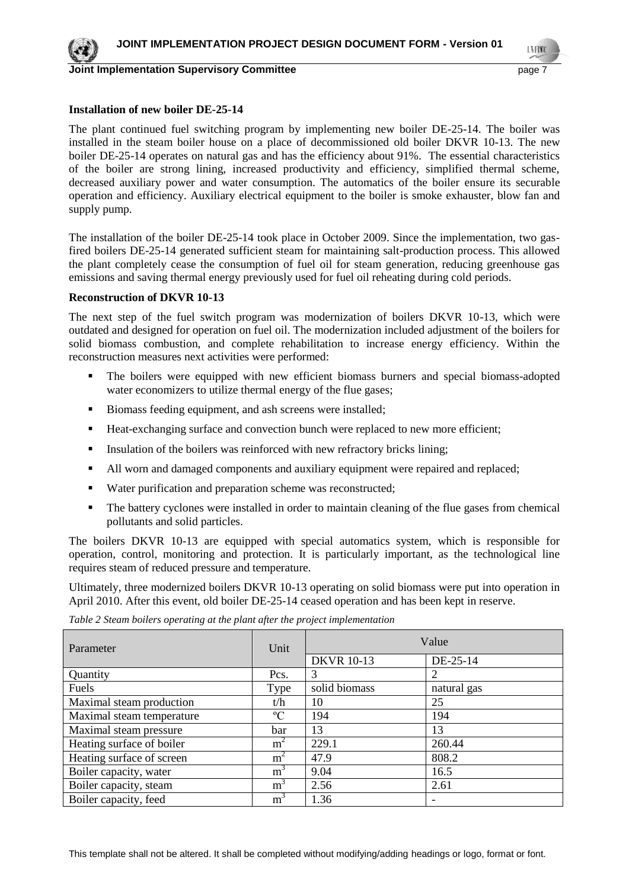

LN FON

#### **Installation of new boiler DE-25-14**

The plant continued fuel switching program by implementing new boiler DE-25-14. The boiler was installed in the steam boiler house on a place of decommissioned old boiler DKVR 10-13. The new boiler DE-25-14 operates on natural gas and has the efficiency about 91%. The essential characteristics of the boiler are strong lining, increased productivity and efficiency, simplified thermal scheme, decreased auxiliary power and water consumption. The automatics of the boiler ensure its securable operation and efficiency. Auxiliary electrical equipment to the boiler is smoke exhauster, blow fan and supply pump.

The installation of the boiler DE-25-14 took place in October 2009. Since the implementation, two gasfired boilers DE-25-14 generated sufficient steam for maintaining salt-production process. This allowed the plant completely cease the consumption of fuel oil for steam generation, reducing greenhouse gas emissions and saving thermal energy previously used for fuel oil reheating during cold periods.

#### **Reconstruction of DKVR 10-13**

The next step of the fuel switch program was modernization of boilers DKVR 10-13, which were outdated and designed for operation on fuel oil. The modernization included adjustment of the boilers for solid biomass combustion, and complete rehabilitation to increase energy efficiency. Within the reconstruction measures next activities were performed:

- The boilers were equipped with new efficient biomass burners and special biomass-adopted water economizers to utilize thermal energy of the flue gases;
- Biomass feeding equipment, and ash screens were installed;
- Heat-exchanging surface and convection bunch were replaced to new more efficient;
- Insulation of the boilers was reinforced with new refractory bricks lining;
- All worn and damaged components and auxiliary equipment were repaired and replaced;
- Water purification and preparation scheme was reconstructed;
- The battery cyclones were installed in order to maintain cleaning of the flue gases from chemical pollutants and solid particles.

The boilers DKVR 10-13 are equipped with special automatics system, which is responsible for operation, control, monitoring and protection. It is particularly important, as the technological line requires steam of reduced pressure and temperature.

Ultimately, three modernized boilers DKVR 10-13 operating on solid biomass were put into operation in April 2010. After this event, old boiler DE-25-14 ceased operation and has been kept in reserve.

| Parameter                 | Unit           | Value             |             |  |
|---------------------------|----------------|-------------------|-------------|--|
|                           |                | <b>DKVR</b> 10-13 | DE-25-14    |  |
| Quantity                  | Pcs.           | 3                 |             |  |
| Fuels                     | Type           | solid biomass     | natural gas |  |
| Maximal steam production  | t/h            | 10                | 25          |  |
| Maximal steam temperature | $\rm ^{o}C$    | 194               | 194         |  |
| Maximal steam pressure    | bar            | 13                | 13          |  |
| Heating surface of boiler | m <sup>2</sup> | 229.1             | 260.44      |  |
| Heating surface of screen | m <sup>2</sup> | 47.9              | 808.2       |  |
| Boiler capacity, water    | m <sup>3</sup> | 9.04              | 16.5        |  |
| Boiler capacity, steam    | m <sup>3</sup> | 2.56              | 2.61        |  |
| Boiler capacity, feed     | m <sup>3</sup> | 1.36              |             |  |

*Table 2 Steam boilers operating at the plant after the project implementation*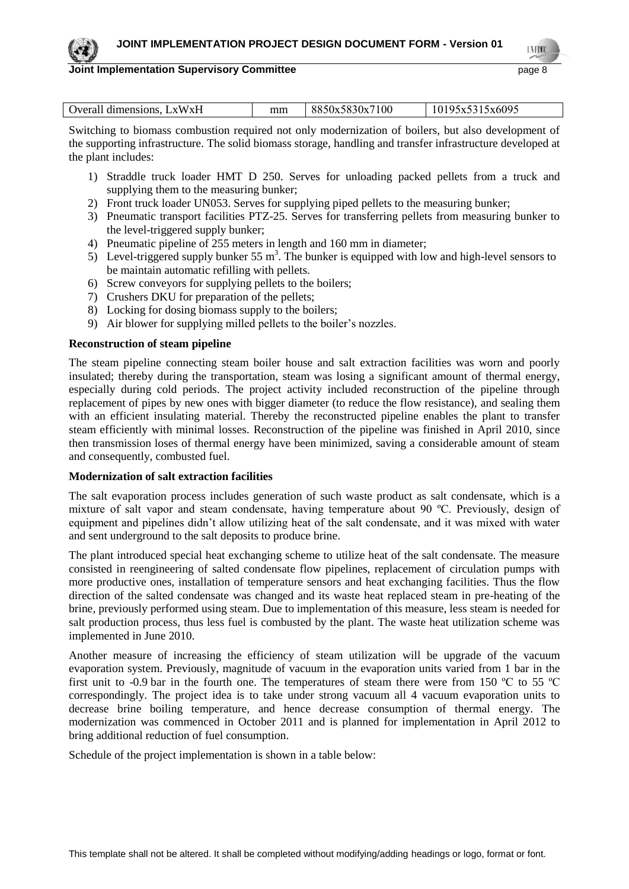LN FON

#### **Joint Implementation Supervisory Committee Access 2018 12:30 Page 8 Access 2018**

| Overall dimensions, LxWxH | mm | 8850x5830x7100 | 10195x5315x6095 |  |
|---------------------------|----|----------------|-----------------|--|

Switching to biomass combustion required not only modernization of boilers, but also development of the supporting infrastructure. The solid biomass storage, handling and transfer infrastructure developed at the plant includes:

- 1) Straddle truck loader HMT D 250. Serves for unloading packed pellets from a truck and supplying them to the measuring bunker;
- 2) Front truck loader UN053. Serves for supplying piped pellets to the measuring bunker;
- 3) Pneumatic transport facilities PTZ-25. Serves for transferring pellets from measuring bunker to the level-triggered supply bunker;
- 4) Pneumatic pipeline of 255 meters in length and 160 mm in diameter;
- 5) Level-triggered supply bunker 55 m<sup>3</sup>. The bunker is equipped with low and high-level sensors to be maintain automatic refilling with pellets.
- 6) Screw conveyors for supplying pellets to the boilers;
- 7) Crushers DKU for preparation of the pellets;
- 8) Locking for dosing biomass supply to the boilers;
- 9) Air blower for supplying milled pellets to the boiler's nozzles.

## **Reconstruction of steam pipeline**

The steam pipeline connecting steam boiler house and salt extraction facilities was worn and poorly insulated; thereby during the transportation, steam was losing a significant amount of thermal energy, especially during cold periods. The project activity included reconstruction of the pipeline through replacement of pipes by new ones with bigger diameter (to reduce the flow resistance), and sealing them with an efficient insulating material. Thereby the reconstructed pipeline enables the plant to transfer steam efficiently with minimal losses. Reconstruction of the pipeline was finished in April 2010, since then transmission loses of thermal energy have been minimized, saving a considerable amount of steam and consequently, combusted fuel.

## **Modernization of salt extraction facilities**

The salt evaporation process includes generation of such waste product as salt condensate, which is a mixture of salt vapor and steam condensate, having temperature about 90 ºC. Previously, design of equipment and pipelines didn't allow utilizing heat of the salt condensate, and it was mixed with water and sent underground to the salt deposits to produce brine.

The plant introduced special heat exchanging scheme to utilize heat of the salt condensate. The measure consisted in reengineering of salted condensate flow pipelines, replacement of circulation pumps with more productive ones, installation of temperature sensors and heat exchanging facilities. Thus the flow direction of the salted condensate was changed and its waste heat replaced steam in pre-heating of the brine, previously performed using steam. Due to implementation of this measure, less steam is needed for salt production process, thus less fuel is combusted by the plant. The waste heat utilization scheme was implemented in June 2010.

Another measure of increasing the efficiency of steam utilization will be upgrade of the vacuum evaporation system. Previously, magnitude of vacuum in the evaporation units varied from 1 bar in the first unit to -0.9 bar in the fourth one. The temperatures of steam there were from 150 ºC to 55 ºC correspondingly. The project idea is to take under strong vacuum all 4 vacuum evaporation units to decrease brine boiling temperature, and hence decrease consumption of thermal energy. The modernization was commenced in October 2011 and is planned for implementation in April 2012 to bring additional reduction of fuel consumption.

Schedule of the project implementation is shown in a table below: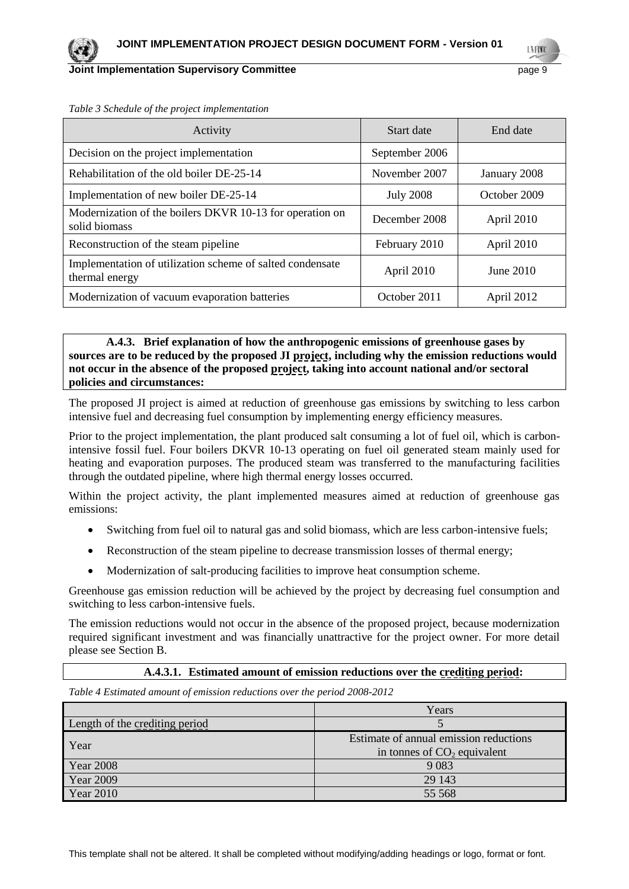#### **Joint Implementation Supervisory Committee According to the Control of the Control of the Control of the Control of the Page 9**

LMON

| Activity                                                                    | Start date       | End date     |
|-----------------------------------------------------------------------------|------------------|--------------|
| Decision on the project implementation                                      | September 2006   |              |
| Rehabilitation of the old boiler DE-25-14                                   | November 2007    | January 2008 |
| Implementation of new boiler DE-25-14                                       | <b>July 2008</b> | October 2009 |
| Modernization of the boilers DKVR 10-13 for operation on<br>solid biomass   | December 2008    | April 2010   |
| Reconstruction of the steam pipeline                                        | February 2010    | April 2010   |
| Implementation of utilization scheme of salted condensate<br>thermal energy | April 2010       | June $2010$  |
| Modernization of vacuum evaporation batteries                               | October 2011     | April 2012   |

*Table 3 Schedule of the project implementation*

**A.4.3. Brief explanation of how the anthropogenic emissions of greenhouse gases by sources are to be reduced by the proposed JI project, including why the emission reductions would not occur in the absence of the proposed project, taking into account national and/or sectoral policies and circumstances:**

The proposed JI project is aimed at reduction of greenhouse gas emissions by switching to less carbon intensive fuel and decreasing fuel consumption by implementing energy efficiency measures.

Prior to the project implementation, the plant produced salt consuming a lot of fuel oil, which is carbonintensive fossil fuel. Four boilers DKVR 10-13 operating on fuel oil generated steam mainly used for heating and evaporation purposes. The produced steam was transferred to the manufacturing facilities through the outdated pipeline, where high thermal energy losses occurred.

Within the project activity, the plant implemented measures aimed at reduction of greenhouse gas emissions:

- Switching from fuel oil to natural gas and solid biomass, which are less carbon-intensive fuels;
- Reconstruction of the steam pipeline to decrease transmission losses of thermal energy;
- Modernization of salt-producing facilities to improve heat consumption scheme.

Greenhouse gas emission reduction will be achieved by the project by decreasing fuel consumption and switching to less carbon-intensive fuels.

The emission reductions would not occur in the absence of the proposed project, because modernization required significant investment and was financially unattractive for the project owner. For more detail please see Section B.

#### **A.4.3.1. Estimated amount of emission reductions over the crediting period:**

*Table 4 Estimated amount of emission reductions over the period 2008-2012*

|                                | Years                                                                   |
|--------------------------------|-------------------------------------------------------------------------|
| Length of the crediting period |                                                                         |
| Year                           | Estimate of annual emission reductions<br>in tonnes of $CO2$ equivalent |
| <b>Year 2008</b>               | 9 0 8 3                                                                 |
| Year 2009                      | 29 143                                                                  |
| <b>Year 2010</b>               | 55 568                                                                  |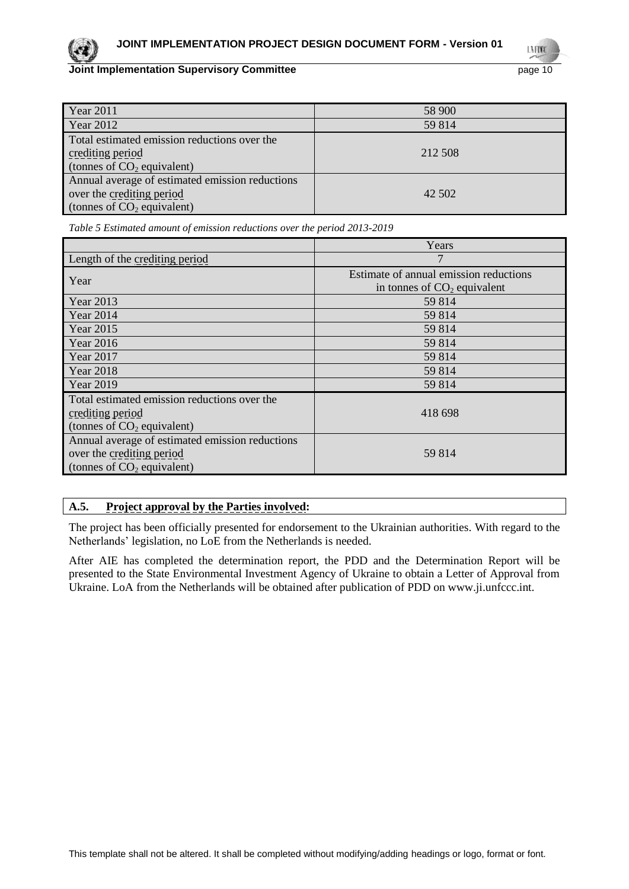LMON

| <b>Year 2011</b>                                | 58 900  |
|-------------------------------------------------|---------|
| Year 2012                                       | 59 814  |
| Total estimated emission reductions over the    |         |
| crediting period                                | 212 508 |
| (tonnes of $CO2$ equivalent)                    |         |
| Annual average of estimated emission reductions |         |
| over the crediting period                       | 42 502  |
| (tonnes of $CO2$ equivalent)                    |         |

*Table 5 Estimated amount of emission reductions over the period 2013-2019*

|                                                 | Years                                  |
|-------------------------------------------------|----------------------------------------|
| Length of the crediting period                  |                                        |
| Year                                            | Estimate of annual emission reductions |
|                                                 | in tonnes of $CO2$ equivalent          |
| <b>Year 2013</b>                                | 59 814                                 |
| <b>Year 2014</b>                                | 59 814                                 |
| <b>Year 2015</b>                                | 59 814                                 |
| <b>Year 2016</b>                                | 59 814                                 |
| Year 2017                                       | 59 814                                 |
| <b>Year 2018</b>                                | 59 814                                 |
| <b>Year 2019</b>                                | 59 814                                 |
| Total estimated emission reductions over the    |                                        |
| crediting period                                | 418 698                                |
| (tonnes of $CO2$ equivalent)                    |                                        |
| Annual average of estimated emission reductions |                                        |
| over the crediting period                       | 59 814                                 |
| (tonnes of $CO2$ equivalent)                    |                                        |

## **A.5. Project approval by the Parties involved:**

The project has been officially presented for endorsement to the Ukrainian authorities. With regard to the Netherlands' legislation, no LoE from the Netherlands is needed.

After AIE has completed the determination report, the PDD and the Determination Report will be presented to the State Environmental Investment Agency of Ukraine to obtain a Letter of Approval from Ukraine. LoA from the Netherlands will be obtained after publication of PDD on www.ji.unfccc.int.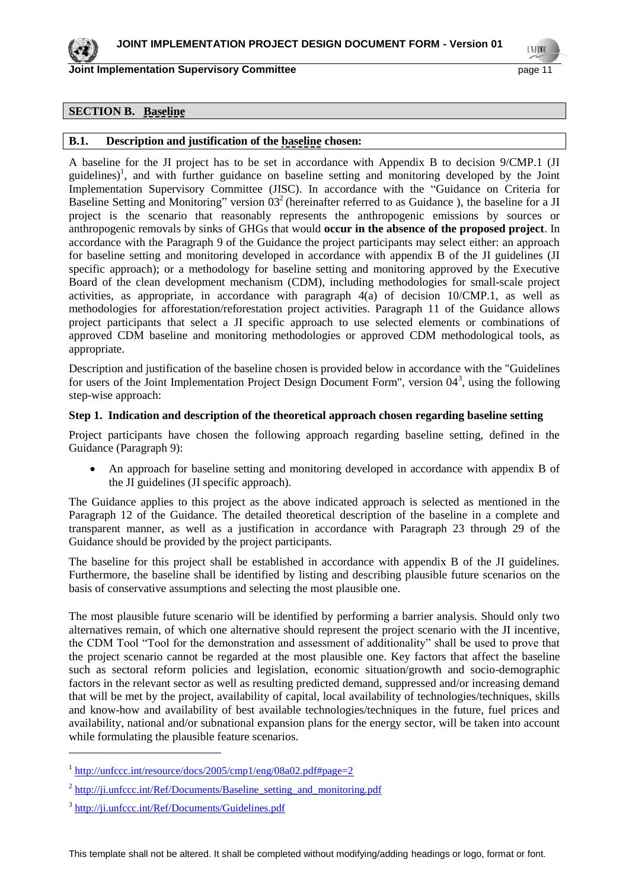

LMON

## **SECTION B. Baseline**

#### **B.1. Description and justification of the baseline chosen:**

A baseline for the JI project has to be set in accordance with Appendix B to decision 9/CMP.1 (JI guidelines)<sup>1</sup>, and with further guidance on baseline setting and monitoring developed by the Joint Implementation Supervisory Committee (JISC). In accordance with the "Guidance on Criteria for Baseline Setting and Monitoring" version  $03<sup>2</sup>$  (hereinafter referred to as Guidance), the baseline for a JI project is the scenario that reasonably represents the anthropogenic emissions by sources or anthropogenic removals by sinks of GHGs that would **occur in the absence of the proposed project**. In accordance with the Paragraph 9 of the Guidance the project participants may select either: an approach for baseline setting and monitoring developed in accordance with appendix B of the JI guidelines (JI specific approach); or a methodology for baseline setting and monitoring approved by the Executive Board of the clean development mechanism (CDM), including methodologies for small-scale project activities, as appropriate, in accordance with paragraph 4(a) of decision 10/CMP.1, as well as methodologies for afforestation/reforestation project activities. Paragraph 11 of the Guidance allows project participants that select a JI specific approach to use selected elements or combinations of approved CDM baseline and monitoring methodologies or approved CDM methodological tools, as appropriate.

Description and justification of the baseline chosen is provided below in accordance with the "Guidelines for users of the Joint Implementation Project Design Document Form", version  $04^3$ , using the following step-wise approach:

#### **Step 1. Indication and description of the theoretical approach chosen regarding baseline setting**

Project participants have chosen the following approach regarding baseline setting, defined in the Guidance (Paragraph 9):

 An approach for baseline setting and monitoring developed in accordance with appendix B of the JI guidelines (JI specific approach).

The Guidance applies to this project as the above indicated approach is selected as mentioned in the Paragraph 12 of the Guidance. The detailed theoretical description of the baseline in a complete and transparent manner, as well as a justification in accordance with Paragraph 23 through 29 of the Guidance should be provided by the project participants.

The baseline for this project shall be established in accordance with appendix B of the JI guidelines. Furthermore, the baseline shall be identified by listing and describing plausible future scenarios on the basis of conservative assumptions and selecting the most plausible one.

The most plausible future scenario will be identified by performing a barrier analysis. Should only two alternatives remain, of which one alternative should represent the project scenario with the JI incentive, the CDM Tool "Tool for the demonstration and assessment of additionality" shall be used to prove that the project scenario cannot be regarded at the most plausible one. Key factors that affect the baseline such as sectoral reform policies and legislation, economic situation/growth and socio-demographic factors in the relevant sector as well as resulting predicted demand, suppressed and/or increasing demand that will be met by the project, availability of capital, local availability of technologies/techniques, skills and know-how and availability of best available technologies/techniques in the future, fuel prices and availability, national and/or subnational expansion plans for the energy sector, will be taken into account while formulating the plausible feature scenarios.

 $\overline{a}$ 

<sup>&</sup>lt;sup>1</sup> <http://unfccc.int/resource/docs/2005/cmp1/eng/08a02.pdf#page=2>

<sup>&</sup>lt;sup>2</sup> http://ji.unfccc.int/Ref/Documents/Baseline setting and monitoring.pdf

<sup>&</sup>lt;sup>3</sup> <http://ji.unfccc.int/Ref/Documents/Guidelines.pdf>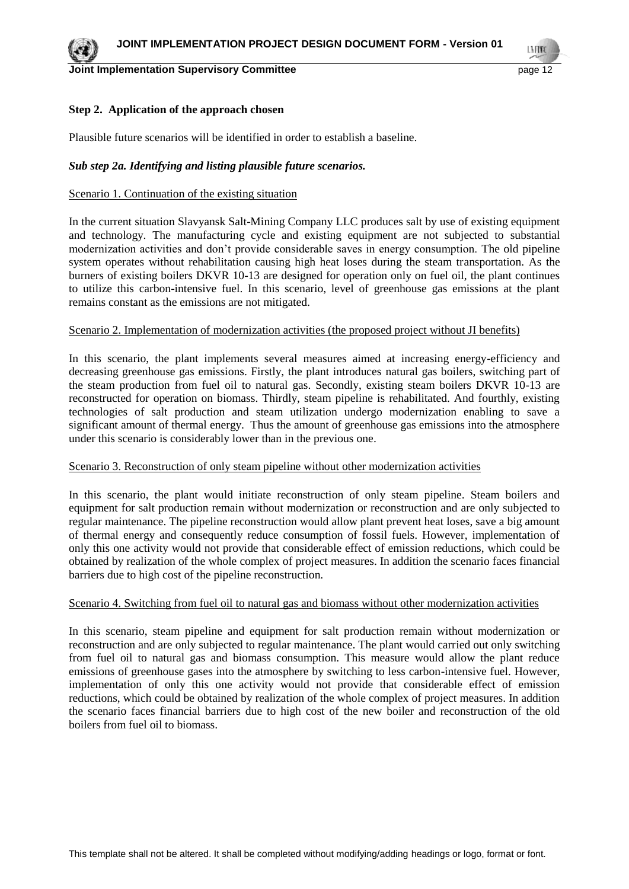#### **Driver Implementation Supervisory Committee and Committee and Committee of the Committee of the Committee of the Committee of the Committee of the Committee of the Committee of the Committee of the Committee of the Commit**

#### **Step 2. Application of the approach chosen**

Plausible future scenarios will be identified in order to establish a baseline.

#### *Sub step 2a. Identifying and listing plausible future scenarios.*

#### Scenario 1. Continuation of the existing situation

In the current situation Slavyansk Salt-Mining Company LLC produces salt by use of existing equipment and technology. The manufacturing cycle and existing equipment are not subjected to substantial modernization activities and don't provide considerable saves in energy consumption. The old pipeline system operates without rehabilitation causing high heat loses during the steam transportation. As the burners of existing boilers DKVR 10-13 are designed for operation only on fuel oil, the plant continues to utilize this carbon-intensive fuel. In this scenario, level of greenhouse gas emissions at the plant remains constant as the emissions are not mitigated.

#### Scenario 2. Implementation of modernization activities (the proposed project without JI benefits)

In this scenario, the plant implements several measures aimed at increasing energy-efficiency and decreasing greenhouse gas emissions. Firstly, the plant introduces natural gas boilers, switching part of the steam production from fuel oil to natural gas. Secondly, existing steam boilers DKVR 10-13 are reconstructed for operation on biomass. Thirdly, steam pipeline is rehabilitated. And fourthly, existing technologies of salt production and steam utilization undergo modernization enabling to save a significant amount of thermal energy. Thus the amount of greenhouse gas emissions into the atmosphere under this scenario is considerably lower than in the previous one.

#### Scenario 3. Reconstruction of only steam pipeline without other modernization activities

In this scenario, the plant would initiate reconstruction of only steam pipeline. Steam boilers and equipment for salt production remain without modernization or reconstruction and are only subjected to regular maintenance. The pipeline reconstruction would allow plant prevent heat loses, save a big amount of thermal energy and consequently reduce consumption of fossil fuels. However, implementation of only this one activity would not provide that considerable effect of emission reductions, which could be obtained by realization of the whole complex of project measures. In addition the scenario faces financial barriers due to high cost of the pipeline reconstruction.

#### Scenario 4. Switching from fuel oil to natural gas and biomass without other modernization activities

In this scenario, steam pipeline and equipment for salt production remain without modernization or reconstruction and are only subjected to regular maintenance. The plant would carried out only switching from fuel oil to natural gas and biomass consumption. This measure would allow the plant reduce emissions of greenhouse gases into the atmosphere by switching to less carbon-intensive fuel. However, implementation of only this one activity would not provide that considerable effect of emission reductions, which could be obtained by realization of the whole complex of project measures. In addition the scenario faces financial barriers due to high cost of the new boiler and reconstruction of the old boilers from fuel oil to biomass.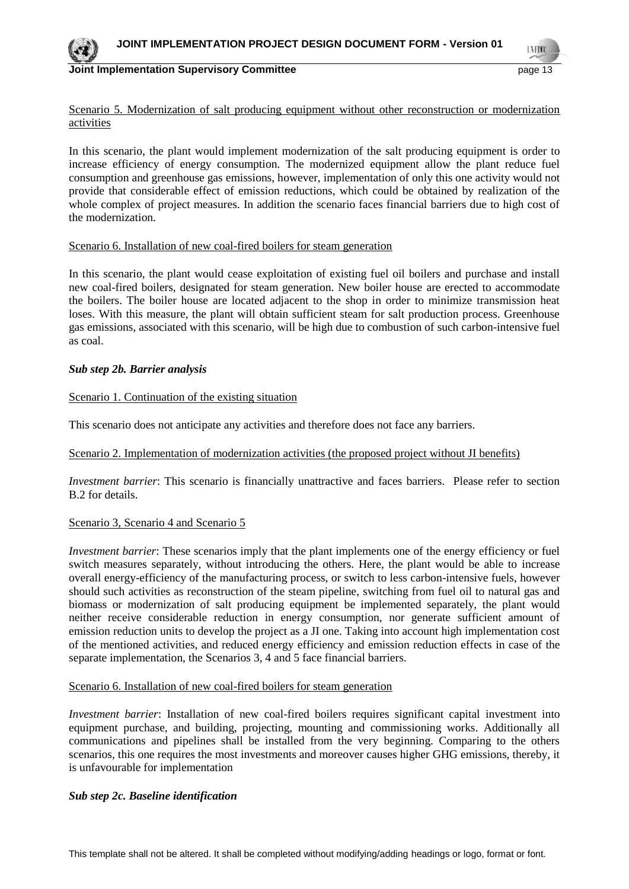

LA FINA

#### Scenario 5. Modernization of salt producing equipment without other reconstruction or modernization activities

In this scenario, the plant would implement modernization of the salt producing equipment is order to increase efficiency of energy consumption. The modernized equipment allow the plant reduce fuel consumption and greenhouse gas emissions, however, implementation of only this one activity would not provide that considerable effect of emission reductions, which could be obtained by realization of the whole complex of project measures. In addition the scenario faces financial barriers due to high cost of the modernization.

#### Scenario 6. Installation of new coal-fired boilers for steam generation

In this scenario, the plant would cease exploitation of existing fuel oil boilers and purchase and install new coal-fired boilers, designated for steam generation. New boiler house are erected to accommodate the boilers. The boiler house are located adjacent to the shop in order to minimize transmission heat loses. With this measure, the plant will obtain sufficient steam for salt production process. Greenhouse gas emissions, associated with this scenario, will be high due to combustion of such carbon-intensive fuel as coal.

## *Sub step 2b. Barrier analysis*

## Scenario 1. Continuation of the existing situation

This scenario does not anticipate any activities and therefore does not face any barriers.

#### Scenario 2. Implementation of modernization activities (the proposed project without JI benefits)

*Investment barrier*: This scenario is financially unattractive and faces barriers. Please refer to section B.2 for details.

#### Scenario 3, Scenario 4 and Scenario 5

*Investment barrier*: These scenarios imply that the plant implements one of the energy efficiency or fuel switch measures separately, without introducing the others. Here, the plant would be able to increase overall energy-efficiency of the manufacturing process, or switch to less carbon-intensive fuels, however should such activities as reconstruction of the steam pipeline, switching from fuel oil to natural gas and biomass or modernization of salt producing equipment be implemented separately, the plant would neither receive considerable reduction in energy consumption, nor generate sufficient amount of emission reduction units to develop the project as a JI one. Taking into account high implementation cost of the mentioned activities, and reduced energy efficiency and emission reduction effects in case of the separate implementation, the Scenarios 3, 4 and 5 face financial barriers.

#### Scenario 6. Installation of new coal-fired boilers for steam generation

*Investment barrier*: Installation of new coal-fired boilers requires significant capital investment into equipment purchase, and building, projecting, mounting and commissioning works. Additionally all communications and pipelines shall be installed from the very beginning. Comparing to the others scenarios, this one requires the most investments and moreover causes higher GHG emissions, thereby, it is unfavourable for implementation

#### *Sub step 2c. Baseline identification*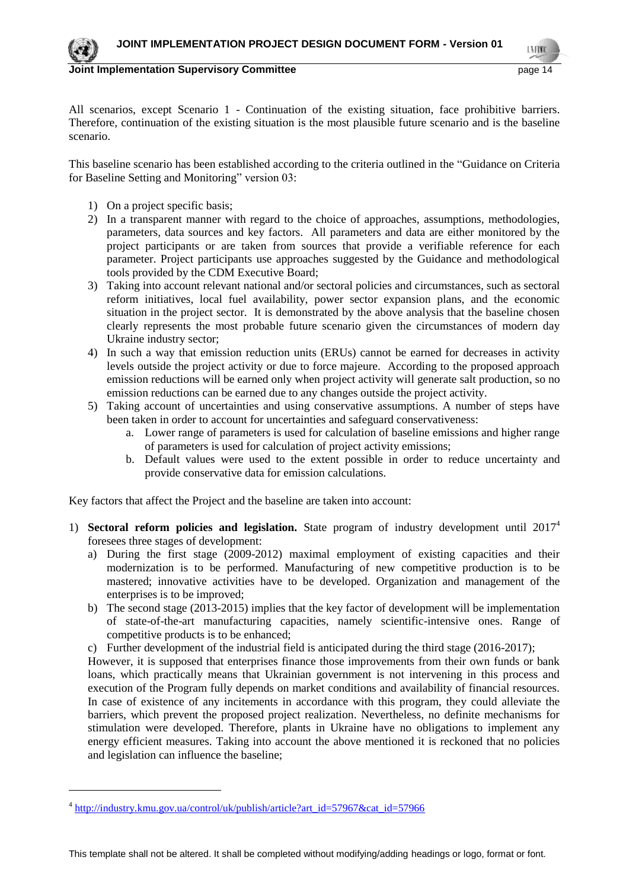

 $\overline{a}$ 

**Joint Implementation Supervisory Committee According to the Control of the Control of the Control of the Page 14** 

LN FON

All scenarios, except Scenario 1 - Continuation of the existing situation, face prohibitive barriers. Therefore, continuation of the existing situation is the most plausible future scenario and is the baseline scenario.

This baseline scenario has been established according to the criteria outlined in the "Guidance on Criteria for Baseline Setting and Monitoring" version 03:

- 1) On a project specific basis;
- 2) In a transparent manner with regard to the choice of approaches, assumptions, methodologies, parameters, data sources and key factors. All parameters and data are either monitored by the project participants or are taken from sources that provide a verifiable reference for each parameter. Project participants use approaches suggested by the Guidance and methodological tools provided by the CDM Executive Board;
- 3) Taking into account relevant national and/or sectoral policies and circumstances, such as sectoral reform initiatives, local fuel availability, power sector expansion plans, and the economic situation in the project sector. It is demonstrated by the above analysis that the baseline chosen clearly represents the most probable future scenario given the circumstances of modern day Ukraine industry sector;
- 4) In such a way that emission reduction units (ERUs) cannot be earned for decreases in activity levels outside the project activity or due to force majeure. According to the proposed approach emission reductions will be earned only when project activity will generate salt production, so no emission reductions can be earned due to any changes outside the project activity.
- 5) Taking account of uncertainties and using conservative assumptions. A number of steps have been taken in order to account for uncertainties and safeguard conservativeness:
	- a. Lower range of parameters is used for calculation of baseline emissions and higher range of parameters is used for calculation of project activity emissions;
	- b. Default values were used to the extent possible in order to reduce uncertainty and provide conservative data for emission calculations.

Key factors that affect the Project and the baseline are taken into account:

- 1) **Sectoral reform policies and legislation.** State program of industry development until 2017<sup>4</sup> foresees three stages of development:
	- a) During the first stage (2009-2012) maximal employment of existing capacities and their modernization is to be performed. Manufacturing of new competitive production is to be mastered; innovative activities have to be developed. Organization and management of the enterprises is to be improved;
	- b) The second stage (2013-2015) implies that the key factor of development will be implementation of state-of-the-art manufacturing capacities, namely scientific-intensive ones. Range of competitive products is to be enhanced;
	- c) Further development of the industrial field is anticipated during the third stage (2016-2017);

However, it is supposed that enterprises finance those improvements from their own funds or bank loans, which practically means that Ukrainian government is not intervening in this process and execution of the Program fully depends on market conditions and availability of financial resources. In case of existence of any incitements in accordance with this program, they could alleviate the barriers, which prevent the proposed project realization. Nevertheless, no definite mechanisms for stimulation were developed. Therefore, plants in Ukraine have no obligations to implement any energy efficient measures. Taking into account the above mentioned it is reckoned that no policies and legislation can influence the baseline;

<sup>&</sup>lt;sup>4</sup> [http://industry.kmu.gov.ua/control/uk/publish/article?art\\_id=57967&cat\\_id=57966](http://industry.kmu.gov.ua/control/uk/publish/article?art_id=57967&cat_id=57966)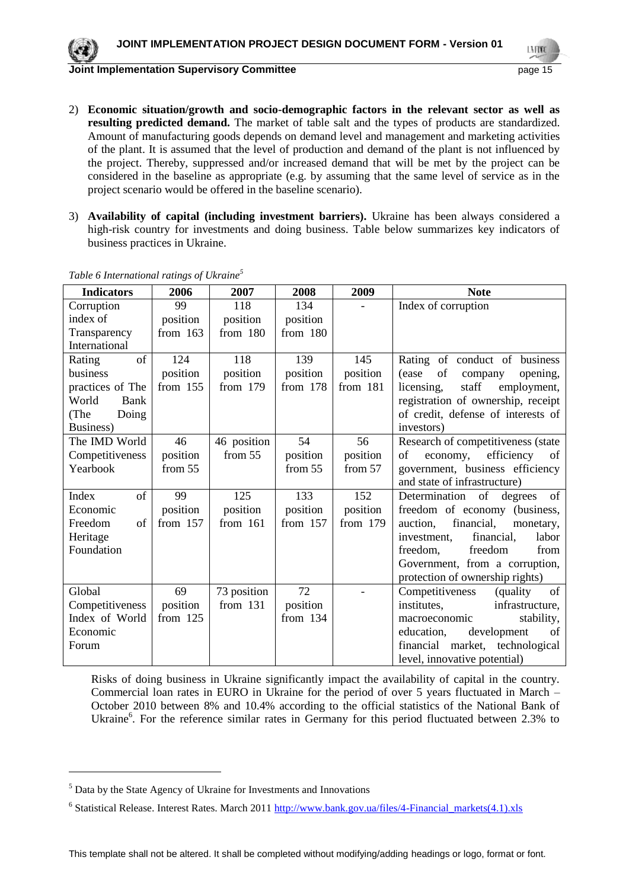

- 2) **Economic situation/growth and socio-demographic factors in the relevant sector as well as resulting predicted demand.** The market of table salt and the types of products are standardized. Amount of manufacturing goods depends on demand level and management and marketing activities of the plant. It is assumed that the level of production and demand of the plant is not influenced by the project. Thereby, suppressed and/or increased demand that will be met by the project can be considered in the baseline as appropriate (e.g. by assuming that the same level of service as in the project scenario would be offered in the baseline scenario).
- 3) **Availability of capital (including investment barriers).** Ukraine has been always considered a high-risk country for investments and doing business. Table below summarizes key indicators of business practices in Ukraine.

| <b>Indicators</b> | 2006       | 2007        | 2008       | 2009       | <b>Note</b>                         |
|-------------------|------------|-------------|------------|------------|-------------------------------------|
| Corruption        | 99         | 118         | 134        |            | Index of corruption                 |
| index of          | position   | position    | position   |            |                                     |
| Transparency      | from $163$ | from 180    | from 180   |            |                                     |
| International     |            |             |            |            |                                     |
| of<br>Rating      | 124        | 118         | 139        | 145        | Rating of conduct of business       |
| business          | position   | position    | position   | position   | (ease<br>of<br>company<br>opening,  |
| practices of The  | from $155$ | from $179$  | from 178   | from 181   | staff<br>licensing,<br>employment,  |
| World<br>Bank     |            |             |            |            | registration of ownership, receipt  |
| Doing<br>(The     |            |             |            |            | of credit, defense of interests of  |
| Business)         |            |             |            |            | investors)                          |
| The IMD World     | 46         | 46 position | 54         | 56         | Research of competitiveness (state  |
| Competitiveness   | position   | from 55     | position   | position   | efficiency of<br>economy,<br>of     |
| Yearbook          | from 55    |             | from 55    | from 57    | government, business efficiency     |
|                   |            |             |            |            | and state of infrastructure)        |
| of<br>Index       | 99         | 125         | 133        | 152        | Determination of<br>degrees<br>of   |
| Economic          | position   | position    | position   | position   | freedom of economy (business,       |
| Freedom<br>of     | from $157$ | from $161$  | from $157$ | from $179$ | financial,<br>auction,<br>monetary, |
| Heritage          |            |             |            |            | financial,<br>labor<br>investment,  |
| Foundation        |            |             |            |            | freedom.<br>freedom<br>from         |
|                   |            |             |            |            | Government, from a corruption,      |
|                   |            |             |            |            | protection of ownership rights)     |
| Global            | 69         | 73 position | 72         |            | Competitiveness<br>(quality<br>of   |
| Competitiveness   | position   | from $131$  | position   |            | infrastructure,<br>institutes,      |
| Index of World    | from $125$ |             | from $134$ |            | stability,<br>macroeconomic         |
| Economic          |            |             |            |            | education,<br>development<br>of     |
| Forum             |            |             |            |            | market, technological<br>financial  |
|                   |            |             |            |            | level, innovative potential)        |

*Table 6 International ratings of Ukraine<sup>5</sup>*

Risks of doing business in Ukraine significantly impact the availability of capital in the country. Commercial loan rates in EURO in Ukraine for the period of over 5 years fluctuated in March – October 2010 between 8% and 10.4% according to the official statistics of the National Bank of Ukraine<sup>6</sup>. For the reference similar rates in Germany for this period fluctuated between 2.3% to

<sup>5</sup> Data by the State Agency of Ukraine for Investments and Innovations

<sup>&</sup>lt;sup>6</sup> Statistical Release. Interest Rates. March 2011 http://www.bank.gov.ua/files/4-Financial\_markets(4.1).xls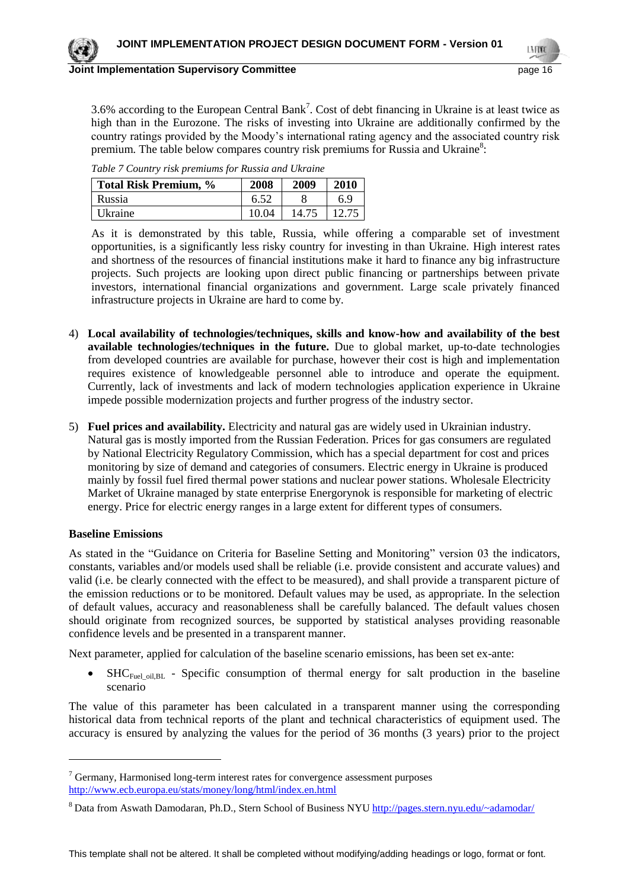3.6% according to the European Central Bank<sup>7</sup>. Cost of debt financing in Ukraine is at least twice as high than in the Eurozone. The risks of investing into Ukraine are additionally confirmed by the country ratings provided by the Moody's international rating agency and the associated country risk premium. The table below compares country risk premiums for Russia and Ukraine $^8$ :

| Total Risk Premium, % | 2008  | 2009  | 2010  |
|-----------------------|-------|-------|-------|
| Russia                | 6.52  |       | 6.9   |
| Ukraine               | 10.04 | 14.75 | 12.75 |

*Table 7 Country risk premiums for Russia and Ukraine*

As it is demonstrated by this table, Russia, while offering a comparable set of investment opportunities, is a significantly less risky country for investing in than Ukraine. High interest rates and shortness of the resources of financial institutions make it hard to finance any big infrastructure projects. Such projects are looking upon direct public financing or partnerships between private investors, international financial organizations and government. Large scale privately financed infrastructure projects in Ukraine are hard to come by.

- 4) **Local availability of technologies/techniques, skills and know-how and availability of the best available technologies/techniques in the future.** Due to global market, up-to-date technologies from developed countries are available for purchase, however their cost is high and implementation requires existence of knowledgeable personnel able to introduce and operate the equipment. Currently, lack of investments and lack of modern technologies application experience in Ukraine impede possible modernization projects and further progress of the industry sector.
- 5) **Fuel prices and availability.** Electricity and natural gas are widely used in Ukrainian industry. Natural gas is mostly imported from the Russian Federation. Prices for gas consumers are regulated by National Electricity Regulatory Commission, which has a special department for cost and prices monitoring by size of demand and categories of consumers. Electric energy in Ukraine is produced mainly by fossil fuel fired thermal power stations and nuclear power stations. Wholesale Electricity Market of Ukraine managed by state enterprise Energorynok is responsible for marketing of electric energy. Price for electric energy ranges in a large extent for different types of consumers.

#### **Baseline Emissions**

 $\overline{a}$ 

As stated in the "Guidance on Criteria for Baseline Setting and Monitoring" version 03 the indicators, constants, variables and/or models used shall be reliable (i.e. provide consistent and accurate values) and valid (i.e. be clearly connected with the effect to be measured), and shall provide a transparent picture of the emission reductions or to be monitored. Default values may be used, as appropriate. In the selection of default values, accuracy and reasonableness shall be carefully balanced. The default values chosen should originate from recognized sources, be supported by statistical analyses providing reasonable confidence levels and be presented in a transparent manner.

Next parameter, applied for calculation of the baseline scenario emissions, has been set ex-ante:

• SHC<sub>Fuel oil,BL</sub> - Specific consumption of thermal energy for salt production in the baseline scenario

The value of this parameter has been calculated in a transparent manner using the corresponding historical data from technical reports of the plant and technical characteristics of equipment used. The accuracy is ensured by analyzing the values for the period of 36 months (3 years) prior to the project

 $7$  Germany, Harmonised long-term interest rates for convergence assessment purposes <http://www.ecb.europa.eu/stats/money/long/html/index.en.html>

<sup>&</sup>lt;sup>8</sup> Data from Aswath Damodaran, Ph.D., Stern School of Business NYU <http://pages.stern.nyu.edu/~adamodar/>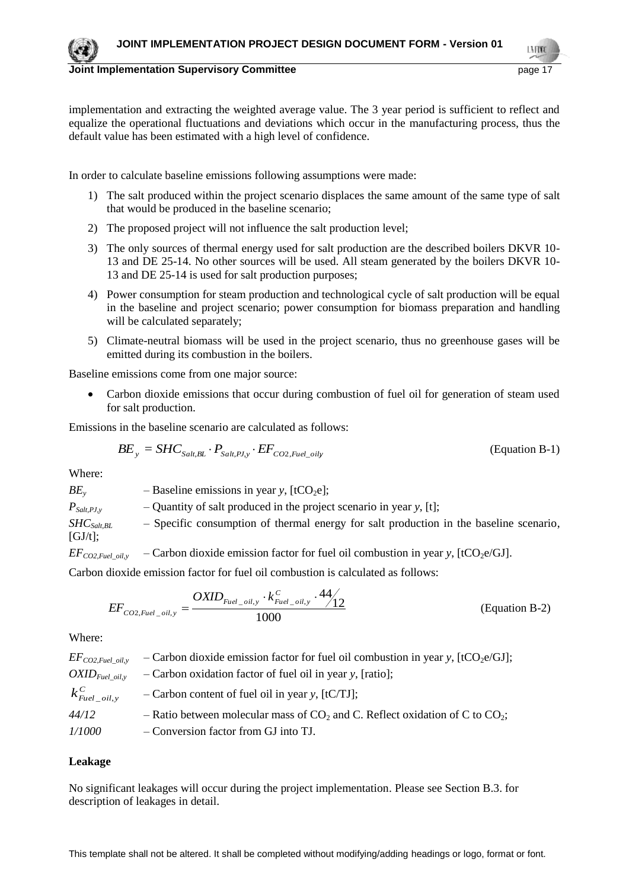

**Joint Implementation Supervisory Committee** *page 17* **and the page 17 and the page 17 and the page 17 and the page 17 and the page 17 and the page 17 and the page 17 and the page 17 and the page 17 and the page 17 and the** 

implementation and extracting the weighted average value. The 3 year period is sufficient to reflect and equalize the operational fluctuations and deviations which occur in the manufacturing process, thus the default value has been estimated with a high level of confidence.

In order to calculate baseline emissions following assumptions were made:

- 1) The salt produced within the project scenario displaces the same amount of the same type of salt that would be produced in the baseline scenario;
- 2) The proposed project will not influence the salt production level;
- 3) The only sources of thermal energy used for salt production are the described boilers DKVR 10- 13 and DE 25-14. No other sources will be used. All steam generated by the boilers DKVR 10- 13 and DE 25-14 is used for salt production purposes;
- 4) Power consumption for steam production and technological cycle of salt production will be equal in the baseline and project scenario; power consumption for biomass preparation and handling will be calculated separately;
- 5) Climate-neutral biomass will be used in the project scenario, thus no greenhouse gases will be emitted during its combustion in the boilers.

Baseline emissions come from one major source:

 Carbon dioxide emissions that occur during combustion of fuel oil for generation of steam used for salt production.

Emissions in the baseline scenario are calculated as follows:

$$
BE_y = SHC_{Salt, BL} \cdot P_{Salt, PJ, y} \cdot EF_{CO2, Fuel\_oily}
$$
 (Equation B-1)

Where:

 $BE<sub>v</sub>$  – Baseline emissions in year *y*, [tCO<sub>2</sub>e];  $P_{Salt,PLy}$  – Quantity of salt produced in the project scenario in year *y*, [t]; *SHCSalt,BL* – Specific consumption of thermal energy for salt production in the baseline scenario,  $[GJ/t];$  $EF_{CO2, fuel\ oil}$ , – Carbon dioxide emission factor for fuel oil combustion in year *y*, [tCO<sub>2</sub>e/GJ].

Carbon dioxide emission factor for fuel oil combustion is calculated as follows:

$$
EF_{CO2, Fuel\_oil, y} = \frac{OXID_{Fuel\_oil, y} \cdot k_{Fuel\_oil, y}^C \cdot 44}{1000}
$$
 (Equation B-2)

Where:

 $EF_{CO2,Fuel\_oily}$  – Carbon dioxide emission factor for fuel oil combustion in year *y*, [tCO<sub>2</sub>e/GJ]; *OXIDFuel\_oil,y* – Carbon oxidation factor of fuel oil in year *y*, [ratio]; *C*  $k_{\textit{Fuel\_oil},y}^{\textit{C}}$ – Carbon content of fuel oil in year *y*, [tC/TJ];  $44/12$  – Ratio between molecular mass of  $CO_2$  and C. Reflect oxidation of C to  $CO_2$ ; *1/1000* – Conversion factor from GJ into TJ.

#### **Leakage**

No significant leakages will occur during the project implementation. Please see Section B.3. for description of leakages in detail.

This template shall not be altered. It shall be completed without modifying/adding headings or logo, format or font.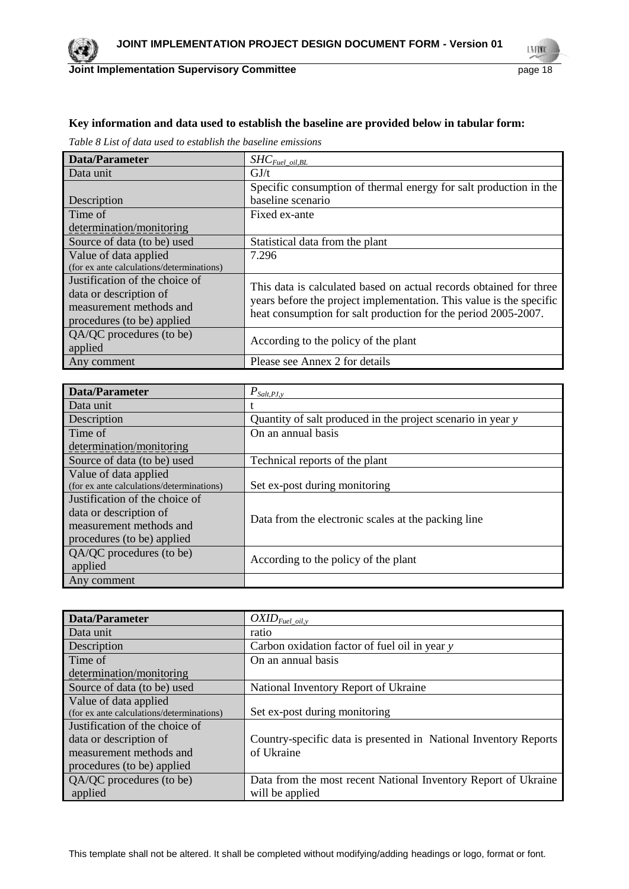

## **Joint Implementation Supervisory Committee Access 2018** page 18

LMON

## **Key information and data used to establish the baseline are provided below in tabular form:**

*Table 8 List of data used to establish the baseline emissions*

| Data/Parameter                            | $SHC_{\mathit{Fuel\_oil, BL}}$                                      |
|-------------------------------------------|---------------------------------------------------------------------|
| Data unit                                 | GJ/t                                                                |
|                                           | Specific consumption of thermal energy for salt production in the   |
| Description                               | baseline scenario                                                   |
| Time of                                   | Fixed ex-ante                                                       |
| determination/monitoring                  |                                                                     |
| Source of data (to be) used               | Statistical data from the plant                                     |
| Value of data applied                     | 7.296                                                               |
| (for ex ante calculations/determinations) |                                                                     |
| Justification of the choice of            | This data is calculated based on actual records obtained for three  |
| data or description of                    | years before the project implementation. This value is the specific |
| measurement methods and                   | heat consumption for salt production for the period 2005-2007.      |
| procedures (to be) applied                |                                                                     |
| QA/QC procedures (to be)                  | According to the policy of the plant                                |
| applied                                   |                                                                     |
| Any comment                               | Please see Annex 2 for details                                      |

| Data/Parameter                            | $P_{\textit{Salt},\textit{PJ},\textit{y}}$                  |
|-------------------------------------------|-------------------------------------------------------------|
| Data unit                                 |                                                             |
| Description                               | Quantity of salt produced in the project scenario in year y |
| Time of                                   | On an annual basis                                          |
| determination/monitoring                  |                                                             |
| Source of data (to be) used               | Technical reports of the plant                              |
| Value of data applied                     |                                                             |
| (for ex ante calculations/determinations) | Set ex-post during monitoring                               |
| Justification of the choice of            |                                                             |
| data or description of                    | Data from the electronic scales at the packing line         |
| measurement methods and                   |                                                             |
| procedures (to be) applied                |                                                             |
| QA/QC procedures (to be)                  |                                                             |
| applied                                   | According to the policy of the plant                        |
| Any comment                               |                                                             |

| Data/Parameter                            | $OXID_{Fuel\_oil, y}$                                            |
|-------------------------------------------|------------------------------------------------------------------|
| Data unit                                 | ratio                                                            |
| Description                               | Carbon oxidation factor of fuel oil in year y                    |
| Time of                                   | On an annual basis                                               |
| determination/monitoring                  |                                                                  |
| Source of data (to be) used               | National Inventory Report of Ukraine                             |
| Value of data applied                     |                                                                  |
| (for ex ante calculations/determinations) | Set ex-post during monitoring                                    |
| Justification of the choice of            |                                                                  |
| data or description of                    | Country-specific data is presented in National Inventory Reports |
| measurement methods and                   | of Ukraine                                                       |
| procedures (to be) applied                |                                                                  |
| QA/QC procedures (to be)                  | Data from the most recent National Inventory Report of Ukraine   |
| applied                                   | will be applied                                                  |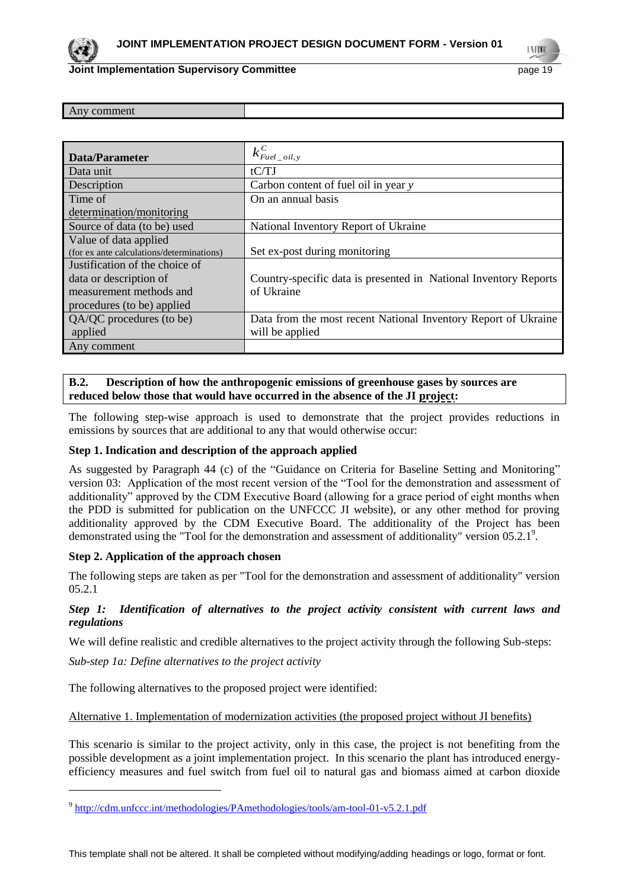

#### **Joint Implementation Supervisory Committee Access 2009 19 and 2009 19 and 2009 19 and 2009 19 and 2009 19 and 20**

LMON

| Data/Parameter                            | $k_{\text{Eucl\_oil},y}^C$                                       |
|-------------------------------------------|------------------------------------------------------------------|
| Data unit                                 | tCTJ                                                             |
| Description                               | Carbon content of fuel oil in year y                             |
| Time of                                   | On an annual basis                                               |
| determination/monitoring                  |                                                                  |
| Source of data (to be) used               | National Inventory Report of Ukraine                             |
| Value of data applied                     |                                                                  |
| (for ex ante calculations/determinations) | Set ex-post during monitoring                                    |
| Justification of the choice of            |                                                                  |
| data or description of                    | Country-specific data is presented in National Inventory Reports |
| measurement methods and                   | of Ukraine                                                       |
| procedures (to be) applied                |                                                                  |
| QA/QC procedures (to be)                  | Data from the most recent National Inventory Report of Ukraine   |
| applied                                   | will be applied                                                  |
| Any comment                               |                                                                  |

## **B.2. Description of how the anthropogenic emissions of greenhouse gases by sources are reduced below those that would have occurred in the absence of the JI project:**

The following step-wise approach is used to demonstrate that the project provides reductions in emissions by sources that are additional to any that would otherwise occur:

#### **Step 1. Indication and description of the approach applied**

As suggested by Paragraph 44 (c) of the "Guidance on Criteria for Baseline Setting and Monitoring" version 03: Application of the most recent version of the "Tool for the demonstration and assessment of additionality" approved by the CDM Executive Board (allowing for a grace period of eight months when the PDD is submitted for publication on the UNFCCC JI website), or any other method for proving additionality approved by the CDM Executive Board. The additionality of the Project has been demonstrated using the "Tool for the demonstration and assessment of additionality" version 05.2.1<sup>9</sup>.

#### **Step 2. Application of the approach chosen**

The following steps are taken as per "Tool for the demonstration and assessment of additionality" version 05.2.1

## *Step 1: Identification of alternatives to the project activity consistent with current laws and regulations*

We will define realistic and credible alternatives to the project activity through the following Sub-steps:

*Sub-step 1a: Define alternatives to the project activity*

 $\overline{a}$ 

The following alternatives to the proposed project were identified:

#### Alternative 1. Implementation of modernization activities (the proposed project without JI benefits)

This scenario is similar to the project activity, only in this case, the project is not benefiting from the possible development as a joint implementation project. In this scenario the plant has introduced energyefficiency measures and fuel switch from fuel oil to natural gas and biomass aimed at carbon dioxide

<sup>&</sup>lt;sup>9</sup> <http://cdm.unfccc.int/methodologies/PAmethodologies/tools/am-tool-01-v5.2.1.pdf>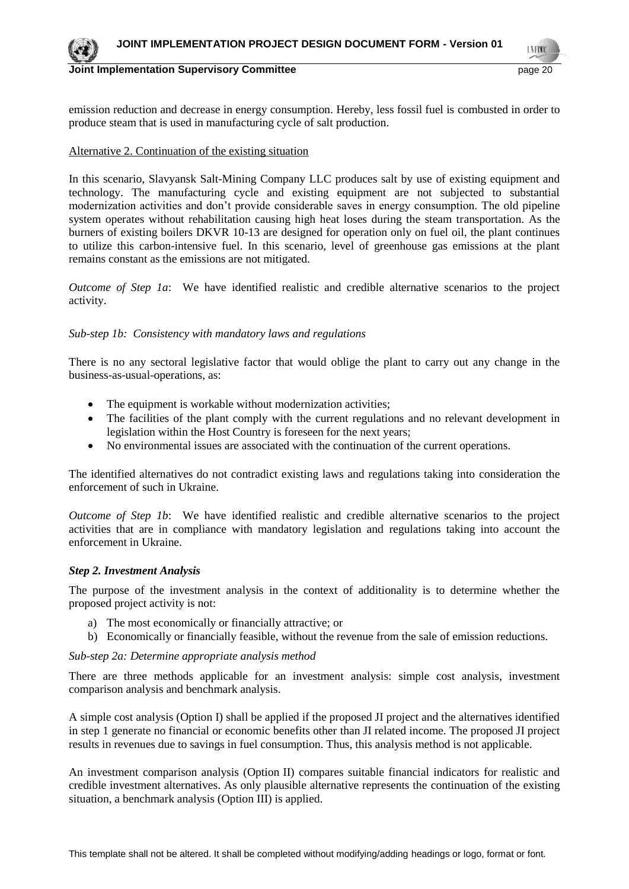

**Joint Implementation Supervisory Committee According to the Control of the Control of the Control of the Conduct of the Conduct of the Conduct of the Page 20 and 20 and 20 and 20 and 20 and 20 and 20 and 20 and 20 and 20** 

emission reduction and decrease in energy consumption. Hereby, less fossil fuel is combusted in order to produce steam that is used in manufacturing cycle of salt production.

#### Alternative 2. Continuation of the existing situation

In this scenario, Slavyansk Salt-Mining Company LLC produces salt by use of existing equipment and technology. The manufacturing cycle and existing equipment are not subjected to substantial modernization activities and don't provide considerable saves in energy consumption. The old pipeline system operates without rehabilitation causing high heat loses during the steam transportation. As the burners of existing boilers DKVR 10-13 are designed for operation only on fuel oil, the plant continues to utilize this carbon-intensive fuel. In this scenario, level of greenhouse gas emissions at the plant remains constant as the emissions are not mitigated.

*Outcome of Step 1a*: We have identified realistic and credible alternative scenarios to the project activity.

#### *Sub-step 1b: Consistency with mandatory laws and regulations*

There is no any sectoral legislative factor that would oblige the plant to carry out any change in the business-as-usual-operations, as:

- The equipment is workable without modernization activities;
- The facilities of the plant comply with the current regulations and no relevant development in legislation within the Host Country is foreseen for the next years;
- No environmental issues are associated with the continuation of the current operations.

The identified alternatives do not contradict existing laws and regulations taking into consideration the enforcement of such in Ukraine.

*Outcome of Step 1b*: We have identified realistic and credible alternative scenarios to the project activities that are in compliance with mandatory legislation and regulations taking into account the enforcement in Ukraine.

#### *Step 2. Investment Analysis*

The purpose of the investment analysis in the context of additionality is to determine whether the proposed project activity is not:

- a) The most economically or financially attractive; or
- b) Economically or financially feasible, without the revenue from the sale of emission reductions.

#### *Sub-step 2a: Determine appropriate analysis method*

There are three methods applicable for an investment analysis: simple cost analysis, investment comparison analysis and benchmark analysis.

A simple cost analysis (Option I) shall be applied if the proposed JI project and the alternatives identified in step 1 generate no financial or economic benefits other than JI related income. The proposed JI project results in revenues due to savings in fuel consumption. Thus, this analysis method is not applicable.

An investment comparison analysis (Option II) compares suitable financial indicators for realistic and credible investment alternatives. As only plausible alternative represents the continuation of the existing situation, a benchmark analysis (Option III) is applied.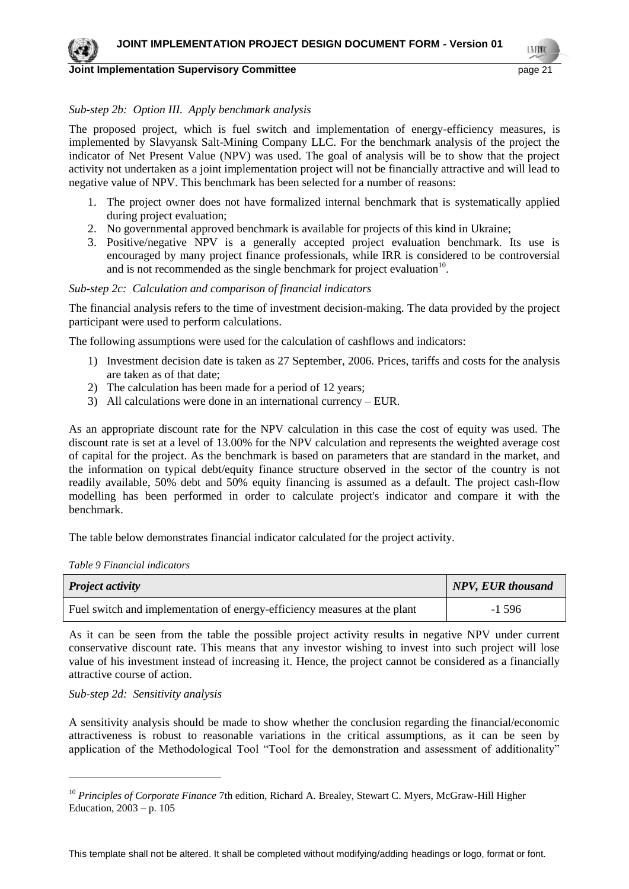

#### **Joint Implementation Supervisory Committee** *page 21* **and the page 21 and the page 21 and the page 21 and the page 21 and the page 21 and the page 21 and the page 21 and the page 21 and the page 21 and the page 21 and the**

LN FON

#### *Sub-step 2b: Option III. Apply benchmark analysis*

The proposed project, which is fuel switch and implementation of energy-efficiency measures, is implemented by Slavyansk Salt-Mining Company LLC. For the benchmark analysis of the project the indicator of Net Present Value (NPV) was used. The goal of analysis will be to show that the project activity not undertaken as a joint implementation project will not be financially attractive and will lead to negative value of NPV. This benchmark has been selected for a number of reasons:

- 1. The project owner does not have formalized internal benchmark that is systematically applied during project evaluation;
- 2. No governmental approved benchmark is available for projects of this kind in Ukraine;
- 3. Positive/negative NPV is a generally accepted project evaluation benchmark. Its use is encouraged by many project finance professionals, while IRR is considered to be controversial and is not recommended as the single benchmark for project evaluation $10$ .

#### *Sub-step 2c: Calculation and comparison of financial indicators*

The financial analysis refers to the time of investment decision-making. The data provided by the project participant were used to perform calculations.

The following assumptions were used for the calculation of cashflows and indicators:

- 1) Investment decision date is taken as 27 September, 2006. Prices, tariffs and costs for the analysis are taken as of that date;
- 2) The calculation has been made for a period of 12 years;
- 3) All calculations were done in an international currency EUR.

As an appropriate discount rate for the NPV calculation in this case the cost of equity was used. The discount rate is set at a level of 13.00% for the NPV calculation and represents the weighted average cost of capital for the project. As the benchmark is based on parameters that are standard in the market, and the information on typical debt/equity finance structure observed in the sector of the country is not readily available, 50% debt and 50% equity financing is assumed as a default. The project cash-flow modelling has been performed in order to calculate project's indicator and compare it with the benchmark.

The table below demonstrates financial indicator calculated for the project activity.

*Table 9 Financial indicators*

| <b>Project activity</b>                                                   | NPV, EUR thousand |
|---------------------------------------------------------------------------|-------------------|
| Fuel switch and implementation of energy-efficiency measures at the plant | -1 596            |

As it can be seen from the table the possible project activity results in negative NPV under current conservative discount rate. This means that any investor wishing to invest into such project will lose value of his investment instead of increasing it. Hence, the project cannot be considered as a financially attractive course of action.

*Sub-step 2d: Sensitivity analysis*

A sensitivity analysis should be made to show whether the conclusion regarding the financial/economic attractiveness is robust to reasonable variations in the critical assumptions, as it can be seen by application of the Methodological Tool "Tool for the demonstration and assessment of additionality"

This template shall not be altered. It shall be completed without modifying/adding headings or logo, format or font.

<sup>&</sup>lt;sup>10</sup> Principles of Corporate Finance 7th edition, Richard A. Brealey, Stewart C. Myers, McGraw-Hill Higher Education,  $2003 - p. 105$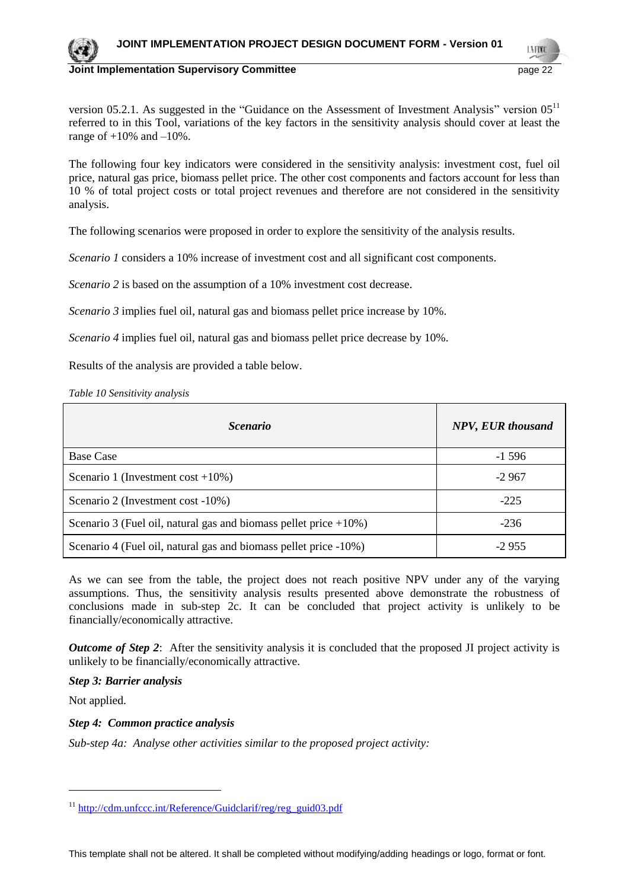

**Joint Implementation Supervisory Committee According to the Control of the Control of the Control of the Control of the Control of the Control of the Control of the Control of the Control of the Control of the Control of** 

version 05.2.1. As suggested in the "Guidance on the Assessment of Investment Analysis" version  $05^{11}$ referred to in this Tool, variations of the key factors in the sensitivity analysis should cover at least the range of  $+10\%$  and  $-10\%$ .

The following four key indicators were considered in the sensitivity analysis: investment cost, fuel oil price, natural gas price, biomass pellet price. The other cost components and factors account for less than 10 % of total project costs or total project revenues and therefore are not considered in the sensitivity analysis.

The following scenarios were proposed in order to explore the sensitivity of the analysis results.

*Scenario 1* considers a 10% increase of investment cost and all significant cost components.

*Scenario 2* is based on the assumption of a 10% investment cost decrease.

*Scenario 3* implies fuel oil, natural gas and biomass pellet price increase by 10%.

*Scenario 4* implies fuel oil, natural gas and biomass pellet price decrease by 10%.

Results of the analysis are provided a table below.

*Table 10 Sensitivity analysis*

| <i>Scenario</i>                                                      | <b>NPV, EUR thousand</b> |
|----------------------------------------------------------------------|--------------------------|
| <b>Base Case</b>                                                     | $-1596$                  |
| Scenario 1 (Investment cost $+10\%$ )                                | $-2967$                  |
| Scenario 2 (Investment cost -10%)                                    | $-225$                   |
| Scenario 3 (Fuel oil, natural gas and biomass pellet price $+10\%$ ) | $-236$                   |
| Scenario 4 (Fuel oil, natural gas and biomass pellet price -10%)     | $-2955$                  |

As we can see from the table, the project does not reach positive NPV under any of the varying assumptions. Thus, the sensitivity analysis results presented above demonstrate the robustness of conclusions made in sub-step 2c. It can be concluded that project activity is unlikely to be financially/economically attractive.

*Outcome of Step 2*: After the sensitivity analysis it is concluded that the proposed JI project activity is unlikely to be financially/economically attractive.

*Step 3: Barrier analysis*

Not applied.

 $\overline{a}$ 

*Step 4: Common practice analysis*

*Sub-step 4a: Analyse other activities similar to the proposed project activity:*

[http://cdm.unfccc.int/Reference/Guidclarif/reg/reg\\_guid03.pdf](http://cdm.unfccc.int/Reference/Guidclarif/reg/reg_guid03.pdf)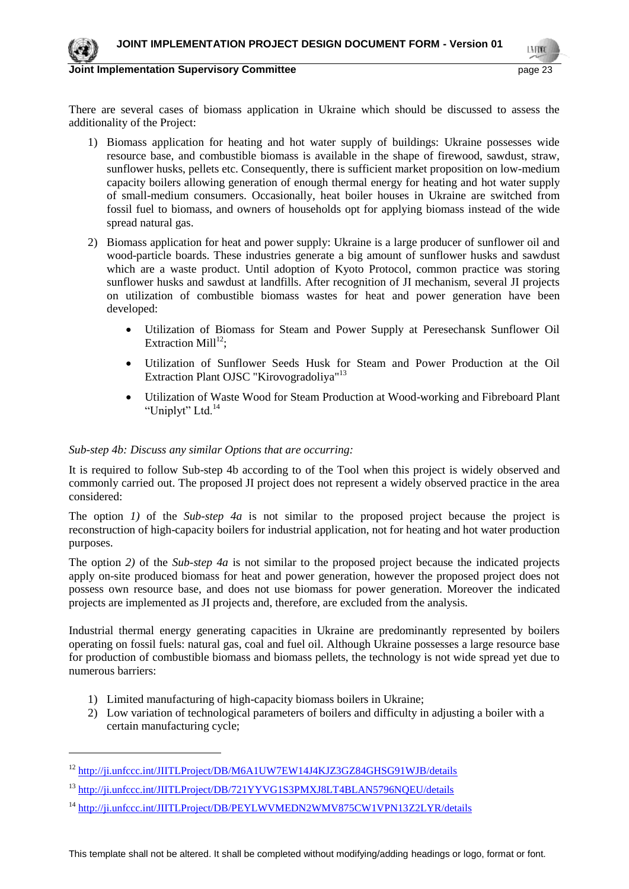

 $\overline{a}$ 

**Joint Implementation Supervisory Committee According to the Control of the Control of the Control of the Control of the Control of the Control of the Control of the Control of the Control of the Control of the Control of** 

LN FON

There are several cases of biomass application in Ukraine which should be discussed to assess the additionality of the Project:

- 1) Biomass application for heating and hot water supply of buildings: Ukraine possesses wide resource base, and combustible biomass is available in the shape of firewood, sawdust, straw, sunflower husks, pellets etc. Consequently, there is sufficient market proposition on low-medium capacity boilers allowing generation of enough thermal energy for heating and hot water supply of small-medium consumers. Occasionally, heat boiler houses in Ukraine are switched from fossil fuel to biomass, and owners of households opt for applying biomass instead of the wide spread natural gas.
- 2) Biomass application for heat and power supply: Ukraine is a large producer of sunflower oil and wood-particle boards. These industries generate a big amount of sunflower husks and sawdust which are a waste product. Until adoption of Kyoto Protocol, common practice was storing sunflower husks and sawdust at landfills. After recognition of JI mechanism, several JI projects on utilization of combustible biomass wastes for heat and power generation have been developed:
	- Utilization of Biomass for Steam and Power Supply at Peresechansk Sunflower Oil Extraction Mill $^{12}$ :
	- Utilization of Sunflower Seeds Husk for Steam and Power Production at the Oil Extraction Plant OJSC "Kirovogradoliya"<sup>13</sup>
	- Utilization of Waste Wood for Steam Production at Wood-working and Fibreboard Plant "Uniplyt" Ltd.<sup>14</sup>

#### *Sub-step 4b: Discuss any similar Options that are occurring:*

It is required to follow Sub-step 4b according to of the Tool when this project is widely observed and commonly carried out. The proposed JI project does not represent a widely observed practice in the area considered:

The option *1)* of the *Sub-step 4a* is not similar to the proposed project because the project is reconstruction of high-capacity boilers for industrial application, not for heating and hot water production purposes.

The option *2)* of the *Sub-step 4a* is not similar to the proposed project because the indicated projects apply on-site produced biomass for heat and power generation, however the proposed project does not possess own resource base, and does not use biomass for power generation. Moreover the indicated projects are implemented as JI projects and, therefore, are excluded from the analysis.

Industrial thermal energy generating capacities in Ukraine are predominantly represented by boilers operating on fossil fuels: natural gas, coal and fuel oil. Although Ukraine possesses a large resource base for production of combustible biomass and biomass pellets, the technology is not wide spread yet due to numerous barriers:

- 1) Limited manufacturing of high-capacity biomass boilers in Ukraine;
- 2) Low variation of technological parameters of boilers and difficulty in adjusting a boiler with a certain manufacturing cycle;

<sup>14</sup> <http://ji.unfccc.int/JIITLProject/DB/PEYLWVMEDN2WMV875CW1VPN13Z2LYR/details>

This template shall not be altered. It shall be completed without modifying/adding headings or logo, format or font.

<sup>&</sup>lt;sup>12</sup> <http://ji.unfccc.int/JIITLProject/DB/M6A1UW7EW14J4KJZ3GZ84GHSG91WJB/details>

<sup>&</sup>lt;sup>13</sup> <http://ji.unfccc.int/JIITLProject/DB/721YYVG1S3PMXJ8LT4BLAN5796NQEU/details>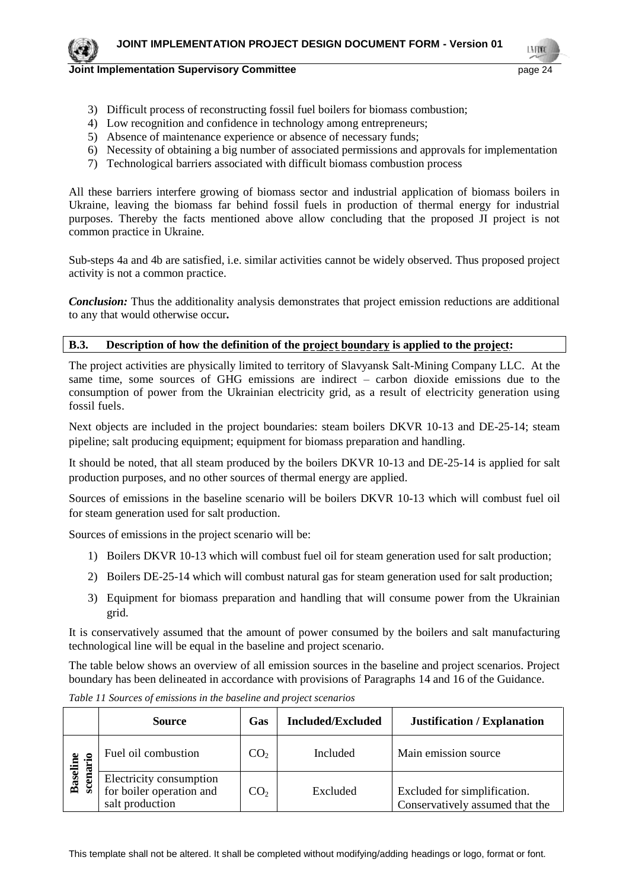

LN FON

- **Joint Implementation Supervisory Committee** *page 24* **page 24** 
	- 3) Difficult process of reconstructing fossil fuel boilers for biomass combustion;
	- 4) Low recognition and confidence in technology among entrepreneurs;
	- 5) Absence of maintenance experience or absence of necessary funds;
	- 6) Necessity of obtaining a big number of associated permissions and approvals for implementation
	- 7) Technological barriers associated with difficult biomass combustion process

All these barriers interfere growing of biomass sector and industrial application of biomass boilers in Ukraine, leaving the biomass far behind fossil fuels in production of thermal energy for industrial purposes. Thereby the facts mentioned above allow concluding that the proposed JI project is not common practice in Ukraine.

Sub-steps 4a and 4b are satisfied, i.e. similar activities cannot be widely observed. Thus proposed project activity is not a common practice.

*Conclusion:* Thus the additionality analysis demonstrates that project emission reductions are additional to any that would otherwise occur*.*

## **B.3. Description of how the definition of the project boundary is applied to the project:**

The project activities are physically limited to territory of Slavyansk Salt-Mining Company LLC. At the same time, some sources of GHG emissions are indirect – carbon dioxide emissions due to the consumption of power from the Ukrainian electricity grid, as a result of electricity generation using fossil fuels.

Next objects are included in the project boundaries: steam boilers DKVR 10-13 and DE-25-14; steam pipeline; salt producing equipment; equipment for biomass preparation and handling.

It should be noted, that all steam produced by the boilers DKVR 10-13 and DE-25-14 is applied for salt production purposes, and no other sources of thermal energy are applied.

Sources of emissions in the baseline scenario will be boilers DKVR 10-13 which will combust fuel oil for steam generation used for salt production.

Sources of emissions in the project scenario will be:

- 1) Boilers DKVR 10-13 which will combust fuel oil for steam generation used for salt production;
- 2) Boilers DE-25-14 which will combust natural gas for steam generation used for salt production;
- 3) Equipment for biomass preparation and handling that will consume power from the Ukrainian grid.

It is conservatively assumed that the amount of power consumed by the boilers and salt manufacturing technological line will be equal in the baseline and project scenario.

The table below shows an overview of all emission sources in the baseline and project scenarios. Project boundary has been delineated in accordance with provisions of Paragraphs 14 and 16 of the Guidance.

|                 | Gas<br><b>Source</b>                                                   |                 | <b>Included/Excluded</b> | <b>Justification / Explanation</b>                              |
|-----------------|------------------------------------------------------------------------|-----------------|--------------------------|-----------------------------------------------------------------|
| ario            | Fuel oil combustion                                                    | CO <sub>2</sub> | Included                 | Main emission source                                            |
| <b>Baseline</b> | Electricity consumption<br>for boiler operation and<br>salt production | CO <sub>2</sub> | Excluded                 | Excluded for simplification.<br>Conservatively assumed that the |

*Table 11 Sources of emissions in the baseline and project scenarios*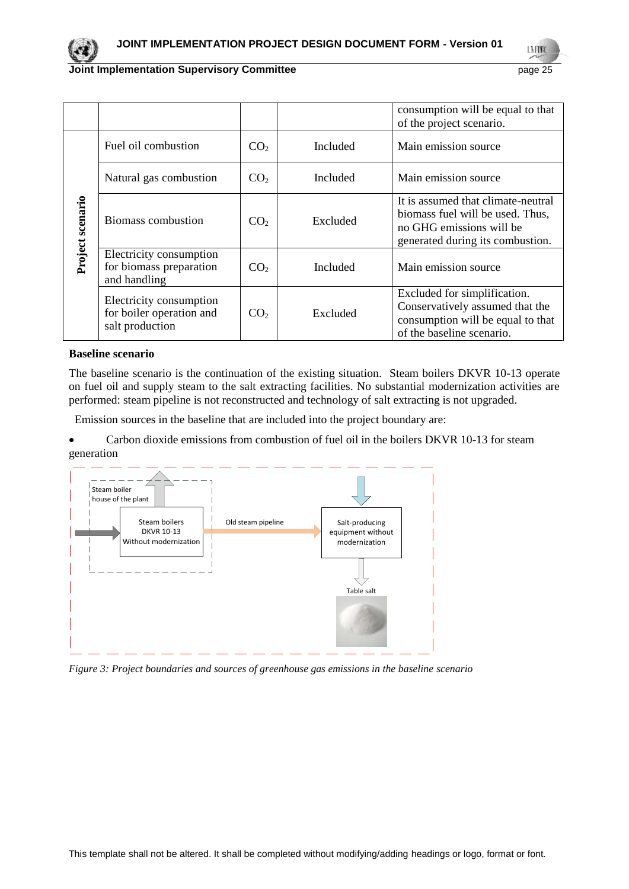LMON

|                  |                                                                        |                             |          | consumption will be equal to that<br>of the project scenario.                                                                          |
|------------------|------------------------------------------------------------------------|-----------------------------|----------|----------------------------------------------------------------------------------------------------------------------------------------|
| Project scenario | Fuel oil combustion                                                    | CO <sub>2</sub>             | Included | Main emission source                                                                                                                   |
|                  | Natural gas combustion                                                 | CO <sub>2</sub>             | Included | Main emission source                                                                                                                   |
|                  | Biomass combustion                                                     | Excluded<br>CO <sub>2</sub> |          | It is assumed that climate-neutral<br>biomass fuel will be used. Thus,<br>no GHG emissions will be<br>generated during its combustion. |
|                  | Electricity consumption<br>for biomass preparation<br>and handling     | CO <sub>2</sub>             | Included | Main emission source                                                                                                                   |
|                  | Electricity consumption<br>for boiler operation and<br>salt production | CO <sub>2</sub>             | Excluded | Excluded for simplification.<br>Conservatively assumed that the<br>consumption will be equal to that<br>of the baseline scenario.      |

#### **Baseline scenario**

The baseline scenario is the continuation of the existing situation. Steam boilers DKVR 10-13 operate on fuel oil and supply steam to the salt extracting facilities. No substantial modernization activities are performed: steam pipeline is not reconstructed and technology of salt extracting is not upgraded.

Emission sources in the baseline that are included into the project boundary are:

• Carbon dioxide emissions from combustion of fuel oil in the boilers DKVR 10-13 for steam generation



*Figure 3: Project boundaries and sources of greenhouse gas emissions in the baseline scenario*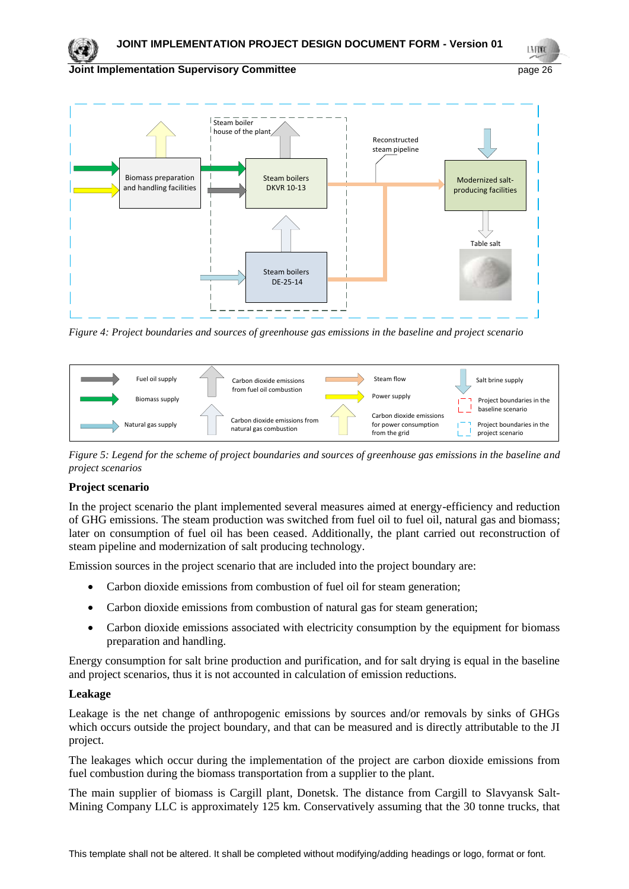LMON

## **Joint Implementation Supervisory Committee** *page 26* **page 26**



*Figure 4: Project boundaries and sources of greenhouse gas emissions in the baseline and project scenario*



*Figure 5: Legend for the scheme of project boundaries and sources of greenhouse gas emissions in the baseline and project scenarios*

## **Project scenario**

In the project scenario the plant implemented several measures aimed at energy-efficiency and reduction of GHG emissions. The steam production was switched from fuel oil to fuel oil, natural gas and biomass; later on consumption of fuel oil has been ceased. Additionally, the plant carried out reconstruction of steam pipeline and modernization of salt producing technology.

Emission sources in the project scenario that are included into the project boundary are:

- Carbon dioxide emissions from combustion of fuel oil for steam generation;
- Carbon dioxide emissions from combustion of natural gas for steam generation;
- Carbon dioxide emissions associated with electricity consumption by the equipment for biomass preparation and handling.

Energy consumption for salt brine production and purification, and for salt drying is equal in the baseline and project scenarios, thus it is not accounted in calculation of emission reductions.

## **Leakage**

Leakage is the net change of anthropogenic emissions by sources and/or removals by sinks of GHGs which occurs outside the project boundary, and that can be measured and is directly attributable to the JI project.

The leakages which occur during the implementation of the project are carbon dioxide emissions from fuel combustion during the biomass transportation from a supplier to the plant.

The main supplier of biomass is Cargill plant, Donetsk. The distance from Cargill to Slavyansk Salt-Mining Company LLC is approximately 125 km. Conservatively assuming that the 30 tonne trucks, that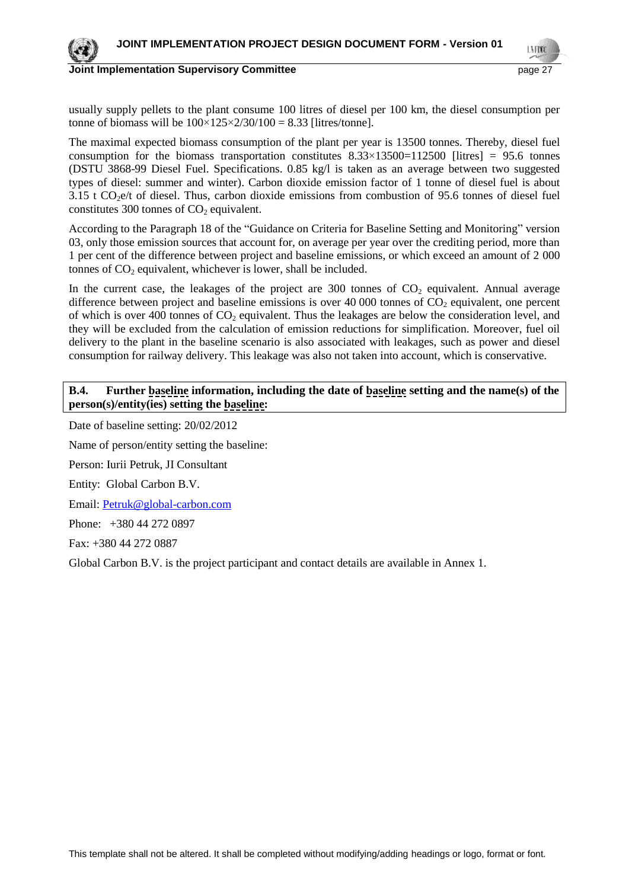

**Joint Implementation Supervisory Committee Committee** *page 27* and page 27

usually supply pellets to the plant consume 100 litres of diesel per 100 km, the diesel consumption per tonne of biomass will be  $100 \times 125 \times 2/30/100 = 8.33$  [litres/tonne].

The maximal expected biomass consumption of the plant per year is 13500 tonnes. Thereby, diesel fuel consumption for the biomass transportation constitutes  $8.33 \times 13500 = 112500$  [litres] = 95.6 tonnes (DSTU 3868-99 Diesel Fuel. Specifications. 0.85 kg/l is taken as an average between two suggested types of diesel: summer and winter). Carbon dioxide emission factor of 1 tonne of diesel fuel is about  $3.15$  t CO<sub>2</sub>e/t of diesel. Thus, carbon dioxide emissions from combustion of 95.6 tonnes of diesel fuel constitutes 300 tonnes of  $CO<sub>2</sub>$  equivalent.

According to the Paragraph 18 of the "Guidance on Criteria for Baseline Setting and Monitoring" version 03, only those emission sources that account for, on average per year over the crediting period, more than 1 per cent of the difference between project and baseline emissions, or which exceed an amount of 2 000 tonnes of  $CO<sub>2</sub>$  equivalent, whichever is lower, shall be included.

In the current case, the leakages of the project are 300 tonnes of  $CO<sub>2</sub>$  equivalent. Annual average difference between project and baseline emissions is over 40 000 tonnes of  $CO<sub>2</sub>$  equivalent, one percent of which is over 400 tonnes of  $CO<sub>2</sub>$  equivalent. Thus the leakages are below the consideration level, and they will be excluded from the calculation of emission reductions for simplification. Moreover, fuel oil delivery to the plant in the baseline scenario is also associated with leakages, such as power and diesel consumption for railway delivery. This leakage was also not taken into account, which is conservative.

## **B.4. Further baseline information, including the date of baseline setting and the name(s) of the person(s)/entity(ies) setting the baseline:**

Date of baseline setting: 20/02/2012

Name of person/entity setting the baseline:

Person: Iurii Petruk, JI Consultant

Entity: Global Carbon B.V.

Email: [Petruk@global-carbon.com](mailto:Petruk@global-carbon.com)

Phone: +380 44 272 0897

Fax: +380 44 272 0887

Global Carbon B.V. is the project participant and contact details are available in Annex 1.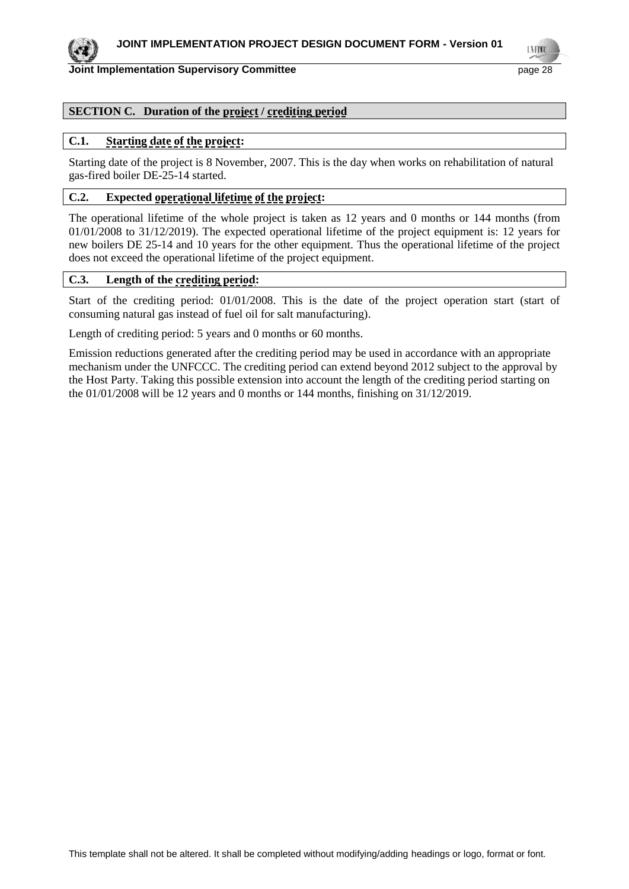

#### **Joint Implementation Supervisory Committee According the Common Common Committee According Committee According to the Committee According to the Committee According to the Committee According to the Committee According to**

LMON

## **SECTION C. Duration of the project / crediting period**

#### **C.1. Starting date of the project:**

Starting date of the project is 8 November, 2007. This is the day when works on rehabilitation of natural gas-fired boiler DE-25-14 started.

## **C.2. Expected operational lifetime of the project:**

The operational lifetime of the whole project is taken as 12 years and 0 months or 144 months (from 01/01/2008 to 31/12/2019). The expected operational lifetime of the project equipment is: 12 years for new boilers DE 25-14 and 10 years for the other equipment. Thus the operational lifetime of the project does not exceed the operational lifetime of the project equipment.

#### **C.3. Length of the crediting period:**

Start of the crediting period: 01/01/2008. This is the date of the project operation start (start of consuming natural gas instead of fuel oil for salt manufacturing).

Length of crediting period: 5 years and 0 months or 60 months.

Emission reductions generated after the crediting period may be used in accordance with an appropriate mechanism under the UNFCCC. The crediting period can extend beyond 2012 subject to the approval by the Host Party. Taking this possible extension into account the length of the crediting period starting on the 01/01/2008 will be 12 years and 0 months or 144 months, finishing on 31/12/2019.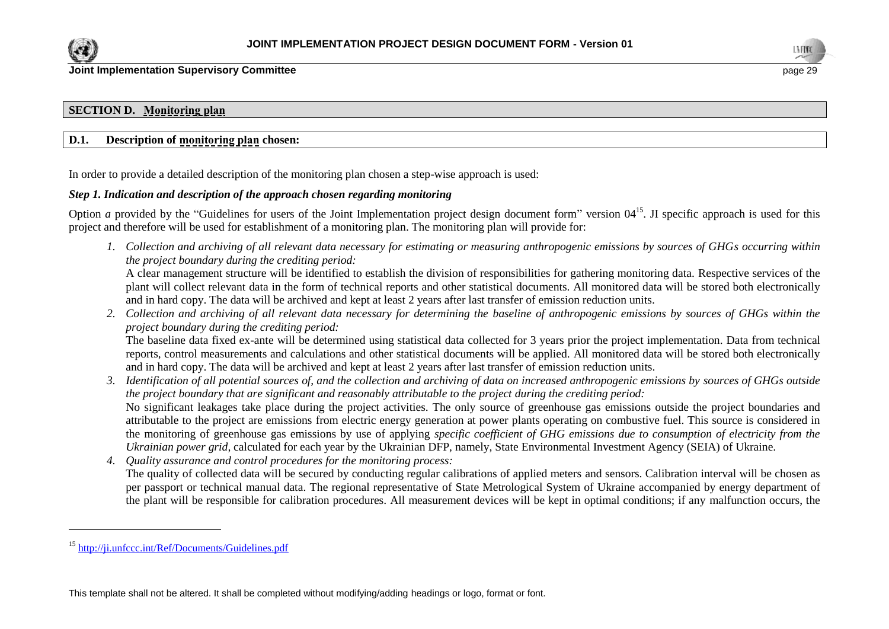

 $\overline{a}$ 



## **SECTION D. Monitoring plan**

#### **D.1. Description of monitoring plan chosen:**

In order to provide a detailed description of the monitoring plan chosen a step-wise approach is used:

#### *Step 1. Indication and description of the approach chosen regarding monitoring*

Option *a* provided by the "Guidelines for users of the Joint Implementation project design document form" version 04<sup>15</sup>. If specific approach is used for this project and therefore will be used for establishment of a monitoring plan. The monitoring plan will provide for:

*1. Collection and archiving of all relevant data necessary for estimating or measuring anthropogenic emissions by sources of GHGs occurring within the project boundary during the crediting period:*

A clear management structure will be identified to establish the division of responsibilities for gathering monitoring data. Respective services of the plant will collect relevant data in the form of technical reports and other statistical documents. All monitored data will be stored both electronically and in hard copy. The data will be archived and kept at least 2 years after last transfer of emission reduction units.

*2. Collection and archiving of all relevant data necessary for determining the baseline of anthropogenic emissions by sources of GHGs within the project boundary during the crediting period:*

The baseline data fixed ex-ante will be determined using statistical data collected for 3 years prior the project implementation. Data from technical reports, control measurements and calculations and other statistical documents will be applied. All monitored data will be stored both electronically and in hard copy. The data will be archived and kept at least 2 years after last transfer of emission reduction units.

- *3. Identification of all potential sources of, and the collection and archiving of data on increased anthropogenic emissions by sources of GHGs outside the project boundary that are significant and reasonably attributable to the project during the crediting period:* No significant leakages take place during the project activities. The only source of greenhouse gas emissions outside the project boundaries and attributable to the project are emissions from electric energy generation at power plants operating on combustive fuel. This source is considered in the monitoring of greenhouse gas emissions by use of applying *specific coefficient of GHG emissions due to consumption of electricity from the Ukrainian power grid,* calculated for each year by the Ukrainian DFP, namely, State Environmental Investment Agency (SEIA) of Ukraine.
- *4. Quality assurance and control procedures for the monitoring process:* The quality of collected data will be secured by conducting regular calibrations of applied meters and sensors. Calibration interval will be chosen as per passport or technical manual data. The regional representative of State Metrological System of Ukraine accompanied by energy department of the plant will be responsible for calibration procedures. All measurement devices will be kept in optimal conditions; if any malfunction occurs, the

<sup>15</sup> <http://ji.unfccc.int/Ref/Documents/Guidelines.pdf>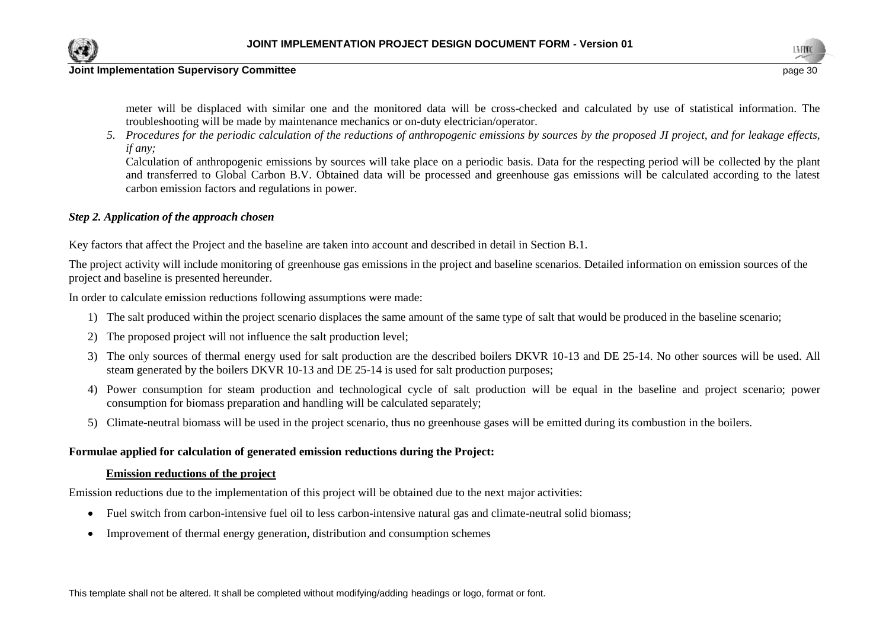



meter will be displaced with similar one and the monitored data will be cross-checked and calculated by use of statistical information. The troubleshooting will be made by maintenance mechanics or on-duty electrician/operator.

*5. Procedures for the periodic calculation of the reductions of anthropogenic emissions by sources by the proposed JI project, and for leakage effects, if any;* 

Calculation of anthropogenic emissions by sources will take place on a periodic basis. Data for the respecting period will be collected by the plant and transferred to Global Carbon B.V. Obtained data will be processed and greenhouse gas emissions will be calculated according to the latest carbon emission factors and regulations in power.

#### *Step 2. Application of the approach chosen*

Key factors that affect the Project and the baseline are taken into account and described in detail in Section B.1.

The project activity will include monitoring of greenhouse gas emissions in the project and baseline scenarios. Detailed information on emission sources of the project and baseline is presented hereunder.

In order to calculate emission reductions following assumptions were made:

- 1) The salt produced within the project scenario displaces the same amount of the same type of salt that would be produced in the baseline scenario;
- 2) The proposed project will not influence the salt production level;
- 3) The only sources of thermal energy used for salt production are the described boilers DKVR 10-13 and DE 25-14. No other sources will be used. All steam generated by the boilers DKVR 10-13 and DE 25-14 is used for salt production purposes;
- 4) Power consumption for steam production and technological cycle of salt production will be equal in the baseline and project scenario; power consumption for biomass preparation and handling will be calculated separately;
- 5) Climate-neutral biomass will be used in the project scenario, thus no greenhouse gases will be emitted during its combustion in the boilers.

#### **Formulae applied for calculation of generated emission reductions during the Project:**

#### **Emission reductions of the project**

Emission reductions due to the implementation of this project will be obtained due to the next major activities:

- Fuel switch from carbon-intensive fuel oil to less carbon-intensive natural gas and climate-neutral solid biomass;
- Improvement of thermal energy generation, distribution and consumption schemes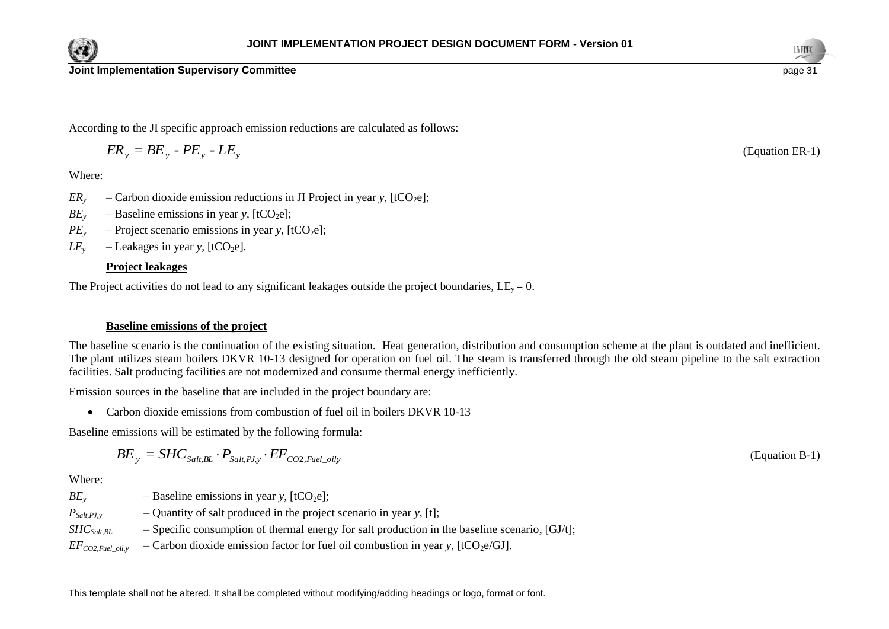



According to the JI specific approach emission reductions are calculated as follows:

$$
ER_{y} = BE_{y} - PE_{y} - LE_{y}
$$

Where:

- $ER<sub>y</sub>$  Carbon dioxide emission reductions in JI Project in year *y*, [tCO<sub>2</sub>e];
- $BE<sub>y</sub>$  Baseline emissions in year *y*, [tCO<sub>2</sub>e];
- $PE<sub>y</sub>$  Project scenario emissions in year *y*, [tCO<sub>2</sub>e];
- $LE<sub>v</sub>$  Leakages in year *y*, [tCO<sub>2</sub>e].

## **Project leakages**

The Project activities do not lead to any significant leakages outside the project boundaries,  $LE_v = 0$ .

## **Baseline emissions of the project**

The baseline scenario is the continuation of the existing situation. Heat generation, distribution and consumption scheme at the plant is outdated and inefficient. The plant utilizes steam boilers DKVR 10-13 designed for operation on fuel oil. The steam is transferred through the old steam pipeline to the salt extraction facilities. Salt producing facilities are not modernized and consume thermal energy inefficiently.

Emission sources in the baseline that are included in the project boundary are:

Carbon dioxide emissions from combustion of fuel oil in boilers DKVR 10-13

Baseline emissions will be estimated by the following formula:

$$
BE_{_{\mathcal{Y}}} = SHC_{\mathit{Salt, BL}} \cdot P_{\mathit{Salt, PJ, y}} \cdot EF_{\mathit{CO2, Fuel\_oily}}
$$

Where:

*BE*<sub>*y*</sub> – Baseline emissions in year *y*,  $[tCO_2e]$ ;

 $P_{Salt,PI, y}$  – Quantity of salt produced in the project scenario in year *y*, [t];

*SHC*<sub>Salt,BL</sub> – Specific consumption of thermal energy for salt production in the baseline scenario, [GJ/t];

 $EF_{CO2,Fuel\_oil,y}$  – Carbon dioxide emission factor for fuel oil combustion in year *y*, [tCO<sub>2</sub>e/GJ].



(Equation B-1)

(Equation ER-1)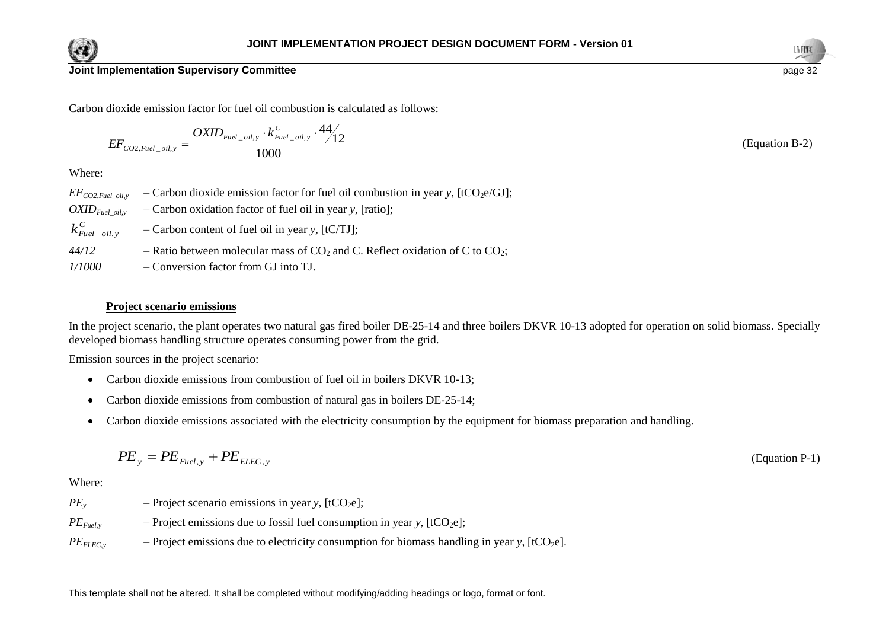



(Equation B-2)

## **Joint Implementation Supervisory Committee** page 32

Carbon dioxide emission factor for fuel oil combustion is calculated as follows:

$$
EF_{CO2, Fuel\_oil,y} = \frac{OXID_{Fuel\_oil,y} \cdot k_{Fuel\_oil,y}^C \cdot 44}{1000} \cdot \frac{44}{12}
$$

Where:

| $EF_{CO2, fuel}$ oil, y      | - Carbon dioxide emission factor for fuel oil combustion in year y, $[tCO2e/GJ]$ ; |
|------------------------------|------------------------------------------------------------------------------------|
| $OXID_{Fuel \; oil, v}$      | $\sim$ Carbon oxidation factor of fuel oil in year y, [ratio];                     |
| $k_{\text{Euel\_oil},y}^{C}$ | $-Carbon content of fuel oil in year y, [tCTJ];$                                   |
| 44/12                        | - Ratio between molecular mass of $CO2$ and C. Reflect oxidation of C to $CO2$ ;   |
| 1/1000                       | – Conversion factor from GJ into TJ.                                               |

#### **Project scenario emissions**

In the project scenario, the plant operates two natural gas fired boiler DE-25-14 and three boilers DKVR 10-13 adopted for operation on solid biomass. Specially developed biomass handling structure operates consuming power from the grid.

Emission sources in the project scenario:

- Carbon dioxide emissions from combustion of fuel oil in boilers DKVR 10-13;
- Carbon dioxide emissions from combustion of natural gas in boilers DE-25-14;
- Carbon dioxide emissions associated with the electricity consumption by the equipment for biomass preparation and handling.

$$
PE_y = PE_{\text{Euel},y} + PE_{\text{ELEC},y}
$$
 (Equation P-1)

Where:

- $PE<sub>y</sub>$  Project scenario emissions in year *y*, [tCO<sub>2</sub>e];
- $PE_{Fuel, y}$  Project emissions due to fossil fuel consumption in year *y*, [tCO<sub>2</sub>e];
- $PE<sub>ELEC,y</sub>$  Project emissions due to electricity consumption for biomass handling in year *y*, [tCO<sub>2</sub>e].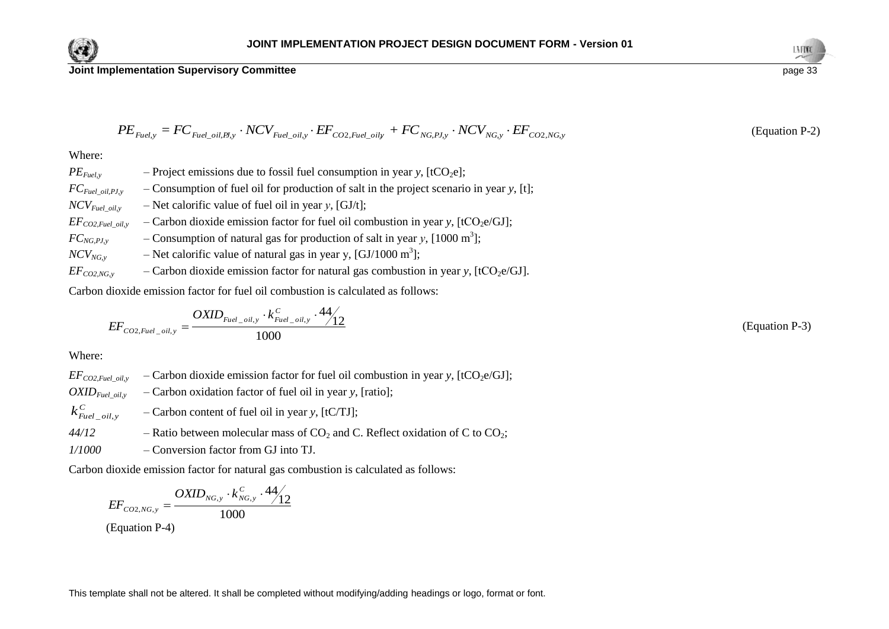

$$
PE_{\textit{Fuel},y} = FC_{\textit{Fuel\_oil}, \textit{Pl},y} \cdot NCV_{\textit{Fuel\_oil},y} \cdot EF_{\textit{CO2},\textit{Fuel\_oil},y} + FC_{\textit{NG},\textit{Pl},y} \cdot NCV_{\textit{NG},y} \cdot EF_{\textit{CO2},\textit{NG},y}
$$

Where:

*FE*<sub>resty</sub> = *FC*<sub>*First\_villengs* - *NCV*<sub>*First\_villengs* - *KEC*<sub>*Noxt\_villengs* + *FC*<sub>*NGPl<sub>3</sub></sub> · <i>NCV*<sub>*NGs*</sub> · *LEF*<sub>CO2.893</sub><br>
Where:<br>
Where.<br>
When  $F_{G_{M,n}(j,kl)}$  - Project emissions due to fossil fuel consumption</sub></sub></sub></sub>  $PE_{Fuel, y}$  – Project emissions due to fossil fuel consumption in year *y*, [tCO<sub>2</sub>e]; *FCFuel\_oil,PJ,y* – Consumption of fuel oil for production of salt in the project scenario in year *y*, [t];  $NCV_{\text{Eucl oily}}$  – Net calorific value of fuel oil in year *y*, [GJ/t];  $EF_{CO2,Fuel\ oil}$ </u> – Carbon dioxide emission factor for fuel oil combustion in year *y*, [tCO<sub>2</sub>e/GJ];  $FC_{NG, PJ, y}$  – Consumption of natural gas for production of salt in year *y*, [1000 m<sup>3</sup>];  $NCV_{NG, y}$  – Net calorific value of natural gas in year y, [GJ/1000 m<sup>3</sup>];  $EF_{CO2,NG, y}$  – Carbon dioxide emission factor for natural gas combustion in year *y*, [tCO<sub>2</sub>e/GJ].

Carbon dioxide emission factor for fuel oil combustion is calculated as follows:

$$
EF_{CO2, Fuel\_oil,y} = \frac{OXID_{Fuel\_oil,y} \cdot k_{Fuel\_oil,y}^C \cdot 44}{1000}
$$
 (Equation P-3)

Where:

 $EF_{CO2,Fuel\_oil,y}$  – Carbon dioxide emission factor for fuel oil combustion in year *y*, [tCO<sub>2</sub>e/GJ];  $OXID_{\text{Eucl}\ oil.y}$  – Carbon oxidation factor of fuel oil in year *y*, [ratio]; *C*  $k_{\textit{Fuel\_oil},y}^{\textit{C}}$ – Carbon content of fuel oil in year *y*, [tC/TJ];  $44/12$  – Ratio between molecular mass of  $CO_2$  and C. Reflect oxidation of C to  $CO_2$ ;

*1/1000* – Conversion factor from GJ into TJ.

Carbon dioxide emission factor for natural gas combustion is calculated as follows:

$$
EF_{CO2,NG,y} = \frac{OXID_{NG,y} \cdot k_{NG,y}^C \cdot 44}{1000}
$$
  
(Equation P-4)



(Equation P-2)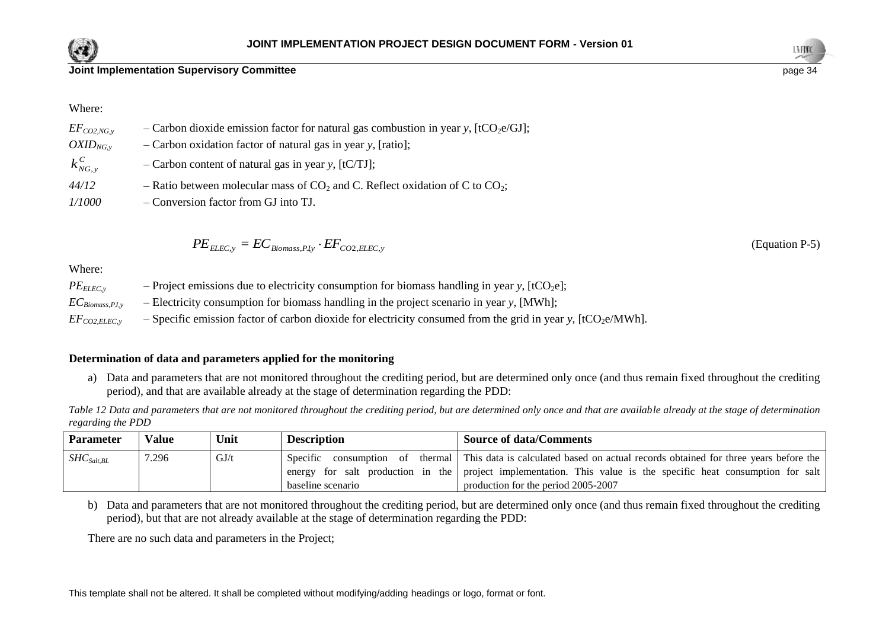



(Equation P-5)

Where:

| $EF_{CO2,NG, \nu}$ | - Carbon dioxide emission factor for natural gas combustion in year y, [tCO <sub>2</sub> e/GJ]; |
|--------------------|-------------------------------------------------------------------------------------------------|
| $OXID_{NG,\nu}$    | $-$ Carbon oxidation factor of natural gas in year y, [ratio];                                  |
| $k_{NG, v}^C$      | $-$ Carbon content of natural gas in year y, [tC/TJ];                                           |
| 44/12              | - Ratio between molecular mass of $CO_2$ and C. Reflect oxidation of C to $CO_2$ ;              |
| <i>1/1000</i>      | - Conversion factor from GJ into TJ.                                                            |

$$
PE_{ELLC,y} = EC_{Biomass, Py} \cdot EF_{CO2, ELLC,y}
$$

Where:

 $PE<sub>ELEC,y</sub>$  – Project emissions due to electricity consumption for biomass handling in year *y*, [tCO<sub>2</sub>e];

*ECBiomass,PJ,y* – Electricity consumption for biomass handling in the project scenario in year *y*, [MWh];

 $EF_{CO2EIEC}$ , – Specific emission factor of carbon dioxide for electricity consumed from the grid in year *y*, [tCO<sub>2</sub>e/MWh].

## **Determination of data and parameters applied for the monitoring**

a) Data and parameters that are not monitored throughout the crediting period, but are determined only once (and thus remain fixed throughout the crediting period), and that are available already at the stage of determination regarding the PDD:

*Table 12 Data and parameters that are not monitored throughout the crediting period, but are determined only once and that are available already at the stage of determination regarding the PDD*

| <b>Parameter</b> | <b>Value</b> | Unit | <b>Description</b> | <b>Source of data/Comments</b>                                                                                      |
|------------------|--------------|------|--------------------|---------------------------------------------------------------------------------------------------------------------|
| $SHC_{Salt, BL}$ | 7.296        | GJ/t |                    | Specific consumption of thermal This data is calculated based on actual records obtained for three years before the |
|                  |              |      |                    | energy for salt production in the project implementation. This value is the specific heat consumption for salt      |
|                  |              |      | baseline scenario  | production for the period 2005-2007                                                                                 |

b) Data and parameters that are not monitored throughout the crediting period, but are determined only once (and thus remain fixed throughout the crediting period), but that are not already available at the stage of determination regarding the PDD:

There are no such data and parameters in the Project;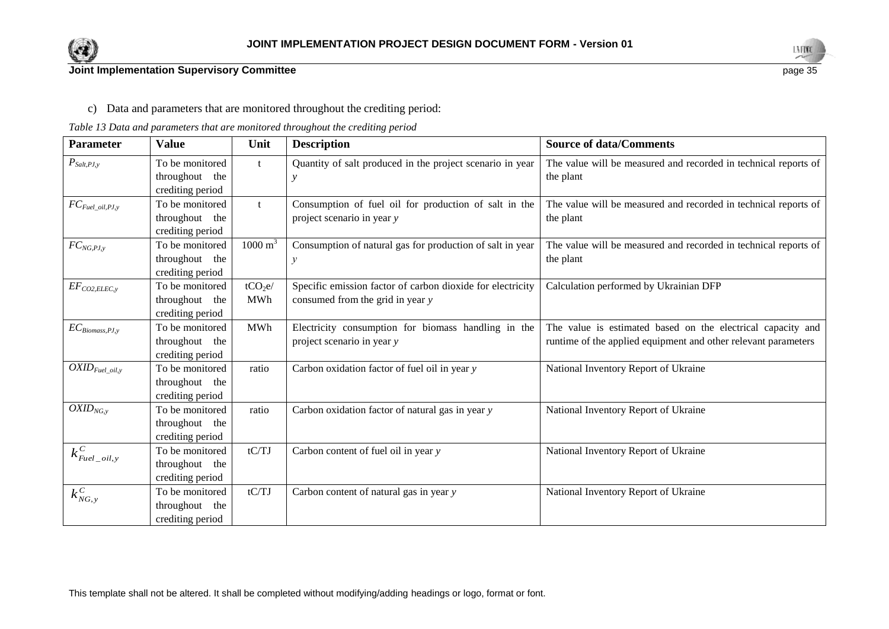



c) Data and parameters that are monitored throughout the crediting period:

### *Table 13 Data and parameters that are monitored throughout the crediting period*

| Parameter                               | <b>Value</b>                                          | Unit                              | <b>Description</b>                                                                             | <b>Source of data/Comments</b>                                                                                                |
|-----------------------------------------|-------------------------------------------------------|-----------------------------------|------------------------------------------------------------------------------------------------|-------------------------------------------------------------------------------------------------------------------------------|
| $P_{Salt, PJ,y}$                        | To be monitored<br>throughout the<br>crediting period | $\mathbf{t}$                      | Quantity of salt produced in the project scenario in year                                      | The value will be measured and recorded in technical reports of<br>the plant                                                  |
| $FC_{\mathit{Fuel\_oil},\mathit{PJ},y}$ | To be monitored<br>throughout the<br>crediting period |                                   | Consumption of fuel oil for production of salt in the<br>project scenario in year y            | The value will be measured and recorded in technical reports of<br>the plant                                                  |
| $FC_{NG, PJ, y}$                        | To be monitored<br>throughout the<br>crediting period | $1000 \text{ m}^3$                | Consumption of natural gas for production of salt in year<br>$\mathcal{Y}$                     | The value will be measured and recorded in technical reports of<br>the plant                                                  |
| $EF_{CO2, ELLC, y}$                     | To be monitored<br>throughout the<br>crediting period | tCO <sub>2</sub> e/<br><b>MWh</b> | Specific emission factor of carbon dioxide for electricity<br>consumed from the grid in year y | Calculation performed by Ukrainian DFP                                                                                        |
| $EC_{Biomass, PJ, y}$                   | To be monitored<br>throughout the<br>crediting period | <b>MWh</b>                        | Electricity consumption for biomass handling in the<br>project scenario in year y              | The value is estimated based on the electrical capacity and<br>runtime of the applied equipment and other relevant parameters |
| $\overline{OXID_{Fuel\_oil,y}}$         | To be monitored<br>throughout the<br>crediting period | ratio                             | Carbon oxidation factor of fuel oil in year y                                                  | National Inventory Report of Ukraine                                                                                          |
| $OXID_{NG,y}$                           | To be monitored<br>throughout the<br>crediting period | ratio                             | Carbon oxidation factor of natural gas in year y                                               | National Inventory Report of Ukraine                                                                                          |
| $k_{\mathit{Euel\_oil},y}^{\mathit{C}}$ | To be monitored<br>throughout the<br>crediting period | tC/TJ                             | Carbon content of fuel oil in year y                                                           | National Inventory Report of Ukraine                                                                                          |
| $k_{\mathit{NG},y}^{\mathit{C}}$        | To be monitored<br>throughout the<br>crediting period | tC/TJ                             | Carbon content of natural gas in year y                                                        | National Inventory Report of Ukraine                                                                                          |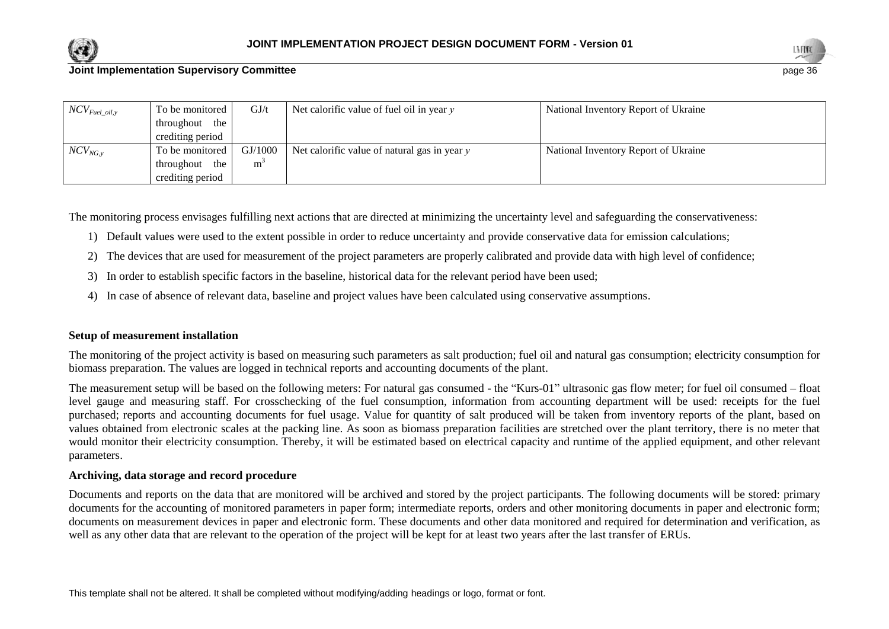



| $NCV_{Fuel\_oil, y}$ | To be monitored  | GJ/t    | Net calorific value of fuel oil in year $y$    | National Inventory Report of Ukraine |
|----------------------|------------------|---------|------------------------------------------------|--------------------------------------|
|                      | throughout the   |         |                                                |                                      |
|                      | crediting period |         |                                                |                                      |
| $NCV_{NG, v}$        | To be monitored  | GI/1000 | Net calorific value of natural gas in year $y$ | National Inventory Report of Ukraine |
|                      | throughout the   | m       |                                                |                                      |
|                      | crediting period |         |                                                |                                      |

The monitoring process envisages fulfilling next actions that are directed at minimizing the uncertainty level and safeguarding the conservativeness:

- 1) Default values were used to the extent possible in order to reduce uncertainty and provide conservative data for emission calculations;
- 2) The devices that are used for measurement of the project parameters are properly calibrated and provide data with high level of confidence;
- 3) In order to establish specific factors in the baseline, historical data for the relevant period have been used;
- 4) In case of absence of relevant data, baseline and project values have been calculated using conservative assumptions.

## **Setup of measurement installation**

The monitoring of the project activity is based on measuring such parameters as salt production; fuel oil and natural gas consumption; electricity consumption for biomass preparation. The values are logged in technical reports and accounting documents of the plant.

The measurement setup will be based on the following meters: For natural gas consumed - the "Kurs-01" ultrasonic gas flow meter; for fuel oil consumed – float level gauge and measuring staff. For crosschecking of the fuel consumption, information from accounting department will be used: receipts for the fuel purchased; reports and accounting documents for fuel usage. Value for quantity of salt produced will be taken from inventory reports of the plant, based on values obtained from electronic scales at the packing line. As soon as biomass preparation facilities are stretched over the plant territory, there is no meter that would monitor their electricity consumption. Thereby, it will be estimated based on electrical capacity and runtime of the applied equipment, and other relevant parameters.

## **Archiving, data storage and record procedure**

Documents and reports on the data that are monitored will be archived and stored by the project participants. The following documents will be stored: primary documents for the accounting of monitored parameters in paper form; intermediate reports, orders and other monitoring documents in paper and electronic form; documents on measurement devices in paper and electronic form. These documents and other data monitored and required for determination and verification, as well as any other data that are relevant to the operation of the project will be kept for at least two years after the last transfer of ERUs.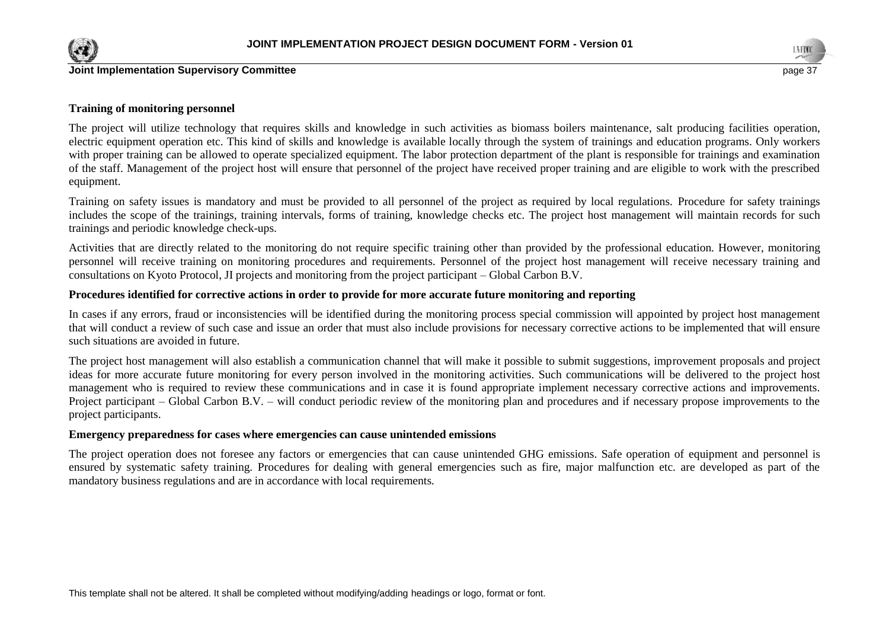



#### **Training of monitoring personnel**

The project will utilize technology that requires skills and knowledge in such activities as biomass boilers maintenance, salt producing facilities operation, electric equipment operation etc. This kind of skills and knowledge is available locally through the system of trainings and education programs. Only workers with proper training can be allowed to operate specialized equipment. The labor protection department of the plant is responsible for trainings and examination of the staff. Management of the project host will ensure that personnel of the project have received proper training and are eligible to work with the prescribed equipment.

Training on safety issues is mandatory and must be provided to all personnel of the project as required by local regulations. Procedure for safety trainings includes the scope of the trainings, training intervals, forms of training, knowledge checks etc. The project host management will maintain records for such trainings and periodic knowledge check-ups.

Activities that are directly related to the monitoring do not require specific training other than provided by the professional education. However, monitoring personnel will receive training on monitoring procedures and requirements. Personnel of the project host management will receive necessary training and consultations on Kyoto Protocol, JI projects and monitoring from the project participant – Global Carbon B.V.

#### **Procedures identified for corrective actions in order to provide for more accurate future monitoring and reporting**

In cases if any errors, fraud or inconsistencies will be identified during the monitoring process special commission will appointed by project host management that will conduct a review of such case and issue an order that must also include provisions for necessary corrective actions to be implemented that will ensure such situations are avoided in future.

The project host management will also establish a communication channel that will make it possible to submit suggestions, improvement proposals and project ideas for more accurate future monitoring for every person involved in the monitoring activities. Such communications will be delivered to the project host management who is required to review these communications and in case it is found appropriate implement necessary corrective actions and improvements. Project participant – Global Carbon B.V. – will conduct periodic review of the monitoring plan and procedures and if necessary propose improvements to the project participants.

#### **Emergency preparedness for cases where emergencies can cause unintended emissions**

The project operation does not foresee any factors or emergencies that can cause unintended GHG emissions. Safe operation of equipment and personnel is ensured by systematic safety training. Procedures for dealing with general emergencies such as fire, major malfunction etc. are developed as part of the mandatory business regulations and are in accordance with local requirements.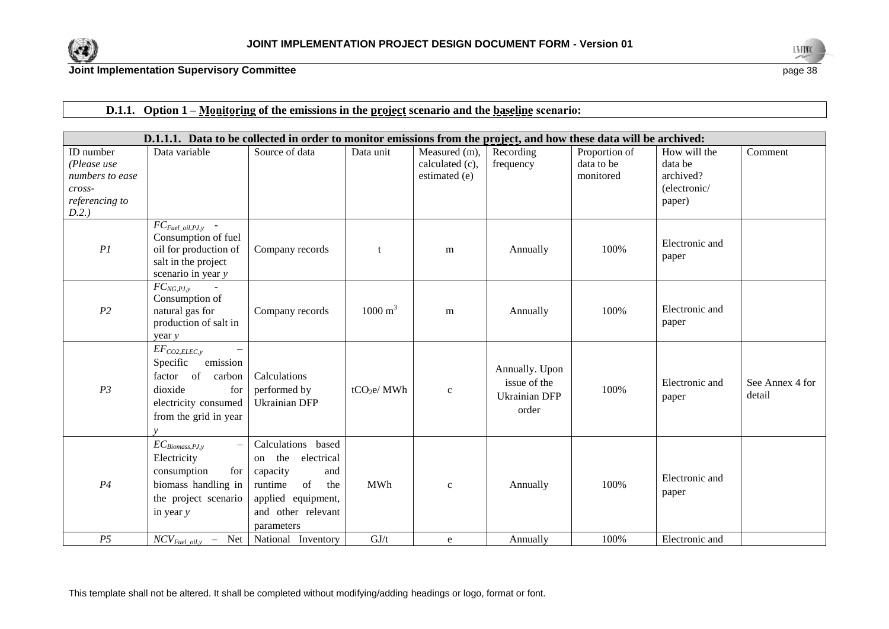



## **D.1.1. Option 1 – Monitoring of the emissions in the project scenario and the baseline scenario:**

|                 | D.1.1.1. Data to be collected in order to monitor emissions from the project, and how these data will be archived:                                 |                                                                                                                                                 |                        |                 |                                                                 |               |                         |                           |  |
|-----------------|----------------------------------------------------------------------------------------------------------------------------------------------------|-------------------------------------------------------------------------------------------------------------------------------------------------|------------------------|-----------------|-----------------------------------------------------------------|---------------|-------------------------|---------------------------|--|
| ID number       | Data variable                                                                                                                                      | Source of data                                                                                                                                  | Data unit              | Measured (m),   | Recording                                                       | Proportion of | How will the            | Comment                   |  |
| (Please use     |                                                                                                                                                    |                                                                                                                                                 |                        | calculated (c), | frequency                                                       | data to be    | data be                 |                           |  |
| numbers to ease |                                                                                                                                                    |                                                                                                                                                 |                        | estimated (e)   |                                                                 | monitored     | archived?               |                           |  |
| cross-          |                                                                                                                                                    |                                                                                                                                                 |                        |                 |                                                                 |               | (electronic/            |                           |  |
| referencing to  |                                                                                                                                                    |                                                                                                                                                 |                        |                 |                                                                 |               | paper)                  |                           |  |
| D.2.)           |                                                                                                                                                    |                                                                                                                                                 |                        |                 |                                                                 |               |                         |                           |  |
| PI              | $FC_{\mathit{Full\_oil},\mathit{PJ},\mathit{y}}$ -<br>Consumption of fuel<br>oil for production of<br>salt in the project<br>scenario in year y    | Company records                                                                                                                                 |                        | m               | Annually                                                        | 100%          | Electronic and<br>paper |                           |  |
| P <sub>2</sub>  | $FC_{NG, PJ, y}$<br>Consumption of<br>natural gas for<br>production of salt in<br>year y                                                           | Company records                                                                                                                                 | $1000 \text{ m}^3$     | m               | Annually                                                        | 100%          | Electronic and<br>paper |                           |  |
| P <sub>3</sub>  | $EF_{CO2, ELEC, y}$<br>Specific<br>emission<br>factor of<br>carbon<br>dioxide<br>for<br>electricity consumed<br>from the grid in year              | Calculations<br>performed by<br><b>Ukrainian DFP</b>                                                                                            | tCO <sub>2</sub> e/MWh | $\mathbf{c}$    | Annually. Upon<br>issue of the<br><b>Ukrainian DFP</b><br>order | 100%          | Electronic and<br>paper | See Annex 4 for<br>detail |  |
| P <sub>4</sub>  | $EC_{Biomass, PJ, y}$<br>$\overline{\phantom{0}}$<br>Electricity<br>consumption<br>for<br>biomass handling in<br>the project scenario<br>in year y | Calculations based<br>the electrical<br>on<br>capacity<br>and<br>of<br>runtime<br>the<br>applied equipment,<br>and other relevant<br>parameters | <b>MWh</b>             | $\mathbf{C}$    | Annually                                                        | 100%          | Electronic and<br>paper |                           |  |
| P <sub>5</sub>  | $NCV_{Fuel\_oil,y}$ - Net National Inventory                                                                                                       |                                                                                                                                                 | GJ/t                   | e               | Annually                                                        | 100%          | Electronic and          |                           |  |

This template shall not be altered. It shall be completed without modifying/adding headings or logo, format or font.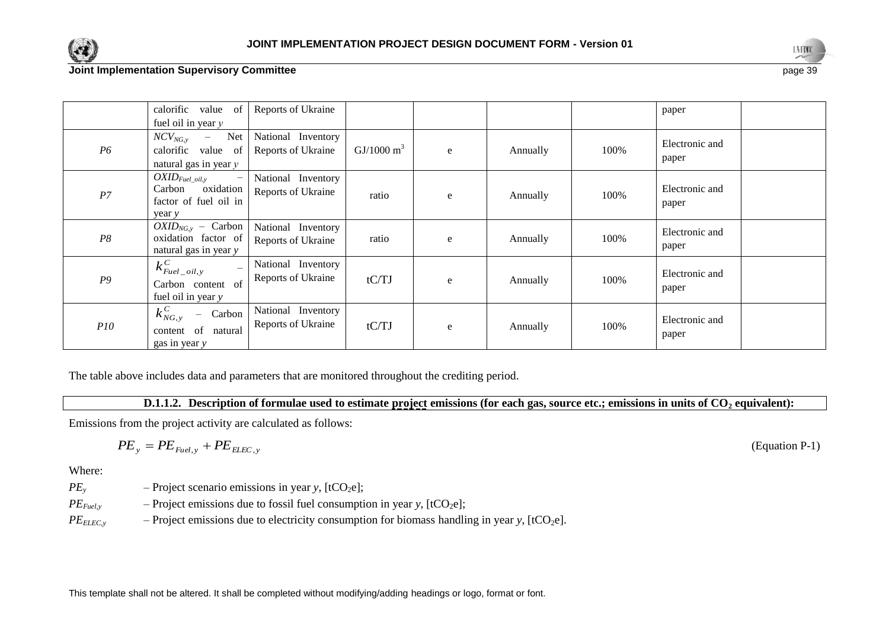



|                | calorific value of<br>fuel oil in year $y$                                                          | Reports of Ukraine                       |                       |   |          |      | paper                   |  |
|----------------|-----------------------------------------------------------------------------------------------------|------------------------------------------|-----------------------|---|----------|------|-------------------------|--|
| P <sub>6</sub> | $NCV_{NG, y}$<br>Net<br>$\overline{\phantom{m}}$<br>calorific value of<br>natural gas in year $y$   | National Inventory<br>Reports of Ukraine | $GI/1000 \text{ m}^3$ | e | Annually | 100% | Electronic and<br>paper |  |
| P7             | $OXID_{Fuel\_oil,y}$<br>$\qquad \qquad -$<br>oxidation<br>Carbon<br>factor of fuel oil in<br>year y | National Inventory<br>Reports of Ukraine | ratio                 | e | Annually | 100% | Electronic and<br>paper |  |
| P8             | $OXID_{NG,y}$ – Carbon<br>oxidation factor of<br>natural gas in year y                              | National Inventory<br>Reports of Ukraine | ratio                 | e | Annually | 100% | Electronic and<br>paper |  |
| P <sub>9</sub> | $k_{\text{Eucl\_oil},y}^C$<br>$\equiv$<br>Carbon content of<br>fuel oil in year y                   | National Inventory<br>Reports of Ukraine | tC/TJ                 | e | Annually | 100% | Electronic and<br>paper |  |
| P10            | $k_{NG,y}^C$<br>Carbon<br>$-$<br>content of natural<br>gas in year y                                | National Inventory<br>Reports of Ukraine | tC/TJ                 | e | Annually | 100% | Electronic and<br>paper |  |

The table above includes data and parameters that are monitored throughout the crediting period.

**D.1.1.2. Description of formulae used to estimate project emissions (for each gas, source etc.; emissions in units of CO<sup>2</sup> equivalent):**

Emissions from the project activity are calculated as follows:

$$
PE_{y} = PE_{\text{Fuel},y} + PE_{\text{ELECT},y}
$$

Where:

 $PE<sub>y</sub>$  – Project scenario emissions in year *y*, [tCO<sub>2</sub>e];

 $PE<sub>Fuely</sub>$  – Project emissions due to fossil fuel consumption in year *y*, [tCO<sub>2</sub>e];

 $PE<sub>ELEC,y</sub>$  – Project emissions due to electricity consumption for biomass handling in year *y*, [tCO<sub>2</sub>e].

This template shall not be altered. It shall be completed without modifying/adding headings or logo, format or font.

(Equation P-1)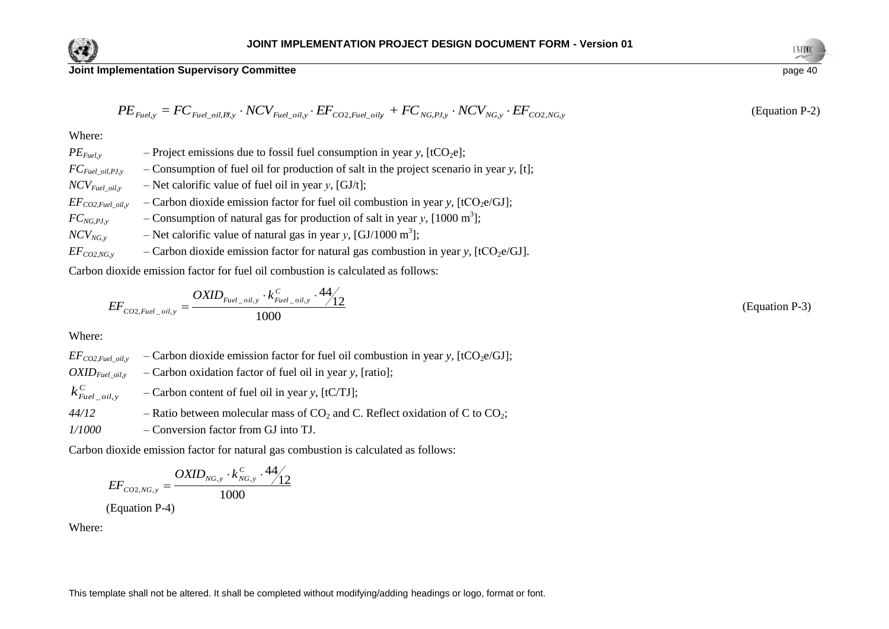

**Joint Implementation Supervisory Committee** page 40 page 40 page 40 page 40 page 40 page 40 page 40 page 40 page

$$
PE_{\text{Fuel,y}} = FC_{\text{Fuel\_oil,BI,y}} \cdot NCV_{\text{Fuel\_oil,y}} \cdot EF_{\text{CO2},\text{Fuel\_oil,y}} + FC_{\text{NG},\text{PI,y}} \cdot NCV_{\text{NG},\text{y}} \cdot EF_{\text{CO2},\text{NG,y}}
$$

$$
\frac{11100}{\text{page }40}
$$

(Equation P-2)

#### Where:

| $PE_{\mathit{Fuel,y}} = FC_{\mathit{Fuel\_oil}, \mathit{B\!y}} \cdot NCV_{\mathit{Fuel\_oil,y}} \cdot EF_{\mathit{CO2}, \mathit{Fuel\_oil,y}} + FC_{\mathit{NG}, \mathit{PJ,y}} \cdot NCV_{\mathit{NG,y}} \cdot EF_{\mathit{CO2}, \mathit{NG,y}}$ |  |
|---------------------------------------------------------------------------------------------------------------------------------------------------------------------------------------------------------------------------------------------------|--|
| Where:                                                                                                                                                                                                                                            |  |
| - Project emissions due to fossil fuel consumption in year y, $[tCO2e]$ ;<br>$PE_{Fuel, v}$                                                                                                                                                       |  |
| $-$ Consumption of fuel oil for production of salt in the project scenario in year y, [t];<br>$FC_{\text{Full\_oil},\text{PJ},\text{y}}$                                                                                                          |  |
| - Net calorific value of fuel oil in year y, [GJ/t];<br>$NCV_{Fuel}$ oil, $v$                                                                                                                                                                     |  |
| - Carbon dioxide emission factor for fuel oil combustion in year y, $[tCO2e/GJ]$ ;<br>$EF_{CO2, fuel}$ oil, y                                                                                                                                     |  |
| - Consumption of natural gas for production of salt in year y, $[1000 \text{ m}^3]$ ;<br>$FC_{NG, PJ, y}$                                                                                                                                         |  |
| - Net calorific value of natural gas in year y, [GJ/1000 m <sup>3</sup> ];<br>$NCV_{NG, v}$                                                                                                                                                       |  |
| - Carbon dioxide emission factor for natural gas combustion in year y, [tCO <sub>2</sub> e/GJ].<br>$EF_{CO2,NG, y}$                                                                                                                               |  |
| Carbon dioxide emission factor for fuel oil combustion is calculated as follows:                                                                                                                                                                  |  |
| $EF_{CO2, fuel\_oil, y} = \frac{OXID_{Fuel\_oil, y} \cdot k_{Fuel\_oil, y}^C \cdot 44}{1000}$                                                                                                                                                     |  |
| Where:                                                                                                                                                                                                                                            |  |
| - Carbon dioxide emission factor for fuel oil combustion in year y, [tCO <sub>2</sub> e/GJ];<br>$EF_{CO2, fuel\_oil, y}$                                                                                                                          |  |
| - Carbon oxidation factor of fuel oil in year y, [ratio];<br>$OXID_{Fuel\_oil, y}$                                                                                                                                                                |  |
| $k_{\text{Eucl\_oil},y}^{C}$<br>- Carbon content of fuel oil in year y, [tC/TJ];                                                                                                                                                                  |  |
| 44/12<br>- Ratio between molecular mass of $CO_2$ and C. Reflect oxidation of C to $CO_2$ ;                                                                                                                                                       |  |
| - Conversion factor from GJ into TJ.<br>1/1000                                                                                                                                                                                                    |  |
| Carbon dioxide emission factor for natural gas combustion is calculated as follows:                                                                                                                                                               |  |
| $EF_{CO2,NG,y} = \frac{OXID_{NG,y} \cdot k_{NG,y}^C \cdot 44}{1000}$<br>(Equation P-4)                                                                                                                                                            |  |
| Where:                                                                                                                                                                                                                                            |  |
|                                                                                                                                                                                                                                                   |  |
|                                                                                                                                                                                                                                                   |  |
|                                                                                                                                                                                                                                                   |  |
| This template shall not be altered. It shall be completed without modifying/adding headings or logo, format or font.                                                                                                                              |  |

$$
EF_{CO2,Fuel\_oil,y} = \frac{OXID_{Fuel\_oil,y} \cdot k_{Fuel\_oil,y}^C \cdot 44}{1000} \tag{Equation P-3}
$$

$$
EF_{CO2,NG,y} = \frac{OXID_{NG,y} \cdot k_{NG,y}^C \cdot 44}{1000}
$$
  
(Equation P-4)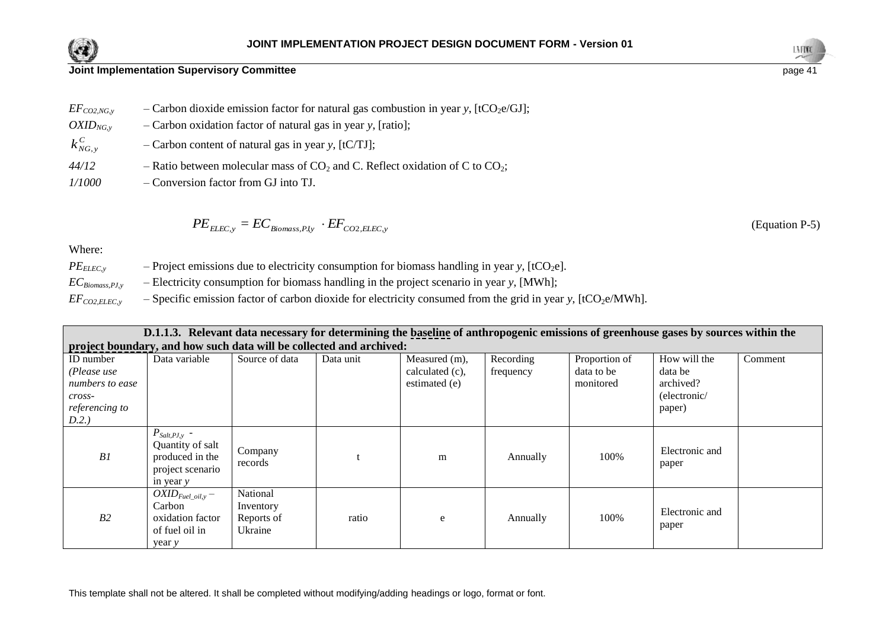



(Equation P-5)

**Joint Implementation Supervisory Committee** page 41

| $EF_{CO2,NG, v}$ | - Carbon dioxide emission factor for natural gas combustion in year y, [tCO <sub>2</sub> e/GJ]; |
|------------------|-------------------------------------------------------------------------------------------------|
| $OXID_{NG, v}$   | - Carbon oxidation factor of natural gas in year y, [ratio];                                    |
| $k_{NG, y}^C$    | $-$ Carbon content of natural gas in year y, [tC/TJ];                                           |

- $44/12$  Ratio between molecular mass of  $CO_2$  and C. Reflect oxidation of C to  $CO_2$ ;
- *1/1000* Conversion factor from GJ into TJ.

$$
PE_{ELEC,y} = EC_{Biomass, Pdy} \cdot EF_{CO2, ELEC,y}
$$

Where:

| $PE_{ELLC,v}$         | - Project emissions due to electricity consumption for biomass handling in year y, $[tCO2e]$ .                           |
|-----------------------|--------------------------------------------------------------------------------------------------------------------------|
| $EC_{Biomass, PJ, v}$ | $-$ Electricity consumption for biomass handling in the project scenario in year y, [MWh];                               |
| $EF_{CO2, ELEC, y}$   | - Specific emission factor of carbon dioxide for electricity consumed from the grid in year y, [tCO <sub>2</sub> e/MWh]. |

| D.1.1.3. Relevant data necessary for determining the baseline of anthropogenic emissions of greenhouse gases by sources within the |                                                                                             |                                                |           |                                                   |                        |                                          |                                                                |         |  |  |
|------------------------------------------------------------------------------------------------------------------------------------|---------------------------------------------------------------------------------------------|------------------------------------------------|-----------|---------------------------------------------------|------------------------|------------------------------------------|----------------------------------------------------------------|---------|--|--|
| project boundary, and how such data will be collected and archived:                                                                |                                                                                             |                                                |           |                                                   |                        |                                          |                                                                |         |  |  |
| ID number<br>(Please use<br>numbers to ease<br>cross-<br>referencing to<br>D.2.)                                                   | Data variable                                                                               | Source of data                                 | Data unit | Measured (m),<br>calculated (c),<br>estimated (e) | Recording<br>frequency | Proportion of<br>data to be<br>monitored | How will the<br>data be<br>archived?<br>(electronic/<br>paper) | Comment |  |  |
| B1                                                                                                                                 | $P_{Salt, PJ, y}$ -<br>Quantity of salt<br>produced in the<br>project scenario<br>in year y | Company<br>records                             |           | m                                                 | Annually               | 100%                                     | Electronic and<br>paper                                        |         |  |  |
| B2                                                                                                                                 | $OXID_{Fuel\_oil, y}$ –<br>Carbon<br>oxidation factor<br>of fuel oil in<br>year y           | National<br>Inventory<br>Reports of<br>Ukraine | ratio     | e                                                 | Annually               | 100%                                     | Electronic and<br>paper                                        |         |  |  |

This template shall not be altered. It shall be completed without modifying/adding headings or logo, format or font.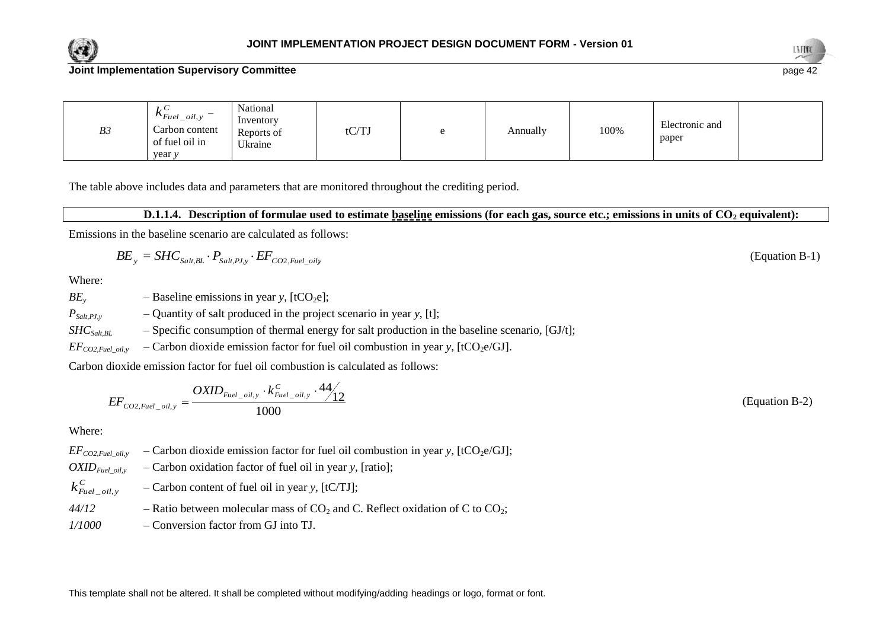



| B3 | $\kappa_{\text{Eucl\_oil},y}$<br>Carbon content<br>of fuel oil in | National<br>Inventory<br>Reports of<br>Ukraine | $\alpha$ mt<br>W 1. | Annually | 100% | Electronic and<br>paper |  |
|----|-------------------------------------------------------------------|------------------------------------------------|---------------------|----------|------|-------------------------|--|
|    | year y                                                            |                                                |                     |          |      |                         |  |

The table above includes data and parameters that are monitored throughout the crediting period.

#### **D.1.1.4. Description of formulae used to estimate baseline emissions (for each gas, source etc.; emissions in units of CO<sup>2</sup> equivalent):**

Emissions in the baseline scenario are calculated as follows:

$$
BE_{y} = SHC_{\text{Sat},BL} \cdot P_{\text{Sat},\text{PL},y} \cdot EF_{\text{CO2,}\text{Fuel\_oily}} \tag{Equation B-1}
$$

Where:

*BE<sub>y</sub>* – Baseline emissions in year *y*,  $[tCO_2e]$ ;

 $P_{Salt,PLy}$  – Quantity of salt produced in the project scenario in year *y*, [t];

*SHCSalt,BL* – Specific consumption of thermal energy for salt production in the baseline scenario, [GJ/t];

 $EF_{CO2,Fuel\_oil,y}$  – Carbon dioxide emission factor for fuel oil combustion in year *y*, [tCO<sub>2</sub>e/GJ].

Carbon dioxide emission factor for fuel oil combustion is calculated as follows:

$$
EF_{CO2,Fuel\_oil,y} = \frac{OXID_{Fuel\_oil,y} \cdot k_{Fuel\_oil,y}^C \cdot 44}{1000} \tag{Equation B-2}
$$

Where:

 $EF_{CO2,Fuel\_oil,y}$  – Carbon dioxide emission factor for fuel oil combustion in year *y*, [tCO<sub>2</sub>e/GJ];

 $OXID_{Eucl\_oil,y}$  – Carbon oxidation factor of fuel oil in year *y*, [ratio];

*C*  $k_{\textit{Fuel\_oil},y}^{\textit{C}}$ – Carbon content of fuel oil in year *y*, [tC/TJ];

44/12 – Ratio between molecular mass of 
$$
CO_2
$$
 and C. Reflect oxidation of C to  $CO_2$ ;

*1/1000* – Conversion factor from GJ into TJ.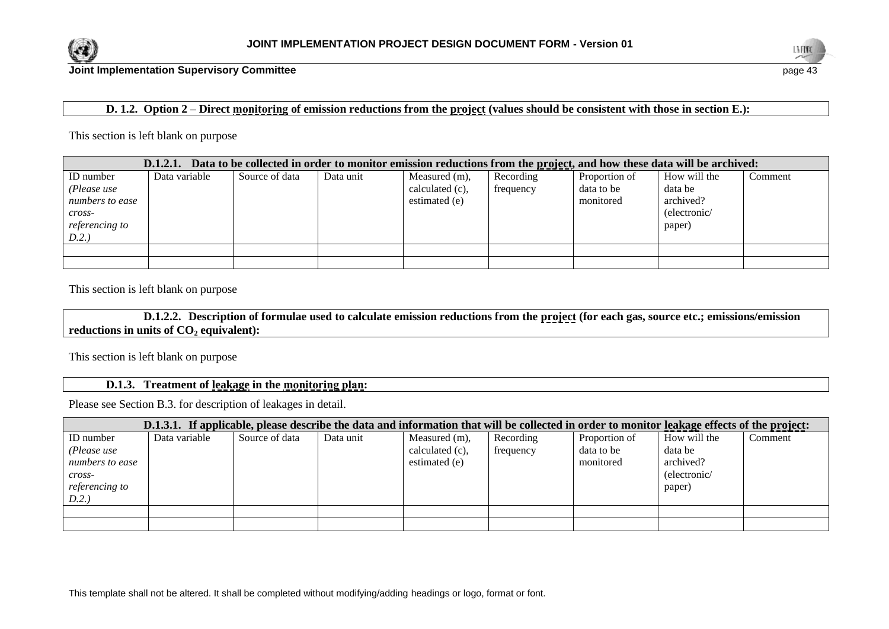



## **D. 1.2. Option 2 – Direct monitoring of emission reductions from the project (values should be consistent with those in section E.):**

#### This section is left blank on purpose

| Data to be collected in order to monitor emission reductions from the project, and how these data will be archived:<br>D.1.2.1. |               |                |           |                                                   |                        |                                          |                                                                |         |  |
|---------------------------------------------------------------------------------------------------------------------------------|---------------|----------------|-----------|---------------------------------------------------|------------------------|------------------------------------------|----------------------------------------------------------------|---------|--|
| ID number<br>(Please use<br>numbers to ease<br>$cross-$<br><i>referencing to</i><br>D.2.)                                       | Data variable | Source of data | Data unit | Measured (m),<br>calculated (c),<br>estimated (e) | Recording<br>frequency | Proportion of<br>data to be<br>monitored | How will the<br>data be<br>archived?<br>(electronic/<br>paper) | Comment |  |
|                                                                                                                                 |               |                |           |                                                   |                        |                                          |                                                                |         |  |
|                                                                                                                                 |               |                |           |                                                   |                        |                                          |                                                                |         |  |

This section is left blank on purpose

**D.1.2.2. Description of formulae used to calculate emission reductions from the project (for each gas, source etc.; emissions/emission reductions in units of CO<sup>2</sup> equivalent):**

This section is left blank on purpose

## **D.1.3. Treatment of leakage in the monitoring plan:**

Please see Section B.3. for description of leakages in detail.

| D.1.3.1. If applicable, please describe the data and information that will be collected in order to monitor leakage effects of the project: |               |                |           |                    |           |               |              |         |  |
|---------------------------------------------------------------------------------------------------------------------------------------------|---------------|----------------|-----------|--------------------|-----------|---------------|--------------|---------|--|
| ID number                                                                                                                                   | Data variable | Source of data | Data unit | Measured (m),      | Recording | Proportion of | How will the | Comment |  |
| (Please use                                                                                                                                 |               |                |           | calculated $(c)$ , | frequency | data to be    | data be      |         |  |
| numbers to ease                                                                                                                             |               |                |           | estimated (e)      |           | monitored     | archived?    |         |  |
| $cross-$                                                                                                                                    |               |                |           |                    |           |               | (electronic/ |         |  |
| <i>referencing to</i>                                                                                                                       |               |                |           |                    |           |               | paper)       |         |  |
| D.2.                                                                                                                                        |               |                |           |                    |           |               |              |         |  |
|                                                                                                                                             |               |                |           |                    |           |               |              |         |  |
|                                                                                                                                             |               |                |           |                    |           |               |              |         |  |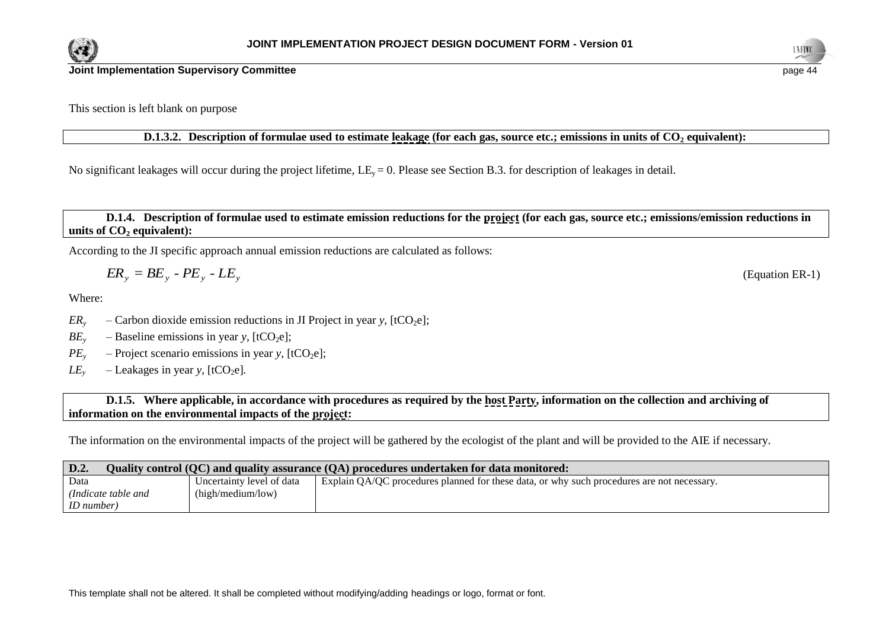



This section is left blank on purpose

**D.1.3.2. Description of formulae used to estimate leakage (for each gas, source etc.; emissions in units of CO<sup>2</sup> equivalent):**

No significant leakages will occur during the project lifetime,  $LE_y = 0$ . Please see Section B.3. for description of leakages in detail.

**D.1.4. Description of formulae used to estimate emission reductions for the project (for each gas, source etc.; emissions/emission reductions in units of CO<sup>2</sup> equivalent):**

According to the JI specific approach annual emission reductions are calculated as follows:

$$
ER_{y} = BE_{y} - PE_{y} - LE_{y}
$$

Where:

- *ER*<sub>y</sub> Carbon dioxide emission reductions in JI Project in year *y*,  $[tCO<sub>2</sub>e]$ ;
- $BE<sub>v</sub>$  Baseline emissions in year *y*, [tCO<sub>2</sub>e];
- $PE<sub>y</sub>$  Project scenario emissions in year *y*, [tCO<sub>2</sub>e];
- $LE<sub>y</sub>$  Leakages in year *y*, [tCO<sub>2</sub>e].

**D.1.5. Where applicable, in accordance with procedures as required by the host Party, information on the collection and archiving of information on the environmental impacts of the project:**

The information on the environmental impacts of the project will be gathered by the ecologist of the plant and will be provided to the AIE if necessary.

| D.2.<br>Quality control (QC) and quality assurance (QA) procedures undertaken for data monitored: |                           |                                                                                            |  |  |  |  |  |
|---------------------------------------------------------------------------------------------------|---------------------------|--------------------------------------------------------------------------------------------|--|--|--|--|--|
| Data                                                                                              | Uncertainty level of data | Explain QA/QC procedures planned for these data, or why such procedures are not necessary. |  |  |  |  |  |
| (Indicate table and                                                                               | (high/medium/low)         |                                                                                            |  |  |  |  |  |
| <i>ID</i> number)                                                                                 |                           |                                                                                            |  |  |  |  |  |

(Equation ER-1)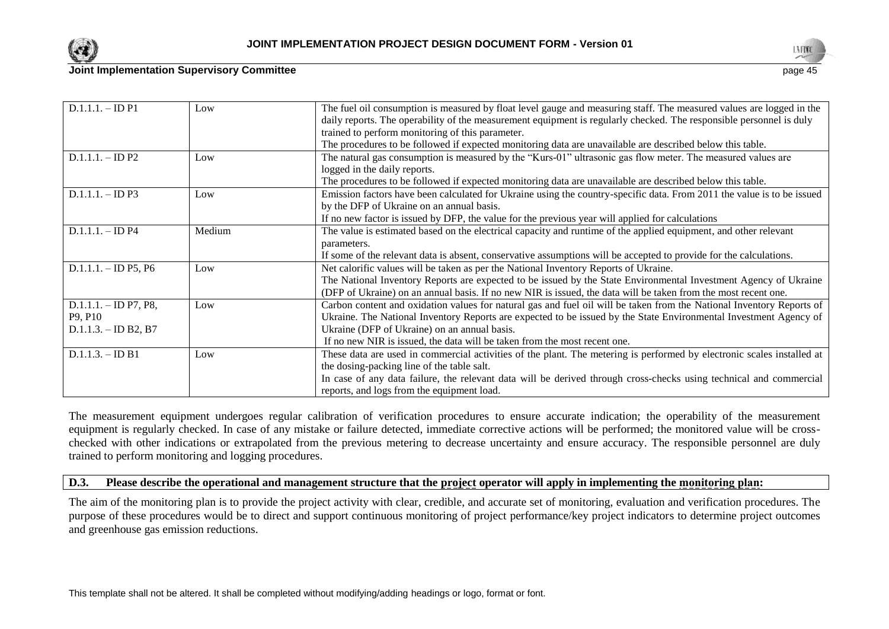



| $D.1.1.1. - IDP1$                | Low    | The fuel oil consumption is measured by float level gauge and measuring staff. The measured values are logged in the   |
|----------------------------------|--------|------------------------------------------------------------------------------------------------------------------------|
|                                  |        | daily reports. The operability of the measurement equipment is regularly checked. The responsible personnel is duly    |
|                                  |        | trained to perform monitoring of this parameter.                                                                       |
|                                  |        | The procedures to be followed if expected monitoring data are unavailable are described below this table.              |
| $D.1.1.1. - IDP2$                | Low    | The natural gas consumption is measured by the "Kurs-01" ultrasonic gas flow meter. The measured values are            |
|                                  |        | logged in the daily reports.                                                                                           |
|                                  |        | The procedures to be followed if expected monitoring data are unavailable are described below this table.              |
| $D.1.1.1 - IDP3$                 | Low    | Emission factors have been calculated for Ukraine using the country-specific data. From 2011 the value is to be issued |
|                                  |        | by the DFP of Ukraine on an annual basis.                                                                              |
|                                  |        | If no new factor is issued by DFP, the value for the previous year will applied for calculations                       |
| $D.1.1.1 - IDP4$                 | Medium | The value is estimated based on the electrical capacity and runtime of the applied equipment, and other relevant       |
|                                  |        | parameters.                                                                                                            |
|                                  |        | If some of the relevant data is absent, conservative assumptions will be accepted to provide for the calculations.     |
| $D.1.1.1 - ID P5, P6$            | Low    | Net calorific values will be taken as per the National Inventory Reports of Ukraine.                                   |
|                                  |        | The National Inventory Reports are expected to be issued by the State Environmental Investment Agency of Ukraine       |
|                                  |        | (DFP of Ukraine) on an annual basis. If no new NIR is issued, the data will be taken from the most recent one.         |
| $D.1.1.1. - ID P7, P8,$          | Low    | Carbon content and oxidation values for natural gas and fuel oil will be taken from the National Inventory Reports of  |
| P <sub>9</sub> , P <sub>10</sub> |        | Ukraine. The National Inventory Reports are expected to be issued by the State Environmental Investment Agency of      |
| $D.1.1.3. - ID B2, B7$           |        | Ukraine (DFP of Ukraine) on an annual basis.                                                                           |
|                                  |        | If no new NIR is issued, the data will be taken from the most recent one.                                              |
| $D.1.1.3. - ID B1$               | Low    | These data are used in commercial activities of the plant. The metering is performed by electronic scales installed at |
|                                  |        | the dosing-packing line of the table salt.                                                                             |
|                                  |        | In case of any data failure, the relevant data will be derived through cross-checks using technical and commercial     |
|                                  |        | reports, and logs from the equipment load.                                                                             |

The measurement equipment undergoes regular calibration of verification procedures to ensure accurate indication; the operability of the measurement equipment is regularly checked. In case of any mistake or failure detected, immediate corrective actions will be performed; the monitored value will be crosschecked with other indications or extrapolated from the previous metering to decrease uncertainty and ensure accuracy. The responsible personnel are duly trained to perform monitoring and logging procedures.

#### **D.3. Please describe the operational and management structure that the project operator will apply in implementing the monitoring plan:**

The aim of the monitoring plan is to provide the project activity with clear, credible, and accurate set of monitoring, evaluation and verification procedures. The purpose of these procedures would be to direct and support continuous monitoring of project performance/key project indicators to determine project outcomes and greenhouse gas emission reductions.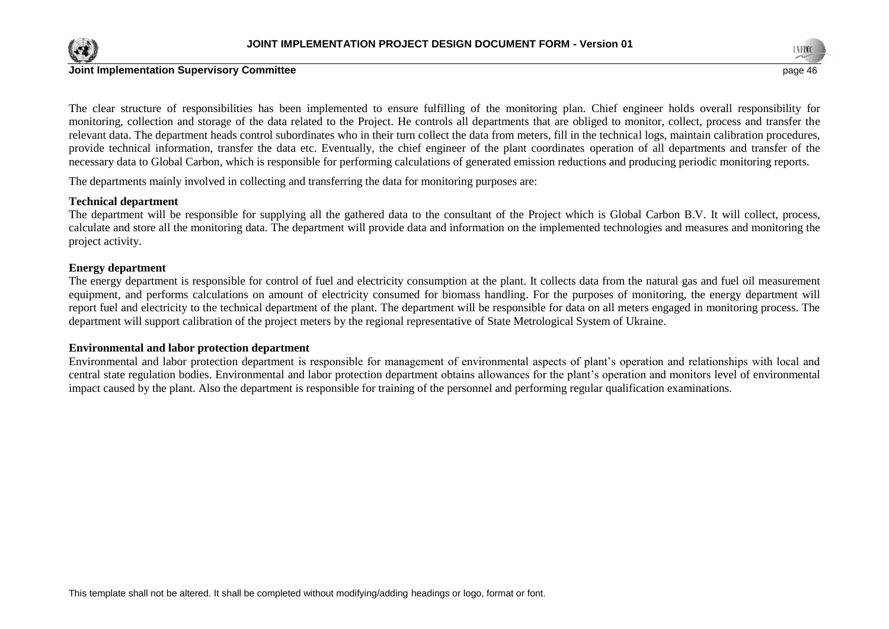



The clear structure of responsibilities has been implemented to ensure fulfilling of the monitoring plan. Chief engineer holds overall responsibility for monitoring, collection and storage of the data related to the Project. He controls all departments that are obliged to monitor, collect, process and transfer the relevant data. The department heads control subordinates who in their turn collect the data from meters, fill in the technical logs, maintain calibration procedures, provide technical information, transfer the data etc. Eventually, the chief engineer of the plant coordinates operation of all departments and transfer of the necessary data to Global Carbon, which is responsible for performing calculations of generated emission reductions and producing periodic monitoring reports.

The departments mainly involved in collecting and transferring the data for monitoring purposes are:

#### **Technical department**

The department will be responsible for supplying all the gathered data to the consultant of the Project which is Global Carbon B.V. It will collect, process, calculate and store all the monitoring data. The department will provide data and information on the implemented technologies and measures and monitoring the project activity.

#### **Energy department**

The energy department is responsible for control of fuel and electricity consumption at the plant. It collects data from the natural gas and fuel oil measurement equipment, and performs calculations on amount of electricity consumed for biomass handling. For the purposes of monitoring, the energy department will report fuel and electricity to the technical department of the plant. The department will be responsible for data on all meters engaged in monitoring process. The department will support calibration of the project meters by the regional representative of State Metrological System of Ukraine.

#### **Environmental and labor protection department**

Environmental and labor protection department is responsible for management of environmental aspects of plant's operation and relationships with local and central state regulation bodies. Environmental and labor protection department obtains allowances for the plant's operation and monitors level of environmental impact caused by the plant. Also the department is responsible for training of the personnel and performing regular qualification examinations.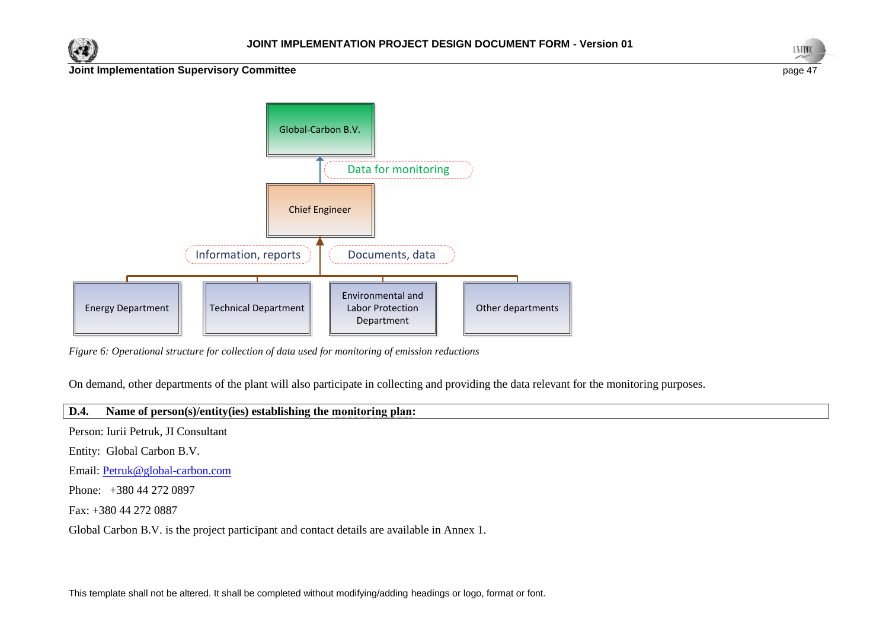





*Figure 6: Operational structure for collection of data used for monitoring of emission reductions*

On demand, other departments of the plant will also participate in collecting and providing the data relevant for the monitoring purposes.

## **D.4. Name of person(s)/entity(ies) establishing the monitoring plan:**

Person: Iurii Petruk, JI Consultant

Entity: Global Carbon B.V.

Email: [Petruk@global-carbon.com](mailto:Petruk@global-carbon.com)

Phone: +380 44 272 0897

Fax: +380 44 272 0887

Global Carbon B.V. is the project participant and contact details are available in Annex 1.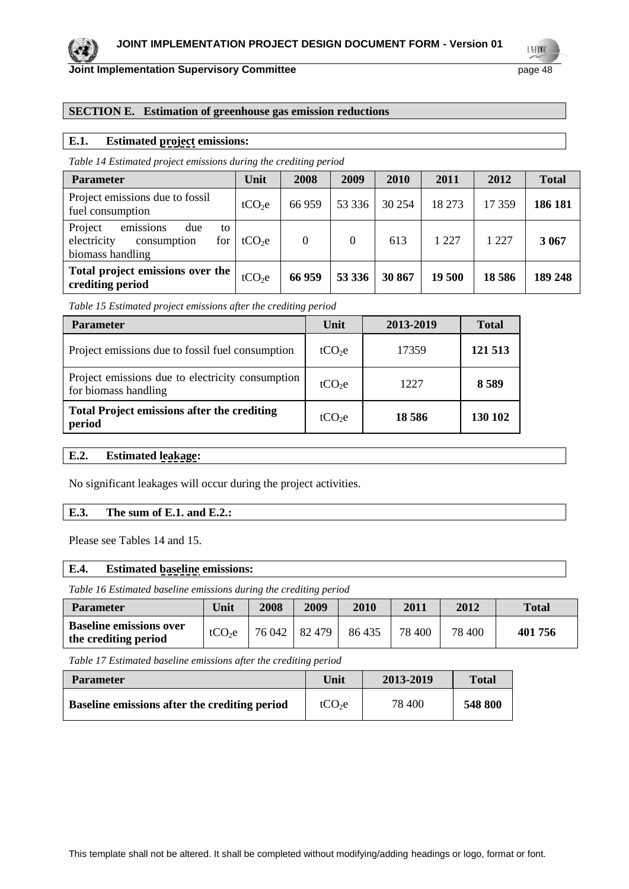

LMW

#### **SECTION E. Estimation of greenhouse gas emission reductions**

#### **E.1. Estimated project emissions:**

*Table 14 Estimated project emissions during the crediting period*

| <b>Parameter</b>                                                                           | Unit               | 2008     | 2009     | 2010   | 2011   | 2012   | <b>Total</b> |
|--------------------------------------------------------------------------------------------|--------------------|----------|----------|--------|--------|--------|--------------|
| Project emissions due to fossil<br>fuel consumption                                        | tCO <sub>2</sub> e | 66 959   | 53 3 3 6 | 30 254 | 18 273 | 17 359 | 186 181      |
| emissions<br>Project<br>due<br>to<br>electricity<br>for<br>consumption<br>biomass handling | tCO <sub>2</sub> e | $\Omega$ | $\theta$ | 613    | 1 22.7 | 1 227  | 3 0 6 7      |
| Total project emissions over the<br>crediting period                                       | tCO <sub>2</sub> e | 66 959   | 53 336   | 30 867 | 19 500 | 18586  | 189 248      |

*Table 15 Estimated project emissions after the crediting period*

| <b>Parameter</b>                                                         | Unit               | 2013-2019 | <b>Total</b> |
|--------------------------------------------------------------------------|--------------------|-----------|--------------|
| Project emissions due to fossil fuel consumption                         | tCO <sub>2</sub> e | 17359     | 121 513      |
| Project emissions due to electricity consumption<br>for biomass handling | tCO <sub>2</sub> e | 1227      | 8589         |
| <b>Total Project emissions after the crediting</b><br>period             | tCO <sub>2</sub> e | 18 5 8 6  | 130 102      |

#### **E.2. Estimated leakage:**

No significant leakages will occur during the project activities.

#### **E.3. The sum of E.1. and E.2.:**

Please see Tables 14 and 15.

#### **E.4. Estimated baseline emissions:**

*Table 16 Estimated baseline emissions during the crediting period*

| <b>Parameter</b>                                       | Unit               | 2008   | 2009   | 2010   | 2011   | 2012   | <b>Total</b> |
|--------------------------------------------------------|--------------------|--------|--------|--------|--------|--------|--------------|
| <b>Baseline emissions over</b><br>the crediting period | tCO <sub>2</sub> e | 76 042 | 82 479 | 86 435 | 78 400 | 78 400 | 401 756      |

*Table 17 Estimated baseline emissions after the crediting period*

| <b>Parameter</b>                              | Unit               | 2013-2019 | Total   |
|-----------------------------------------------|--------------------|-----------|---------|
| Baseline emissions after the crediting period | tCO <sub>2</sub> e | 78 400    | 548 800 |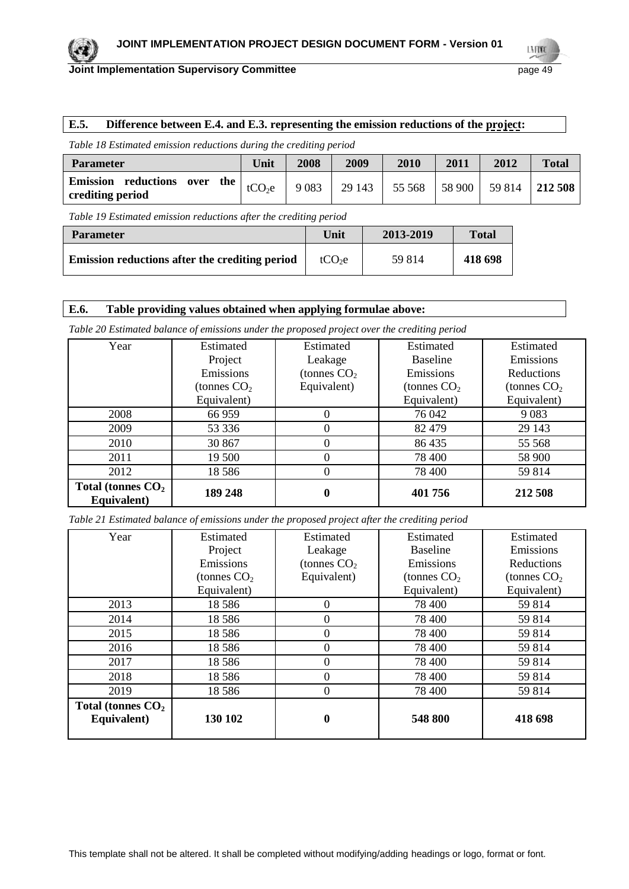

LMW

## **E.5. Difference between E.4. and E.3. representing the emission reductions of the project:**

*Table 18 Estimated emission reductions during the crediting period*

| <b>Parameter</b>                                      | Unit               | 2008    | 2009   | 2010   | 2011   | 2012 | <b>Total</b>   |
|-------------------------------------------------------|--------------------|---------|--------|--------|--------|------|----------------|
| Emission reductions over<br>the  <br>crediting period | tCO <sub>2</sub> e | 9 0 8 3 | 29 143 | 55 568 | 58 900 |      | 59 814 212 508 |

*Table 19 Estimated emission reductions after the crediting period*

| <b>Parameter</b>                               | Unit               | 2013-2019 | <b>Total</b> |
|------------------------------------------------|--------------------|-----------|--------------|
| Emission reductions after the crediting period | tCO <sub>2</sub> e | 59 814    | 418 698      |

### **E.6. Table providing values obtained when applying formulae above:**

*Table 20 Estimated balance of emissions under the proposed project over the crediting period*

| Year                               | <b>Estimated</b> | Estimated     | Estimated       | <b>Estimated</b> |
|------------------------------------|------------------|---------------|-----------------|------------------|
|                                    | Project          | Leakage       | <b>Baseline</b> | Emissions        |
|                                    | Emissions        | (tonnes $CO2$ | Emissions       | Reductions       |
|                                    | (tonnes $CO2$    | Equivalent)   | (tonnes $CO2$   | (tonnes $CO2$    |
|                                    | Equivalent)      |               | Equivalent)     | Equivalent)      |
| 2008                               | 66 959           | 0             | 76 042          | 9083             |
| 2009                               | 53 336           |               | 82 479          | 29 143           |
| 2010                               | 30 867           |               | 86 435          | 55 5 68          |
| 2011                               | 19 500           |               | 78 400          | 58 900           |
| 2012                               | 18586            |               | 78 400          | 59 814           |
| Total (tonnes $CO2$<br>Equivalent) | 189 248          | 0             | 401 756         | 212 508          |

*Table 21 Estimated balance of emissions under the proposed project after the crediting period*

| Year                               | Estimated     | Estimated     | Estimated       | Estimated     |
|------------------------------------|---------------|---------------|-----------------|---------------|
|                                    | Project       | Leakage       | <b>Baseline</b> | Emissions     |
|                                    | Emissions     | (tonnes $CO2$ | Emissions       | Reductions    |
|                                    | (tonnes $CO2$ | Equivalent)   | (tonnes $CO2$   | (tonnes $CO2$ |
|                                    | Equivalent)   |               | Equivalent)     | Equivalent)   |
| 2013                               | 18586         | $\Omega$      | 78 400          | 59814         |
| 2014                               | 18586         | $\theta$      | 78 400          | 59814         |
| 2015                               | 18586         | 0             | 78 400          | 59814         |
| 2016                               | 18586         |               | 78 400          | 59 814        |
| 2017                               | 18586         | 0             | 78 400          | 59814         |
| 2018                               | 18586         |               | 78 400          | 59814         |
| 2019                               | 18586         | 0             | 78 400          | 59 814        |
| Total (tonnes $CO2$<br>Equivalent) | 130 102       | 0             | 548 800         | 418 698       |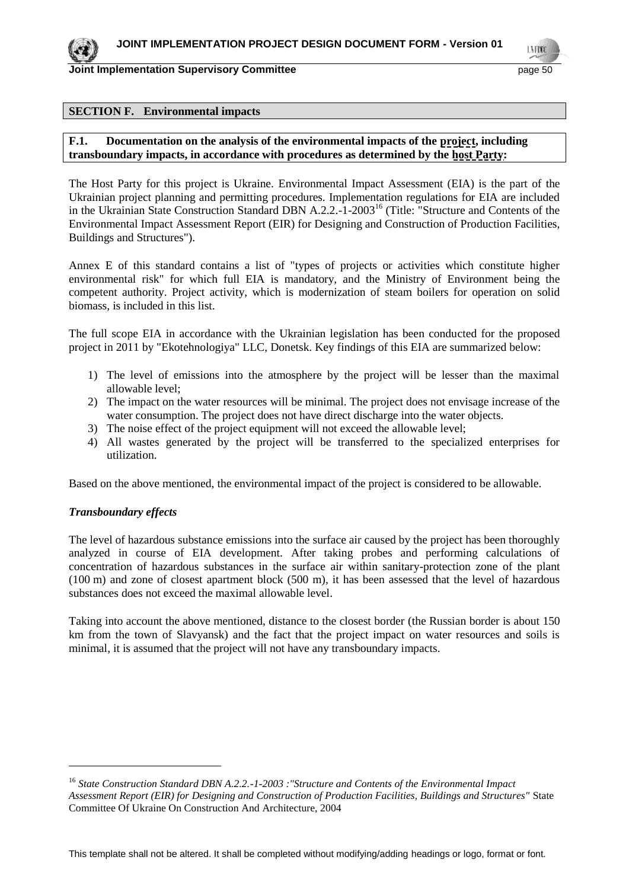#### **SECTION F. Environmental impacts**

## **F.1.** Documentation on the analysis of the environmental impacts of the project, including **transboundary impacts, in accordance with procedures as determined by the host Party:**

The Host Party for this project is Ukraine. Environmental Impact Assessment (EIA) is the part of the Ukrainian project planning and permitting procedures. Implementation regulations for EIA are included in the Ukrainian State Construction Standard DBN A.2.2.-1-2003<sup>16</sup> (Title: "Structure and Contents of the Environmental Impact Assessment Report (EIR) for Designing and Construction of Production Facilities, Buildings and Structures").

Annex E of this standard contains a list of "types of projects or activities which constitute higher environmental risk" for which full EIA is mandatory, and the Ministry of Environment being the competent authority. Project activity, which is modernization of steam boilers for operation on solid biomass, is included in this list.

The full scope EIA in accordance with the Ukrainian legislation has been conducted for the proposed project in 2011 by "Ekotehnologiya" LLC, Donetsk. Key findings of this EIA are summarized below:

- 1) The level of emissions into the atmosphere by the project will be lesser than the maximal allowable level;
- 2) The impact on the water resources will be minimal. The project does not envisage increase of the water consumption. The project does not have direct discharge into the water objects.
- 3) The noise effect of the project equipment will not exceed the allowable level;
- 4) All wastes generated by the project will be transferred to the specialized enterprises for utilization.

Based on the above mentioned, the environmental impact of the project is considered to be allowable.

#### *Transboundary effects*

 $\overline{a}$ 

The level of hazardous substance emissions into the surface air caused by the project has been thoroughly analyzed in course of EIA development. After taking probes and performing calculations of concentration of hazardous substances in the surface air within sanitary-protection zone of the plant (100 m) and zone of closest apartment block (500 m), it has been assessed that the level of hazardous substances does not exceed the maximal allowable level.

Taking into account the above mentioned, distance to the closest border (the Russian border is about 150 km from the town of Slavyansk) and the fact that the project impact on water resources and soils is minimal, it is assumed that the project will not have any transboundary impacts.

<sup>16</sup> *State Construction Standard DBN A.2.2.-1-2003 :"Structure and Contents of the Environmental Impact Assessment Report (EIR) for Designing and Construction of Production Facilities, Buildings and Structures"* State Committee Of Ukraine On Construction And Architecture, 2004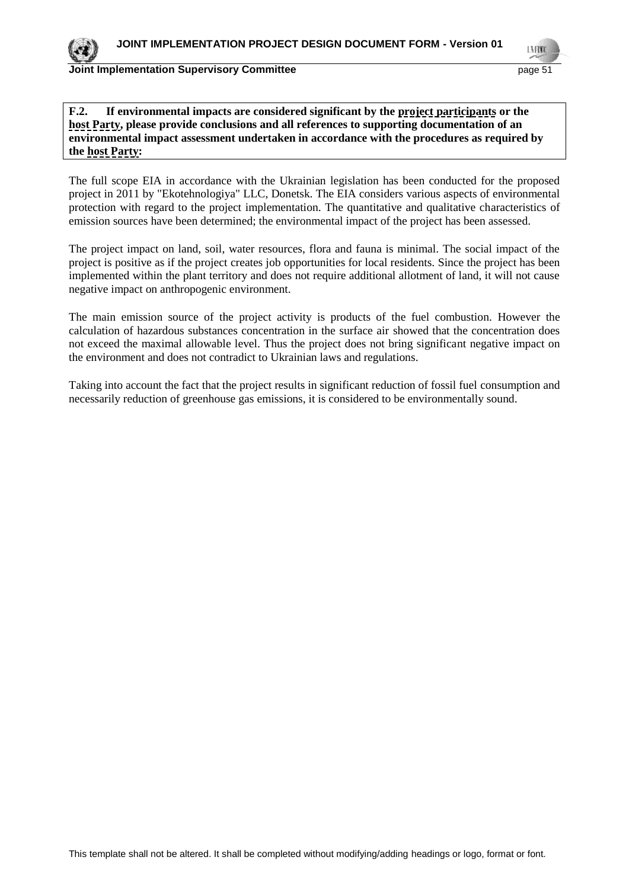### **Joint Implementation Supervisory Committee Committee** *page* **51</u>**

LMON

## **F.2. If environmental impacts are considered significant by the project participants or the host Party, please provide conclusions and all references to supporting documentation of an environmental impact assessment undertaken in accordance with the procedures as required by the host Party:**

The full scope EIA in accordance with the Ukrainian legislation has been conducted for the proposed project in 2011 by "Ekotehnologiya" LLC, Donetsk. The EIA considers various aspects of environmental protection with regard to the project implementation. The quantitative and qualitative characteristics of emission sources have been determined; the environmental impact of the project has been assessed.

The project impact on land, soil, water resources, flora and fauna is minimal. The social impact of the project is positive as if the project creates job opportunities for local residents. Since the project has been implemented within the plant territory and does not require additional allotment of land, it will not cause negative impact on anthropogenic environment.

The main emission source of the project activity is products of the fuel combustion. However the calculation of hazardous substances concentration in the surface air showed that the concentration does not exceed the maximal allowable level. Thus the project does not bring significant negative impact on the environment and does not contradict to Ukrainian laws and regulations.

Taking into account the fact that the project results in significant reduction of fossil fuel consumption and necessarily reduction of greenhouse gas emissions, it is considered to be environmentally sound.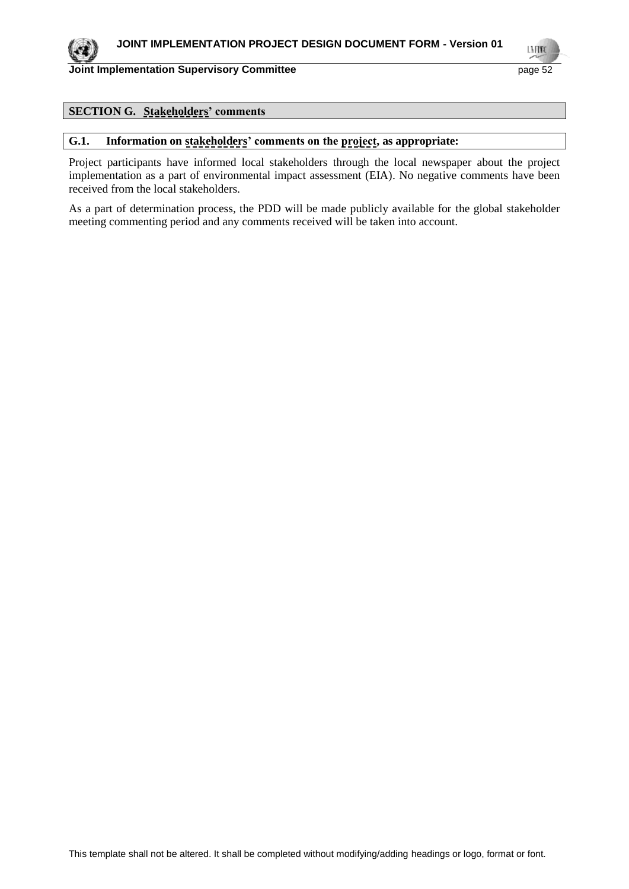LNEIME

## **SECTION G. Stakeholders' comments**

#### **G.1. Information on stakeholders' comments on the project, as appropriate:**

Project participants have informed local stakeholders through the local newspaper about the project implementation as a part of environmental impact assessment (EIA). No negative comments have been received from the local stakeholders.

As a part of determination process, the PDD will be made publicly available for the global stakeholder meeting commenting period and any comments received will be taken into account.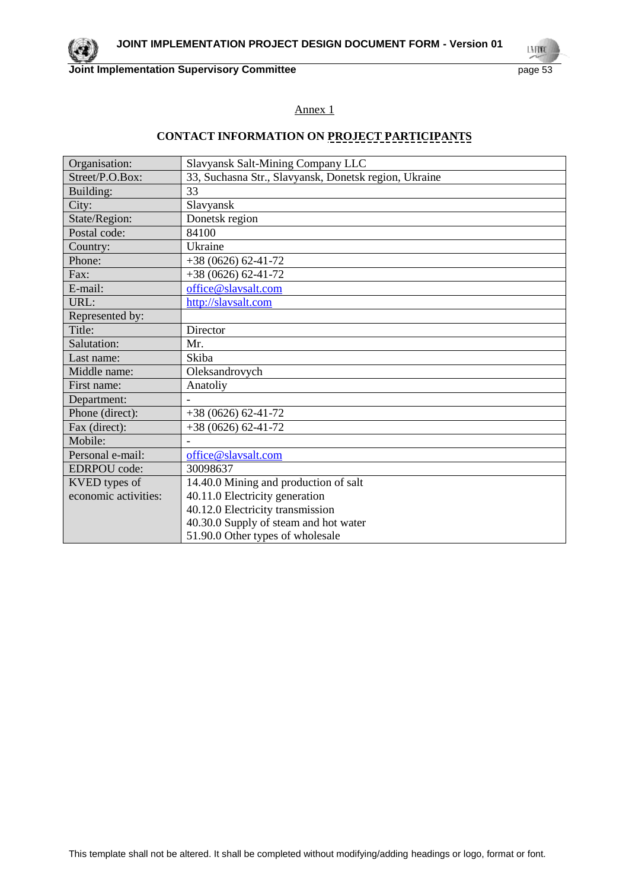

LN FOND

## Annex 1

## **CONTACT INFORMATION ON PROJECT PARTICIPANTS**

| Organisation:        | Slavyansk Salt-Mining Company LLC                     |
|----------------------|-------------------------------------------------------|
| Street/P.O.Box:      | 33, Suchasna Str., Slavyansk, Donetsk region, Ukraine |
| Building:            | 33                                                    |
| City:                | Slavyansk                                             |
| State/Region:        | Donetsk region                                        |
| Postal code:         | 84100                                                 |
| Country:             | Ukraine                                               |
| Phone:               | $+38(0626)62-41-72$                                   |
| Fax:                 | $+38(0626)62-41-72$                                   |
| E-mail:              | office@slavsalt.com                                   |
| URL:                 | http://slavsalt.com                                   |
| Represented by:      |                                                       |
| Title:               | Director                                              |
| Salutation:          | Mr.                                                   |
| Last name:           | Skiba                                                 |
| Middle name:         | Oleksandrovych                                        |
| First name:          | Anatoliy                                              |
| Department:          |                                                       |
| Phone (direct):      | $+38(0626)62-41-72$                                   |
| Fax (direct):        | $+38(0626)62-41-72$                                   |
| Mobile:              |                                                       |
| Personal e-mail:     | office@slavsalt.com                                   |
| <b>EDRPOU</b> code:  | 30098637                                              |
| KVED types of        | 14.40.0 Mining and production of salt                 |
| economic activities: | 40.11.0 Electricity generation                        |
|                      | 40.12.0 Electricity transmission                      |
|                      | 40.30.0 Supply of steam and hot water                 |
|                      | 51.90.0 Other types of wholesale                      |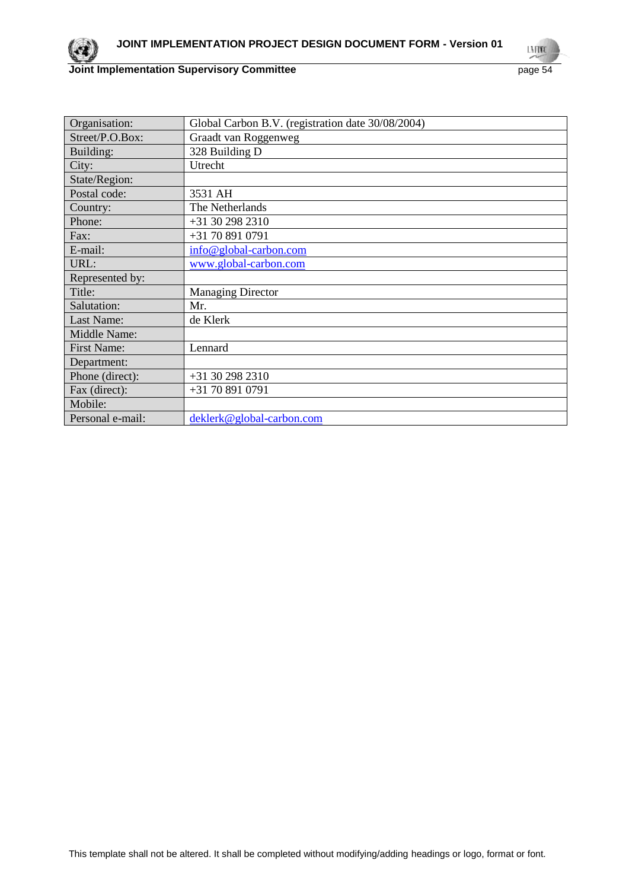

LN FOND

| Organisation:      | Global Carbon B.V. (registration date 30/08/2004) |
|--------------------|---------------------------------------------------|
| Street/P.O.Box:    | Graadt van Roggenweg                              |
| Building:          | 328 Building D                                    |
| City:              | Utrecht                                           |
| State/Region:      |                                                   |
| Postal code:       | 3531 AH                                           |
| Country:           | The Netherlands                                   |
| Phone:             | +31 30 298 2310                                   |
| Fax:               | +31 70 891 0791                                   |
| E-mail:            | info@global-carbon.com                            |
| URL:               | www.global-carbon.com                             |
| Represented by:    |                                                   |
| Title:             | <b>Managing Director</b>                          |
| Salutation:        | Mr.                                               |
| Last Name:         | de Klerk                                          |
| Middle Name:       |                                                   |
| <b>First Name:</b> | Lennard                                           |
| Department:        |                                                   |
| Phone (direct):    | +31 30 298 2310                                   |
| Fax (direct):      | +31 70 891 0791                                   |
| Mobile:            |                                                   |
| Personal e-mail:   | deklerk@global-carbon.com                         |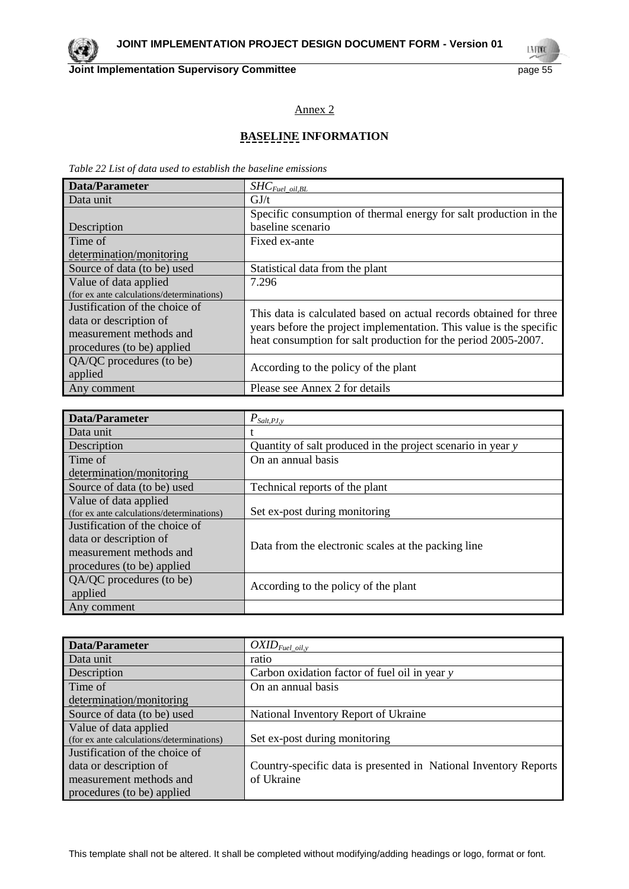LMON

## Annex 2

## **BASELINE INFORMATION**

*Table 22 List of data used to establish the baseline emissions*

| Data/Parameter                            | $SHC_{\mathit{Fuel\_oil, BL}}$                                      |
|-------------------------------------------|---------------------------------------------------------------------|
| Data unit                                 | GJ/t                                                                |
|                                           | Specific consumption of thermal energy for salt production in the   |
| Description                               | baseline scenario                                                   |
| Time of                                   | Fixed ex-ante                                                       |
| determination/monitoring                  |                                                                     |
| Source of data (to be) used               | Statistical data from the plant                                     |
| Value of data applied                     | 7.296                                                               |
| (for ex ante calculations/determinations) |                                                                     |
| Justification of the choice of            | This data is calculated based on actual records obtained for three  |
| data or description of                    | years before the project implementation. This value is the specific |
| measurement methods and                   | heat consumption for salt production for the period 2005-2007.      |
| procedures (to be) applied                |                                                                     |
| QA/QC procedures (to be)                  |                                                                     |
| applied                                   | According to the policy of the plant                                |
| Any comment                               | Please see Annex 2 for details                                      |

| <b>Data/Parameter</b>                     | $P_{\textit{Salt},\underline{PJ},y}$                        |
|-------------------------------------------|-------------------------------------------------------------|
| Data unit                                 |                                                             |
| Description                               | Quantity of salt produced in the project scenario in year y |
| Time of                                   | On an annual basis                                          |
| determination/monitoring                  |                                                             |
| Source of data (to be) used               | Technical reports of the plant                              |
| Value of data applied                     |                                                             |
| (for ex ante calculations/determinations) | Set ex-post during monitoring                               |
| Justification of the choice of            |                                                             |
| data or description of                    | Data from the electronic scales at the packing line         |
| measurement methods and                   |                                                             |
| procedures (to be) applied                |                                                             |
| QA/QC procedures (to be)                  |                                                             |
| applied                                   | According to the policy of the plant                        |
| Any comment                               |                                                             |

| Data/Parameter                            | $OXID_{\text{Fuel\_oil},\text{y}}$                               |
|-------------------------------------------|------------------------------------------------------------------|
| Data unit                                 | ratio                                                            |
| Description                               | Carbon oxidation factor of fuel oil in year y                    |
| Time of                                   | On an annual basis                                               |
| determination/monitoring                  |                                                                  |
| Source of data (to be) used               | National Inventory Report of Ukraine                             |
| Value of data applied                     |                                                                  |
| (for ex ante calculations/determinations) | Set ex-post during monitoring                                    |
| Justification of the choice of            |                                                                  |
| data or description of                    | Country-specific data is presented in National Inventory Reports |
| measurement methods and                   | of Ukraine                                                       |
| procedures (to be) applied                |                                                                  |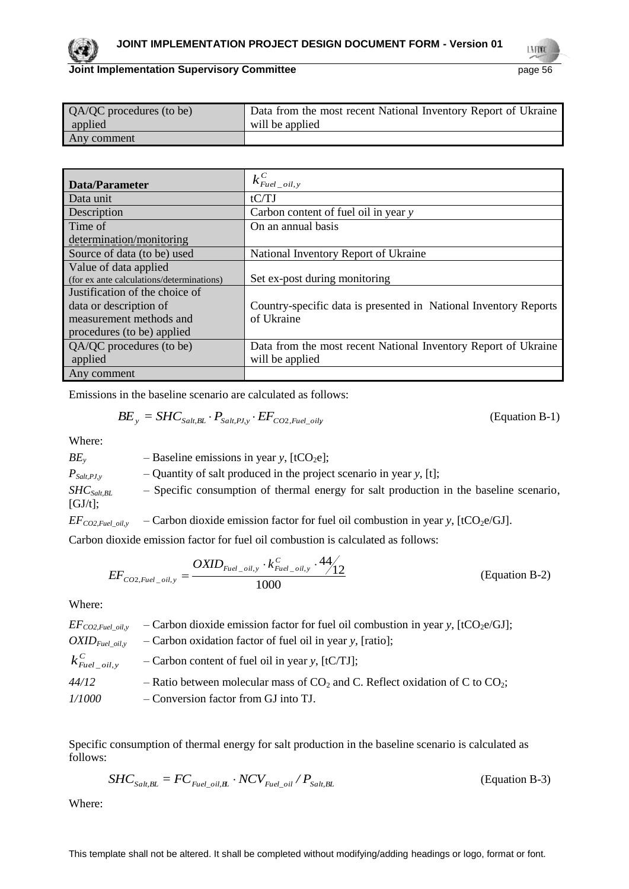#### **Joint Implementation Supervisory Committee Committee** page 56

| QA/QC procedures (to be) | Data from the most recent National Inventory Report of Ukraine |
|--------------------------|----------------------------------------------------------------|
| applied                  | will be applied                                                |
| Any comment              |                                                                |

| Data/Parameter                            | $k_{\text{Eucl\_oil},y}^C$                                       |
|-------------------------------------------|------------------------------------------------------------------|
| Data unit                                 | tCTJ                                                             |
| Description                               | Carbon content of fuel oil in year y                             |
| Time of                                   | On an annual basis                                               |
| determination/monitoring                  |                                                                  |
| Source of data (to be) used               | National Inventory Report of Ukraine                             |
| Value of data applied                     |                                                                  |
| (for ex ante calculations/determinations) | Set ex-post during monitoring                                    |
| Justification of the choice of            |                                                                  |
| data or description of                    | Country-specific data is presented in National Inventory Reports |
| measurement methods and                   | of Ukraine                                                       |
| procedures (to be) applied                |                                                                  |
| QA/QC procedures (to be)                  | Data from the most recent National Inventory Report of Ukraine   |
| applied                                   | will be applied                                                  |
| Any comment                               |                                                                  |

Emissions in the baseline scenario are calculated as follows:

$$
BE_y = SHC_{\text{Salt,BL}} \cdot P_{\text{Salt,PI,y}} \cdot EF_{\text{CO2,}\text{Fuel\_oily}} \tag{Equation B-1}
$$

Where:

 $BE<sub>y</sub>$  – Baseline emissions in year *y*, [tCO<sub>2</sub>e];  $P_{Salt,PI, y}$  – Quantity of salt produced in the project scenario in year *y*, [t]; *SHCSalt,BL* – Specific consumption of thermal energy for salt production in the baseline scenario, [GJ/t];  $EF_{CO2, Fuel\_oil, y}$  – Carbon dioxide emission factor for fuel oil combustion in year *y*, [tCO<sub>2</sub>e/GJ].

Carbon dioxide emission factor for fuel oil combustion is calculated as follows:

$$
EF_{CO2,Fuel\_oil,y} = \frac{OXID_{Fuel\_oil,y} \cdot k_{Fuel\_oil,y}^C \cdot 44}{1000}
$$
 (Equation B-2)

Where:

| $EF_{CO2, fuel\_oil, y}$     | - Carbon dioxide emission factor for fuel oil combustion in year y, $[\text{tCO}_2 \text{e/GJ}]$ ; |
|------------------------------|----------------------------------------------------------------------------------------------------|
| $OXID_{Fuel \; oil, v}$      | $-$ Carbon oxidation factor of fuel oil in year y, [ratio];                                        |
| $k_{\text{Euel\_oil},y}^{C}$ | $-$ Carbon content of fuel oil in year y, [tC/TJ];                                                 |
| 44/12                        | - Ratio between molecular mass of $CO_2$ and C. Reflect oxidation of C to $CO_2$ ;                 |
| <i>1/1000</i>                | - Conversion factor from GJ into TJ.                                                               |

Specific consumption of thermal energy for salt production in the baseline scenario is calculated as follows:

$$
SHC_{\text{Sat,BL}} = FC_{\text{Euel\_oil}, \mathbf{E}} \cdot NCV_{\text{Euel\_oil}} / P_{\text{Sat,BL}} \tag{Equation B-3}
$$

Where: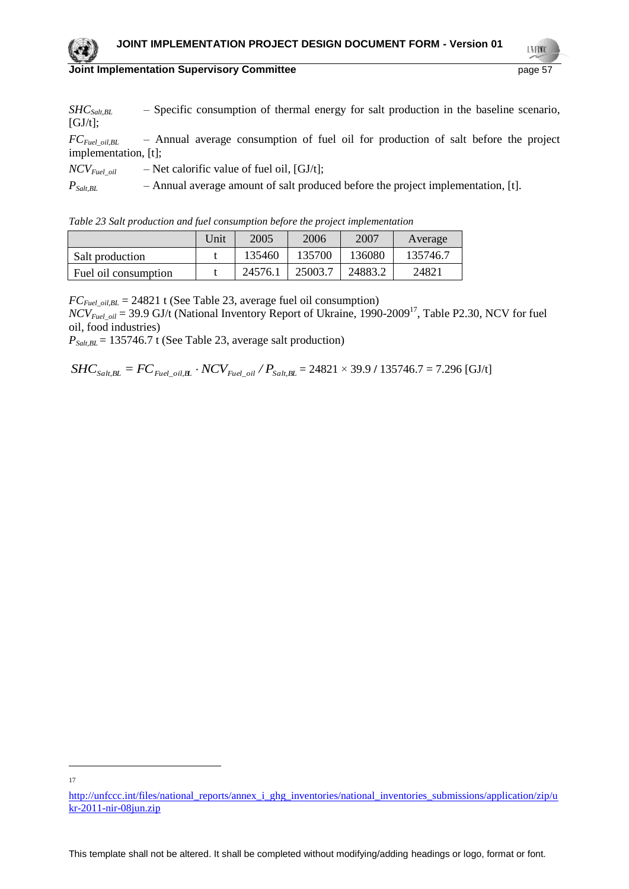LMON

*SHCSalt,BL* – Specific consumption of thermal energy for salt production in the baseline scenario,  $[GJ/t]$ ;

*FCFuel\_oil,BL* – Annual average consumption of fuel oil for production of salt before the project implementation, [t];

 $NCV_{Euel\_oil}$  – Net calorific value of fuel oil, [GJ/t];

*PSalt,BL* – Annual average amount of salt produced before the project implementation, [t].

|  |  |  | Table 23 Salt production and fuel consumption before the project implementation |
|--|--|--|---------------------------------------------------------------------------------|
|  |  |  |                                                                                 |

|                      | Unit | 2005    | 2006    | 2007    | Average  |
|----------------------|------|---------|---------|---------|----------|
| Salt production      |      | 135460  | 135700  | 136080  | 135746.7 |
| Fuel oil consumption |      | 24576.1 | 25003.7 | 24883.2 | 24821    |

 $FC_{Field\ oilBL} = 24821$  t (See Table 23, average fuel oil consumption)

*NCV*<sub>Fuel\_oil</sub> = 39.9 GJ/t (National Inventory Report of Ukraine, 1990-2009<sup>17</sup>, Table P2.30, NCV for fuel oil, food industries)

 $P_{Salt,BL}$  = 135746.7 t (See Table 23, average salt production)

 $SHC_{Salt,BL} = FC_{\sub{File\_oil}, \textbf{\textit{H}}} \cdot NCV_{\sub{File\_oil}} / P_{Salt, BL}$  = 24821 × 39.9 / 135746.7 = 7.296 [GJ/t]

 $\overline{a}$ 17

[http://unfccc.int/files/national\\_reports/annex\\_i\\_ghg\\_inventories/national\\_inventories\\_submissions/application/zip/u](http://unfccc.int/files/national_reports/annex_i_ghg_inventories/national_inventories_submissions/application/zip/ukr-2011-nir-08jun.zip) [kr-2011-nir-08jun.zip](http://unfccc.int/files/national_reports/annex_i_ghg_inventories/national_inventories_submissions/application/zip/ukr-2011-nir-08jun.zip)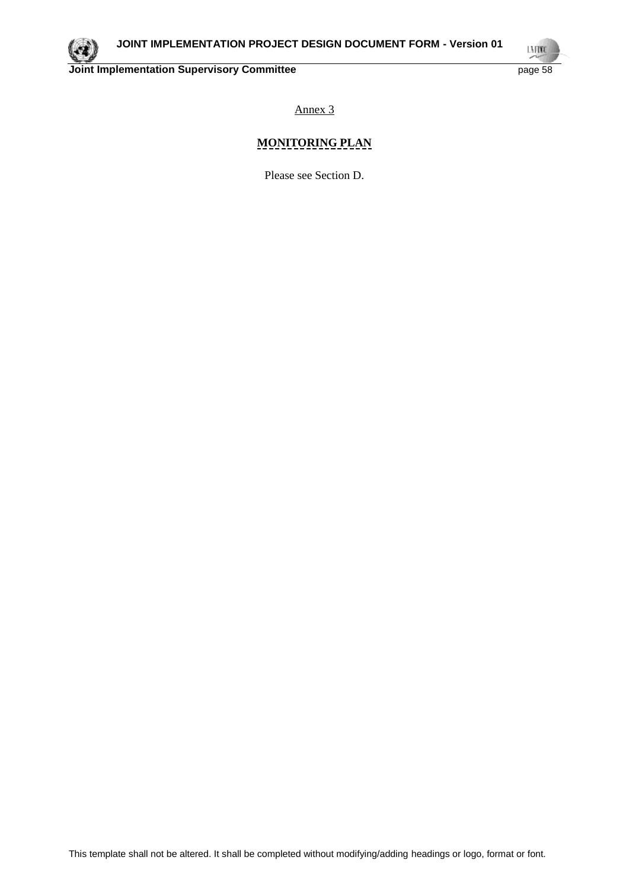

LN FOND

Annex 3

## **MONITORING PLAN**

Please see Section D.